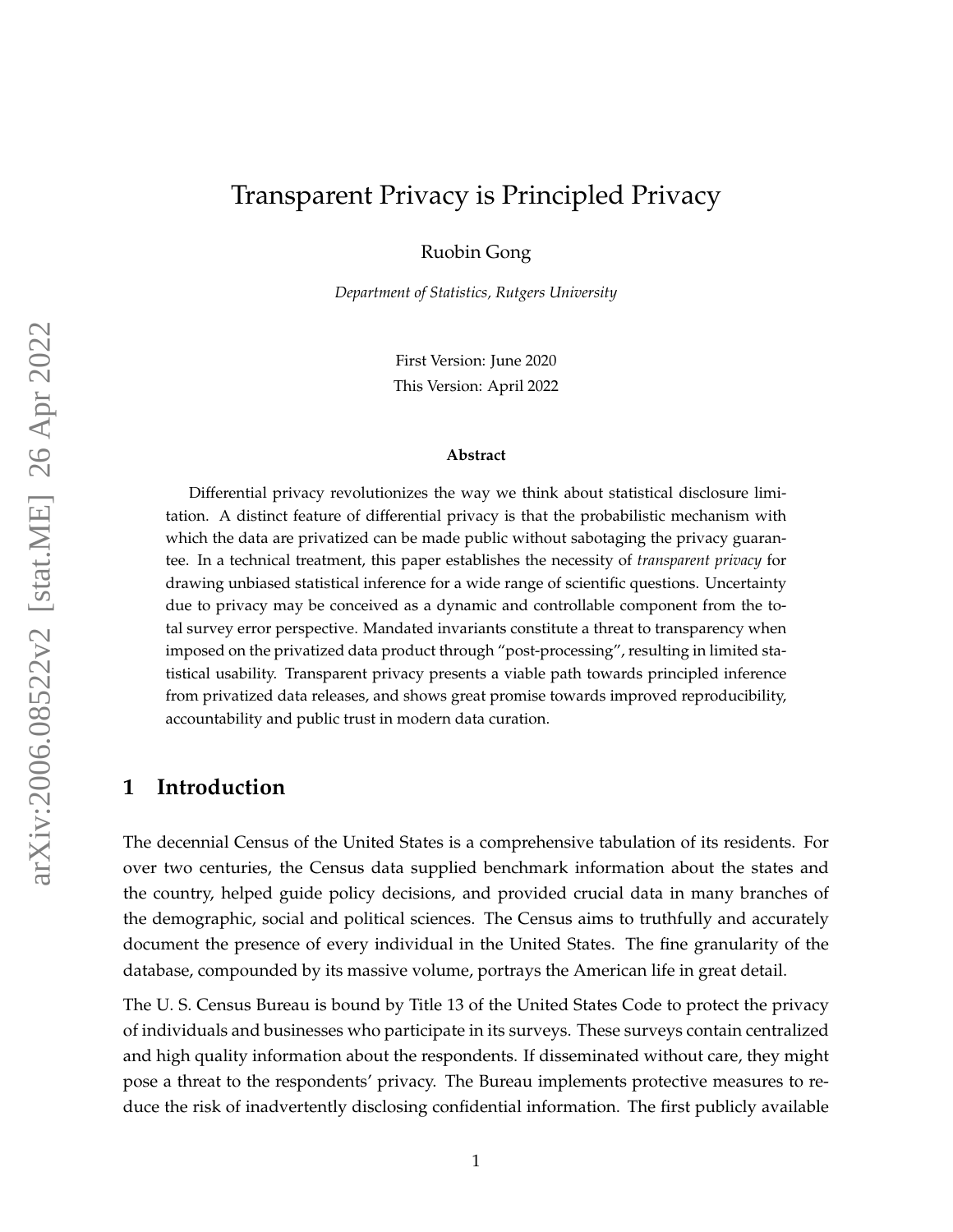# <span id="page-0-0"></span>Transparent Privacy is Principled Privacy

Ruobin Gong

*Department of Statistics, Rutgers University*

First Version: June 2020 This Version: April 2022

#### **Abstract**

Differential privacy revolutionizes the way we think about statistical disclosure limitation. A distinct feature of differential privacy is that the probabilistic mechanism with which the data are privatized can be made public without sabotaging the privacy guarantee. In a technical treatment, this paper establishes the necessity of *transparent privacy* for drawing unbiased statistical inference for a wide range of scientific questions. Uncertainty due to privacy may be conceived as a dynamic and controllable component from the total survey error perspective. Mandated invariants constitute a threat to transparency when imposed on the privatized data product through "post-processing", resulting in limited statistical usability. Transparent privacy presents a viable path towards principled inference from privatized data releases, and shows great promise towards improved reproducibility, accountability and public trust in modern data curation.

#### <span id="page-0-1"></span>**1 Introduction**

The decennial Census of the United States is a comprehensive tabulation of its residents. For over two centuries, the Census data supplied benchmark information about the states and the country, helped guide policy decisions, and provided crucial data in many branches of the demographic, social and political sciences. The Census aims to truthfully and accurately document the presence of every individual in the United States. The fine granularity of the database, compounded by its massive volume, portrays the American life in great detail.

The U. S. Census Bureau is bound by Title 13 of the United States Code to protect the privacy of individuals and businesses who participate in its surveys. These surveys contain centralized and high quality information about the respondents. If disseminated without care, they might pose a threat to the respondents' privacy. The Bureau implements protective measures to reduce the risk of inadvertently disclosing confidential information. The first publicly available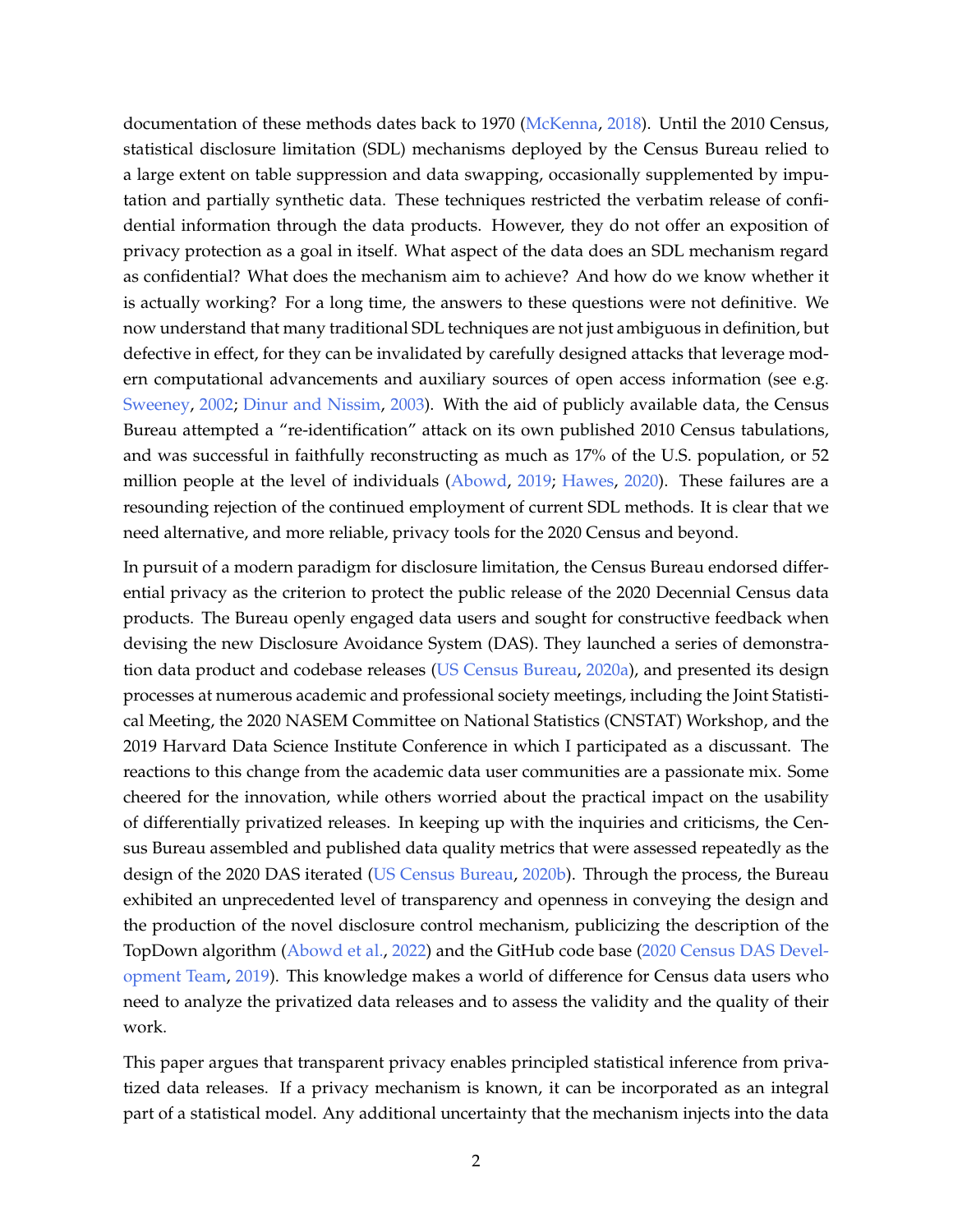documentation of these methods dates back to 1970 [\(McKenna,](#page-23-0) [2018\)](#page-23-0). Until the 2010 Census, statistical disclosure limitation (SDL) mechanisms deployed by the Census Bureau relied to a large extent on table suppression and data swapping, occasionally supplemented by imputation and partially synthetic data. These techniques restricted the verbatim release of confidential information through the data products. However, they do not offer an exposition of privacy protection as a goal in itself. What aspect of the data does an SDL mechanism regard as confidential? What does the mechanism aim to achieve? And how do we know whether it is actually working? For a long time, the answers to these questions were not definitive. We now understand that many traditional SDL techniques are not just ambiguous in definition, but defective in effect, for they can be invalidated by carefully designed attacks that leverage modern computational advancements and auxiliary sources of open access information (see e.g. [Sweeney,](#page-24-0) [2002;](#page-24-0) [Dinur and Nissim,](#page-21-0) [2003\)](#page-21-0). With the aid of publicly available data, the Census Bureau attempted a "re-identification" attack on its own published 2010 Census tabulations, and was successful in faithfully reconstructing as much as 17% of the U.S. population, or 52 million people at the level of individuals [\(Abowd,](#page-20-0) [2019;](#page-20-0) [Hawes,](#page-22-0) [2020\)](#page-22-0). These failures are a resounding rejection of the continued employment of current SDL methods. It is clear that we need alternative, and more reliable, privacy tools for the 2020 Census and beyond.

In pursuit of a modern paradigm for disclosure limitation, the Census Bureau endorsed differential privacy as the criterion to protect the public release of the 2020 Decennial Census data products. The Bureau openly engaged data users and sought for constructive feedback when devising the new Disclosure Avoidance System (DAS). They launched a series of demonstration data product and codebase releases [\(US Census Bureau,](#page-24-1) [2020a\)](#page-24-1), and presented its design processes at numerous academic and professional society meetings, including the Joint Statistical Meeting, the 2020 NASEM Committee on National Statistics (CNSTAT) Workshop, and the 2019 Harvard Data Science Institute Conference in which I participated as a discussant. The reactions to this change from the academic data user communities are a passionate mix. Some cheered for the innovation, while others worried about the practical impact on the usability of differentially privatized releases. In keeping up with the inquiries and criticisms, the Census Bureau assembled and published data quality metrics that were assessed repeatedly as the design of the 2020 DAS iterated [\(US Census Bureau,](#page-24-2) [2020b\)](#page-24-2). Through the process, the Bureau exhibited an unprecedented level of transparency and openness in conveying the design and the production of the novel disclosure control mechanism, publicizing the description of the TopDown algorithm [\(Abowd et al.,](#page-20-1) [2022\)](#page-20-1) and the GitHub code base [\(2020 Census DAS Devel](#page-20-2)[opment Team,](#page-20-2) [2019\)](#page-20-2). This knowledge makes a world of difference for Census data users who need to analyze the privatized data releases and to assess the validity and the quality of their work.

This paper argues that transparent privacy enables principled statistical inference from privatized data releases. If a privacy mechanism is known, it can be incorporated as an integral part of a statistical model. Any additional uncertainty that the mechanism injects into the data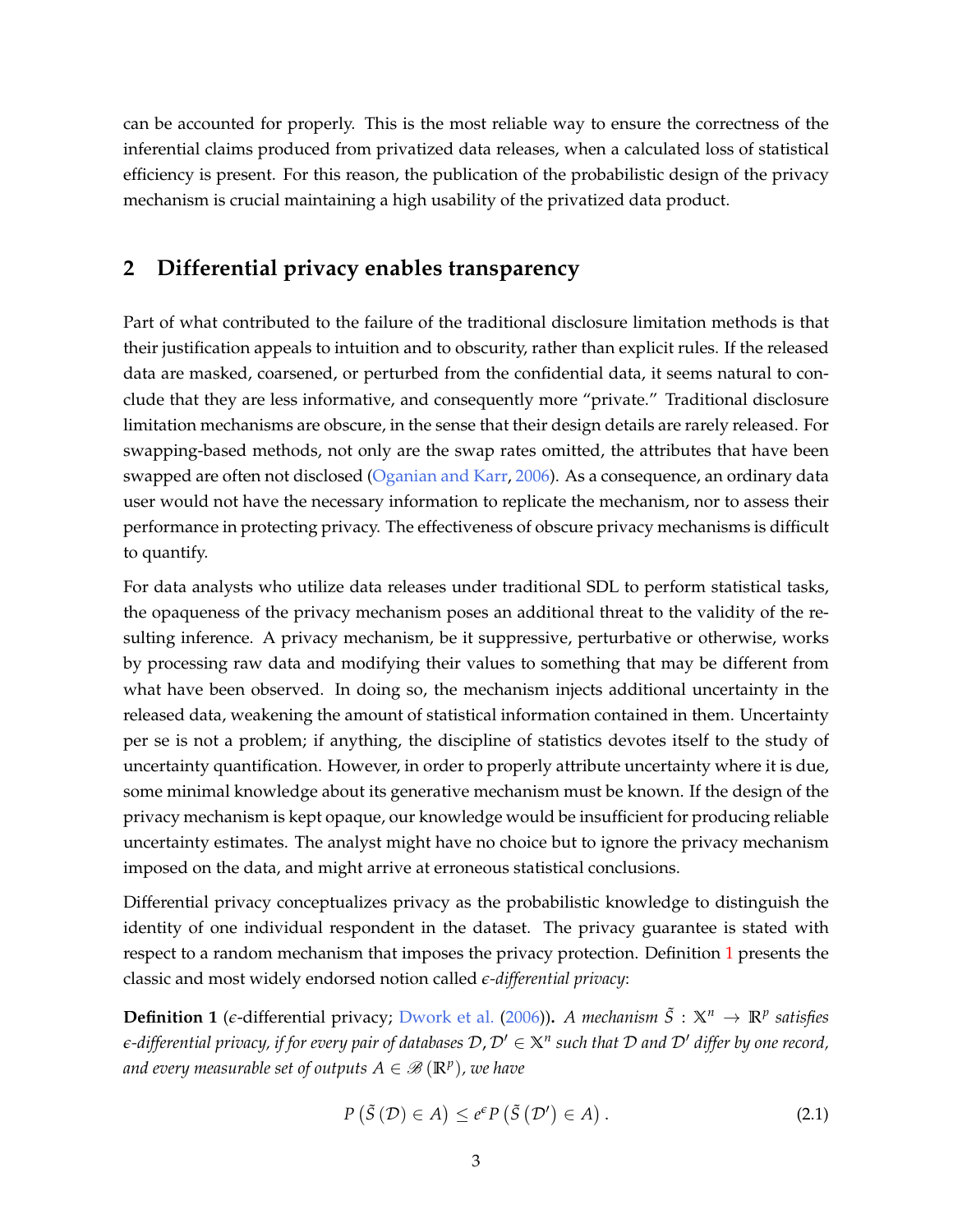can be accounted for properly. This is the most reliable way to ensure the correctness of the inferential claims produced from privatized data releases, when a calculated loss of statistical efficiency is present. For this reason, the publication of the probabilistic design of the privacy mechanism is crucial maintaining a high usability of the privatized data product.

## <span id="page-2-2"></span>**2 Differential privacy enables transparency**

Part of what contributed to the failure of the traditional disclosure limitation methods is that their justification appeals to intuition and to obscurity, rather than explicit rules. If the released data are masked, coarsened, or perturbed from the confidential data, it seems natural to conclude that they are less informative, and consequently more "private." Traditional disclosure limitation mechanisms are obscure, in the sense that their design details are rarely released. For swapping-based methods, not only are the swap rates omitted, the attributes that have been swapped are often not disclosed [\(Oganian and Karr,](#page-23-1) [2006\)](#page-23-1). As a consequence, an ordinary data user would not have the necessary information to replicate the mechanism, nor to assess their performance in protecting privacy. The effectiveness of obscure privacy mechanisms is difficult to quantify.

For data analysts who utilize data releases under traditional SDL to perform statistical tasks, the opaqueness of the privacy mechanism poses an additional threat to the validity of the resulting inference. A privacy mechanism, be it suppressive, perturbative or otherwise, works by processing raw data and modifying their values to something that may be different from what have been observed. In doing so, the mechanism injects additional uncertainty in the released data, weakening the amount of statistical information contained in them. Uncertainty per se is not a problem; if anything, the discipline of statistics devotes itself to the study of uncertainty quantification. However, in order to properly attribute uncertainty where it is due, some minimal knowledge about its generative mechanism must be known. If the design of the privacy mechanism is kept opaque, our knowledge would be insufficient for producing reliable uncertainty estimates. The analyst might have no choice but to ignore the privacy mechanism imposed on the data, and might arrive at erroneous statistical conclusions.

Differential privacy conceptualizes privacy as the probabilistic knowledge to distinguish the identity of one individual respondent in the dataset. The privacy guarantee is stated with respect to a random mechanism that imposes the privacy protection. Definition [1](#page-2-0) presents the classic and most widely endorsed notion called *e-differential privacy*:

<span id="page-2-0"></span>**Definition 1** ( $\epsilon$ -differential privacy; [Dwork et al.](#page-21-1) [\(2006\)](#page-21-1)). *A mechanism*  $\tilde{S}: \mathbb{X}^n \to \mathbb{R}^p$  satisfies  $e$ -differential privacy, if for every pair of databases  $\mathcal{D}$  ,  $\mathcal{D}'\in\mathbb{X}^n$  such that  $\mathcal D$  and  $\mathcal D'$  differ by one record, and every measurable set of outputs  $A \in \mathscr{B}\left(\mathbb{R}^p\right)$ , we have

<span id="page-2-1"></span>
$$
P\left(\tilde{S}\left(\mathcal{D}\right)\in A\right)\leq e^{\epsilon}P\left(\tilde{S}\left(\mathcal{D}'\right)\in A\right).
$$
\n(2.1)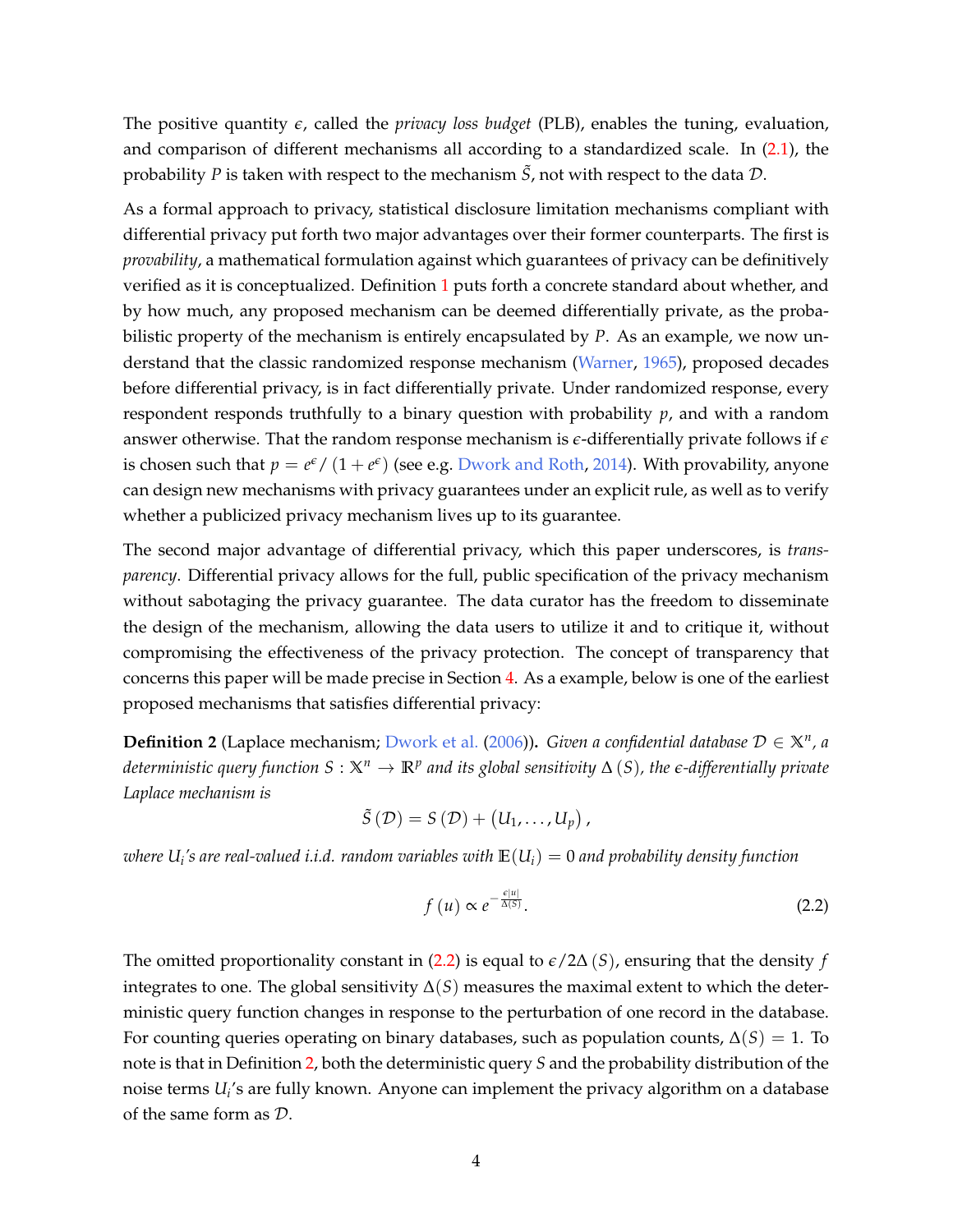The positive quantity *e*, called the *privacy loss budget* (PLB), enables the tuning, evaluation, and comparison of different mechanisms all according to a standardized scale. In [\(2.1\)](#page-2-1), the probability *P* is taken with respect to the mechanism  $\tilde{S}$ , not with respect to the data  $\mathcal{D}$ .

As a formal approach to privacy, statistical disclosure limitation mechanisms compliant with differential privacy put forth two major advantages over their former counterparts. The first is *provability*, a mathematical formulation against which guarantees of privacy can be definitively verified as it is conceptualized. Definition [1](#page-2-0) puts forth a concrete standard about whether, and by how much, any proposed mechanism can be deemed differentially private, as the probabilistic property of the mechanism is entirely encapsulated by *P*. As an example, we now understand that the classic randomized response mechanism [\(Warner,](#page-25-0) [1965\)](#page-25-0), proposed decades before differential privacy, is in fact differentially private. Under randomized response, every respondent responds truthfully to a binary question with probability *p*, and with a random answer otherwise. That the random response mechanism is *e*-differentially private follows if *e* is chosen such that  $p = e^{\epsilon}/(1+e^{\epsilon})$  (see e.g. [Dwork and Roth,](#page-21-2) [2014\)](#page-21-2). With provability, anyone can design new mechanisms with privacy guarantees under an explicit rule, as well as to verify whether a publicized privacy mechanism lives up to its guarantee.

The second major advantage of differential privacy, which this paper underscores, is *transparency*. Differential privacy allows for the full, public specification of the privacy mechanism without sabotaging the privacy guarantee. The data curator has the freedom to disseminate the design of the mechanism, allowing the data users to utilize it and to critique it, without compromising the effectiveness of the privacy protection. The concept of transparency that concerns this paper will be made precise in Section [4.](#page-9-0) As a example, below is one of the earliest proposed mechanisms that satisfies differential privacy:

<span id="page-3-1"></span>**Definition 2** (Laplace mechanism; [Dwork et al.](#page-21-1) [\(2006\)](#page-21-1))**.** *Given a confidential database* D ∈ **X***<sup>n</sup> , a*  $d$ eterministic query function  $S:\mathbb{X}^n\to \mathbb{R}^p$  and its global sensitivity  $\Delta\left(S\right)$ , the  $\epsilon$ -differentially private *Laplace mechanism is*

$$
\tilde{S}(\mathcal{D})=S(\mathcal{D})+\big(U_1,\ldots,U_p\big)\,,
$$

*where U<sup>i</sup> 's are real-valued i.i.d. random variables with* **E**(*Ui*) = 0 *and probability density function*

<span id="page-3-0"></span>
$$
f\left(u\right) \propto e^{-\frac{\epsilon |u|}{\Delta(S)}}.\tag{2.2}
$$

The omitted proportionality constant in [\(2.2\)](#page-3-0) is equal to  $\epsilon/2\Delta(S)$ , ensuring that the density *f* integrates to one. The global sensitivity  $\Delta(S)$  measures the maximal extent to which the deterministic query function changes in response to the perturbation of one record in the database. For counting queries operating on binary databases, such as population counts,  $\Delta(S) = 1$ . To note is that in Definition [2,](#page-3-1) both the deterministic query *S* and the probability distribution of the noise terms *U<sup>i</sup>* 's are fully known. Anyone can implement the privacy algorithm on a database of the same form as D.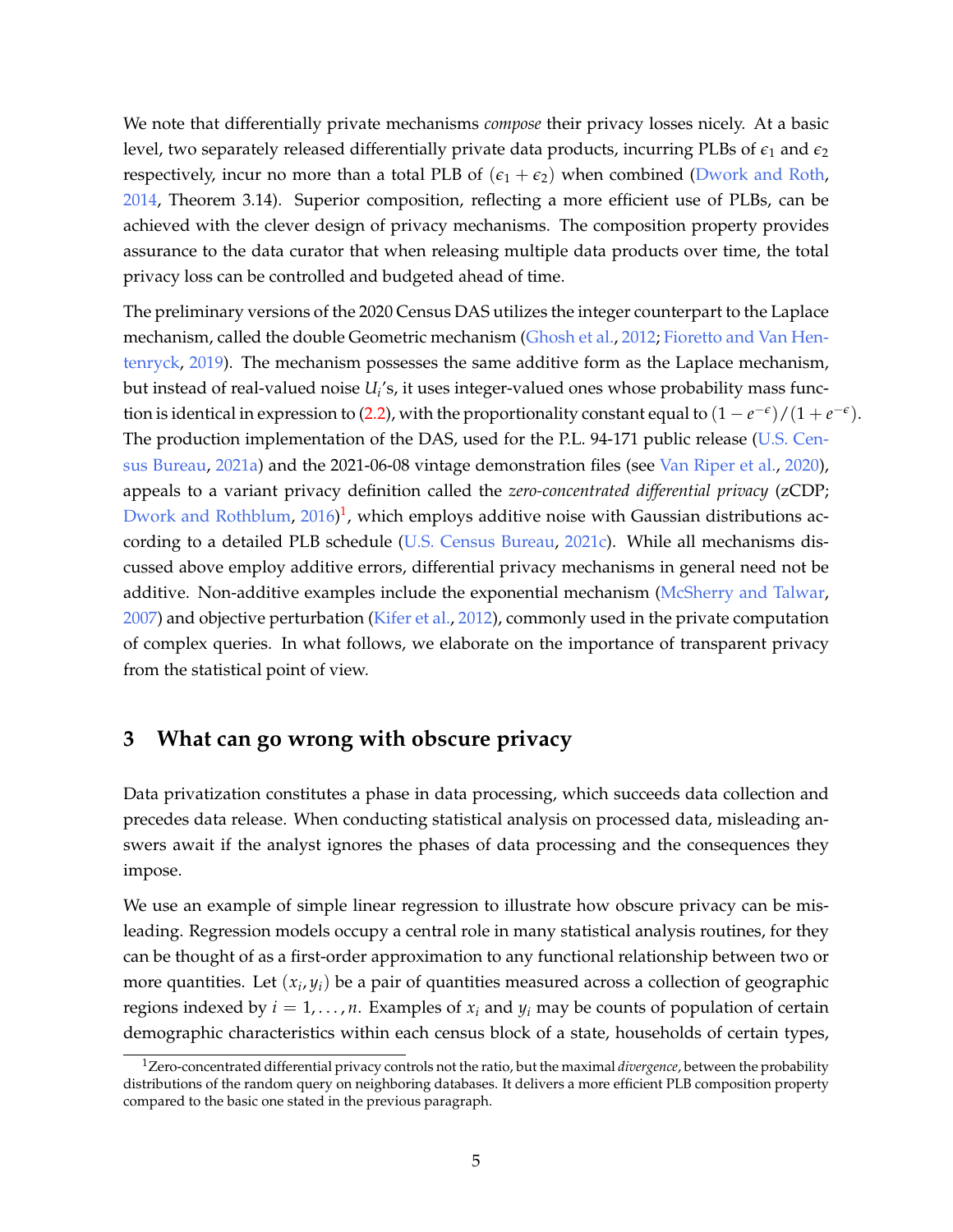We note that differentially private mechanisms *compose* their privacy losses nicely. At a basic level, two separately released differentially private data products, incurring PLBs of  $\epsilon_1$  and  $\epsilon_2$ respectively, incur no more than a total PLB of  $(\epsilon_1 + \epsilon_2)$  when combined [\(Dwork and Roth,](#page-21-2) [2014,](#page-21-2) Theorem 3.14). Superior composition, reflecting a more efficient use of PLBs, can be achieved with the clever design of privacy mechanisms. The composition property provides assurance to the data curator that when releasing multiple data products over time, the total privacy loss can be controlled and budgeted ahead of time.

The preliminary versions of the 2020 Census DAS utilizes the integer counterpart to the Laplace mechanism, called the double Geometric mechanism [\(Ghosh et al.,](#page-21-3) [2012;](#page-21-3) [Fioretto and Van Hen](#page-21-4)[tenryck,](#page-21-4) [2019\)](#page-21-4). The mechanism possesses the same additive form as the Laplace mechanism, but instead of real-valued noise  $U_i$ 's, it uses integer-valued ones whose probability mass func-tion is identical in expression to [\(2.2\)](#page-3-0), with the proportionality constant equal to  $(1-e^{-\epsilon})/(1+e^{-\epsilon})$ . The production implementation of the DAS, used for the P.L. 94-171 public release [\(U.S. Cen](#page-24-3)[sus Bureau,](#page-24-3) [2021a\)](#page-24-3) and the 2021-06-08 vintage demonstration files (see [Van Riper et al.,](#page-25-1) [2020\)](#page-25-1), appeals to a variant privacy definition called the *zero-concentrated differential privacy* (zCDP; [Dwork and Rothblum,](#page-21-5)  $2016$  $2016$  $2016$ <sup>1</sup>, which employs additive noise with Gaussian distributions according to a detailed PLB schedule [\(U.S. Census Bureau,](#page-24-4) [2021c\)](#page-24-4). While all mechanisms discussed above employ additive errors, differential privacy mechanisms in general need not be additive. Non-additive examples include the exponential mechanism [\(McSherry and Talwar,](#page-23-2) [2007\)](#page-23-2) and objective perturbation [\(Kifer et al.,](#page-22-1) [2012\)](#page-22-1), commonly used in the private computation of complex queries. In what follows, we elaborate on the importance of transparent privacy from the statistical point of view.

# <span id="page-4-0"></span>**3 What can go wrong with obscure privacy**

Data privatization constitutes a phase in data processing, which succeeds data collection and precedes data release. When conducting statistical analysis on processed data, misleading answers await if the analyst ignores the phases of data processing and the consequences they impose.

We use an example of simple linear regression to illustrate how obscure privacy can be misleading. Regression models occupy a central role in many statistical analysis routines, for they can be thought of as a first-order approximation to any functional relationship between two or more quantities. Let  $(x_i, y_i)$  be a pair of quantities measured across a collection of geographic regions indexed by  $i = 1, \ldots, n$ . Examples of  $x_i$  and  $y_i$  may be counts of population of certain demographic characteristics within each census block of a state, households of certain types,

<sup>1</sup>Zero-concentrated differential privacy controls not the ratio, but the maximal *divergence*, between the probability distributions of the random query on neighboring databases. It delivers a more efficient PLB composition property compared to the basic one stated in the previous paragraph.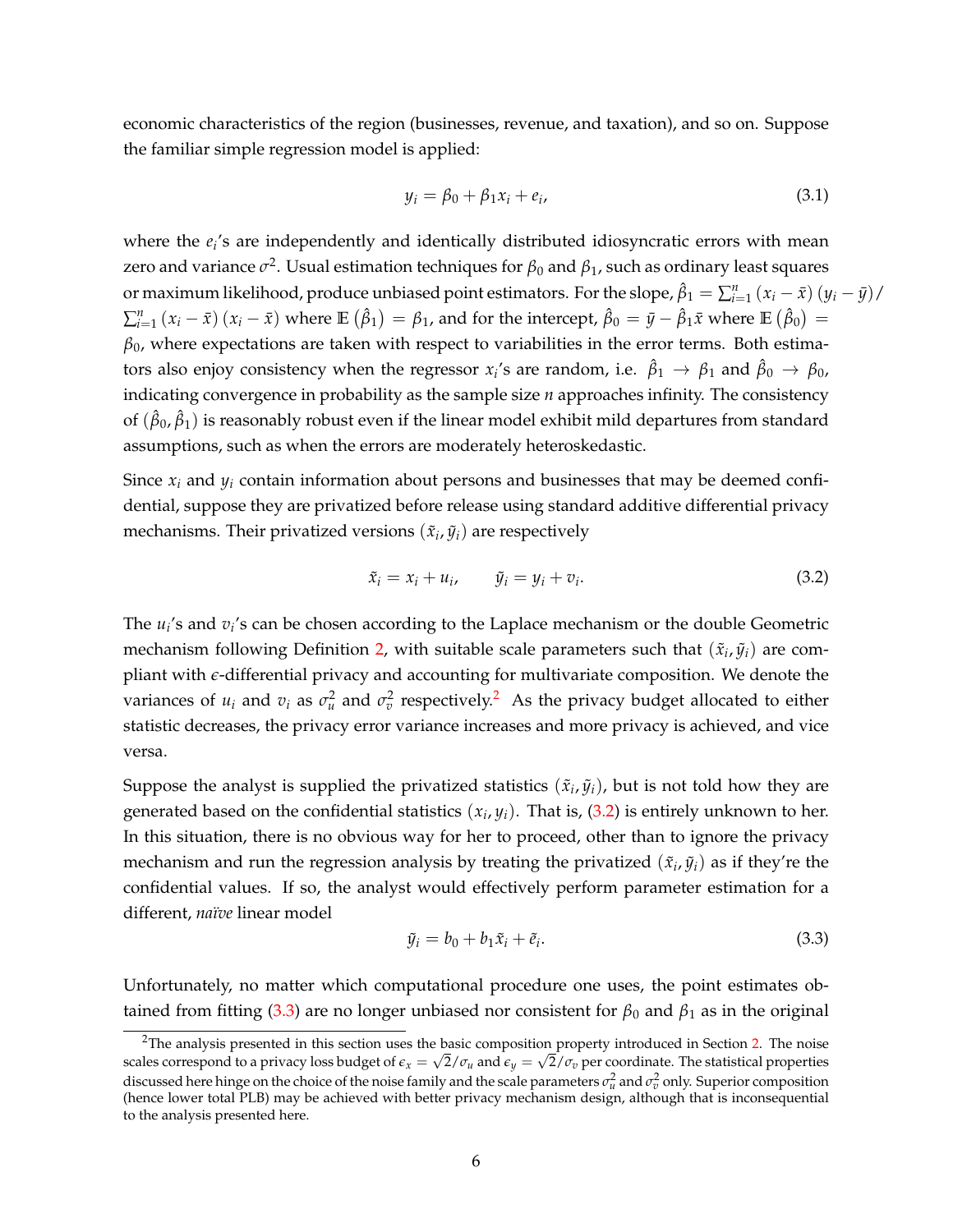economic characteristics of the region (businesses, revenue, and taxation), and so on. Suppose the familiar simple regression model is applied:

<span id="page-5-2"></span>
$$
y_i = \beta_0 + \beta_1 x_i + e_i, \tag{3.1}
$$

where the  $e_i$ 's are independently and identically distributed idiosyncratic errors with mean zero and variance  $\sigma^2$ . Usual estimation techniques for  $\beta_0$  and  $\beta_1$ , such as ordinary least squares or maximum likelihood, produce unbiased point estimators. For the slope,  $\hat{\beta}_1 = \sum_{i=1}^n (x_i - \bar{x}) (y_i - \bar{y})/$  $\sum_{i=1}^{n} (x_i - \bar{x}) (x_i - \bar{x})$  where  $\mathbb{E} (\hat{\beta}_1) = \beta_1$ , and for the intercept,  $\hat{\beta}_0 = \bar{y} - \hat{\beta}_1 \bar{x}$  where  $\mathbb{E} (\hat{\beta}_0) =$  $\beta_0$ , where expectations are taken with respect to variabilities in the error terms. Both estimators also enjoy consistency when the regressor  $x_i$ 's are random, i.e.  $\hat\beta_1\to\beta_1$  and  $\hat\beta_0\to\beta_0$ , indicating convergence in probability as the sample size *n* approaches infinity. The consistency of  $(\hat\beta_0,\hat\beta_1)$  is reasonably robust even if the linear model exhibit mild departures from standard assumptions, such as when the errors are moderately heteroskedastic.

Since  $x_i$  and  $y_i$  contain information about persons and businesses that may be deemed confidential, suppose they are privatized before release using standard additive differential privacy mechanisms. Their privatized versions  $(\tilde{x}_i, \tilde{y}_i)$  are respectively

<span id="page-5-0"></span>
$$
\tilde{x}_i = x_i + u_i, \qquad \tilde{y}_i = y_i + v_i. \tag{3.2}
$$

The  $u_i$ 's and  $v_i$ 's can be chosen according to the Laplace mechanism or the double Geometric mechanism following Definition [2,](#page-3-1) with suitable scale parameters such that  $(\tilde{x}_i, \tilde{y}_i)$  are compliant with *e*-differential privacy and accounting for multivariate composition. We denote the variances of  $u_i$  and  $v_i$  as  $\sigma_u^2$  $\sigma_u^2$  and  $\sigma_v^2$  respectively.<sup>2</sup> As the privacy budget allocated to either statistic decreases, the privacy error variance increases and more privacy is achieved, and vice versa.

Suppose the analyst is supplied the privatized statistics  $(\tilde{x}_i, \tilde{y}_i)$ , but is not told how they are generated based on the confidential statistics  $(x_i, y_i)$ . That is,  $(3.2)$  is entirely unknown to her. In this situation, there is no obvious way for her to proceed, other than to ignore the privacy mechanism and run the regression analysis by treating the privatized  $(\tilde{x}_i, \tilde{y}_i)$  as if they're the confidential values. If so, the analyst would effectively perform parameter estimation for a different, *naïve* linear model

<span id="page-5-1"></span>
$$
\tilde{y}_i = b_0 + b_1 \tilde{x}_i + \tilde{e}_i. \tag{3.3}
$$

Unfortunately, no matter which computational procedure one uses, the point estimates ob-tained from fitting [\(3.3\)](#page-5-1) are no longer unbiased nor consistent for  $\beta_0$  and  $\beta_1$  as in the original

<sup>&</sup>lt;sup>2</sup>The analysis presented in this section uses the basic composition property introduced in Section [2.](#page-2-2) The noise scales correspond to a privacy loss budget of  $\epsilon_x=\sqrt{2/\sigma_u}$  and  $\epsilon_y=\sqrt{2/\sigma_v}$  per coordinate. The statistical properties discussed here hinge on the choice of the noise family and the scale parameters  $\sigma_u^2$  and  $\sigma_v^2$  only. Superior composition (hence lower total PLB) may be achieved with better privacy mechanism design, although that is inconsequential to the analysis presented here.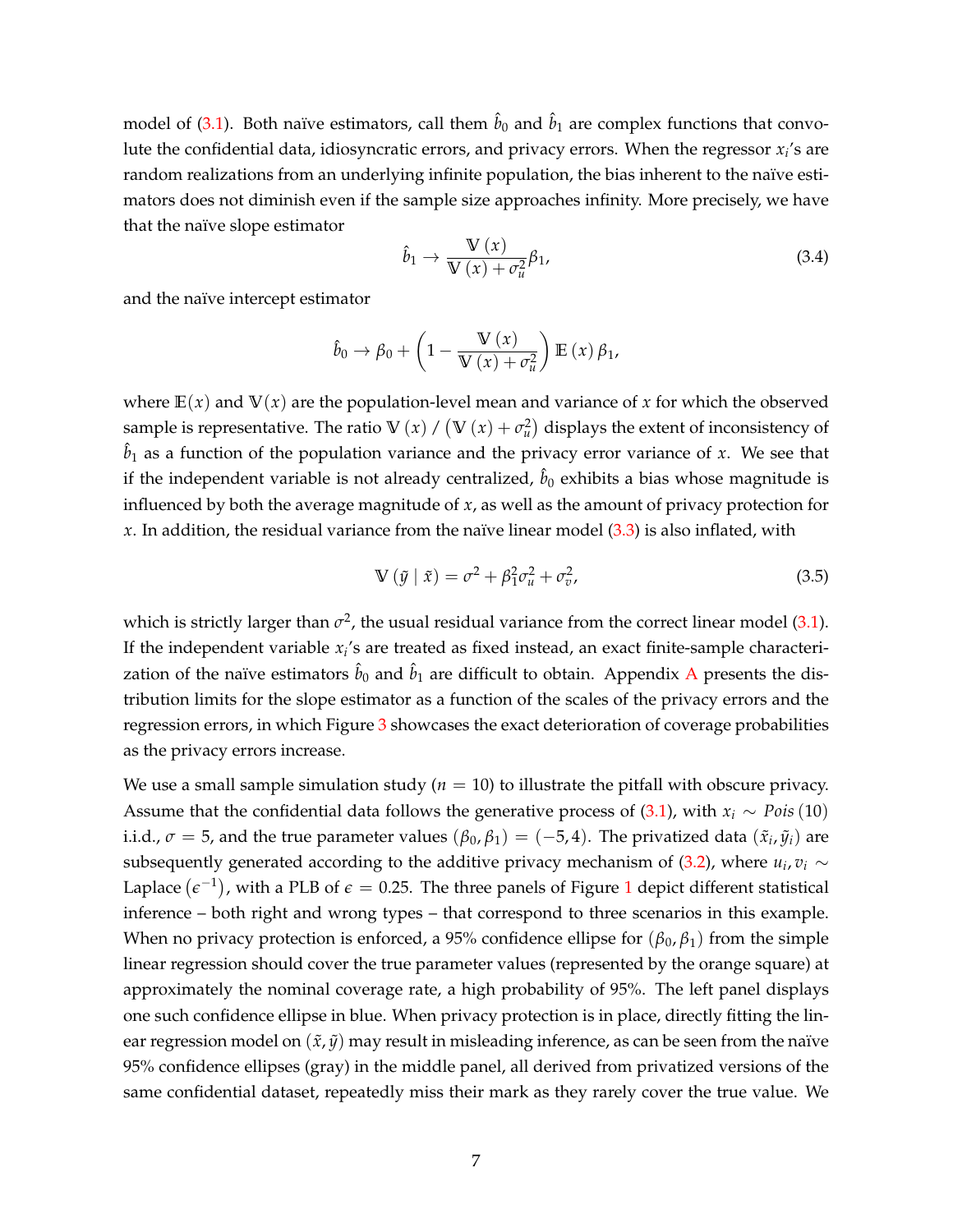model of [\(3.1\)](#page-5-2). Both naïve estimators, call them  $\hat{b}_0$  and  $\hat{b}_1$  are complex functions that convolute the confidential data, idiosyncratic errors, and privacy errors. When the regressor *x<sup>i</sup>* 's are random realizations from an underlying infinite population, the bias inherent to the naïve estimators does not diminish even if the sample size approaches infinity. More precisely, we have that the naïve slope estimator

$$
\hat{b}_1 \to \frac{\mathbb{V}(x)}{\mathbb{V}(x) + \sigma_u^2} \beta_1,\tag{3.4}
$$

and the naïve intercept estimator

$$
\hat{b}_0 \rightarrow \beta_0 + \left(1 - \frac{\mathbb{V}(x)}{\mathbb{V}(x) + \sigma_u^2}\right) \mathbb{E}(x) \beta_1,
$$

where  $E(x)$  and  $V(x)$  are the population-level mean and variance of x for which the observed sample is representative. The ratio  $\mathbb{V}(x)$  /  $(\mathbb{V}(x) + \sigma_u^2)$  displays the extent of inconsistency of  $\hat{b}_1$  as a function of the population variance and the privacy error variance of *x*. We see that if the independent variable is not already centralized,  $\hat{b}_0$  exhibits a bias whose magnitude is influenced by both the average magnitude of *x*, as well as the amount of privacy protection for *x*. In addition, the residual variance from the naïve linear model [\(3.3\)](#page-5-1) is also inflated, with

<span id="page-6-0"></span>
$$
\mathbb{V}\left(\tilde{y} \mid \tilde{x}\right) = \sigma^2 + \beta_1^2 \sigma_u^2 + \sigma_v^2,\tag{3.5}
$$

which is strictly larger than  $\sigma^2$ , the usual residual variance from the correct linear model [\(3.1\)](#page-5-2). If the independent variable *x<sup>i</sup>* 's are treated as fixed instead, an exact finite-sample characterization of the naïve estimators  $\hat{b}_0$  and  $\hat{b}_1$  are difficult to obtain. [A](#page-26-0)ppendix A presents the distribution limits for the slope estimator as a function of the scales of the privacy errors and the regression errors, in which Figure [3](#page-27-0) showcases the exact deterioration of coverage probabilities as the privacy errors increase.

We use a small sample simulation study  $(n = 10)$  to illustrate the pitfall with obscure privacy. Assume that the confidential data follows the generative process of  $(3.1)$ , with  $x_i \sim Pois(10)$ i.i.d.,  $\sigma = 5$ , and the true parameter values  $(\beta_0, \beta_1) = (-5, 4)$ . The privatized data  $(\tilde{x}_i, \tilde{y}_i)$  are subsequently generated according to the additive privacy mechanism of [\(3.2\)](#page-5-0), where  $u_i$ ,  $v_i \sim$ Laplace  $(\epsilon^{-1})$  $(\epsilon^{-1})$  $(\epsilon^{-1})$ , with a PLB of  $\epsilon=$  0.25. The three panels of Figure 1 depict different statistical inference – both right and wrong types – that correspond to three scenarios in this example. When no privacy protection is enforced, a 95% confidence ellipse for  $(\beta_0, \beta_1)$  from the simple linear regression should cover the true parameter values (represented by the orange square) at approximately the nominal coverage rate, a high probability of 95%. The left panel displays one such confidence ellipse in blue. When privacy protection is in place, directly fitting the linear regression model on  $(\tilde{x}, \tilde{y})$  may result in misleading inference, as can be seen from the naïve 95% confidence ellipses (gray) in the middle panel, all derived from privatized versions of the same confidential dataset, repeatedly miss their mark as they rarely cover the true value. We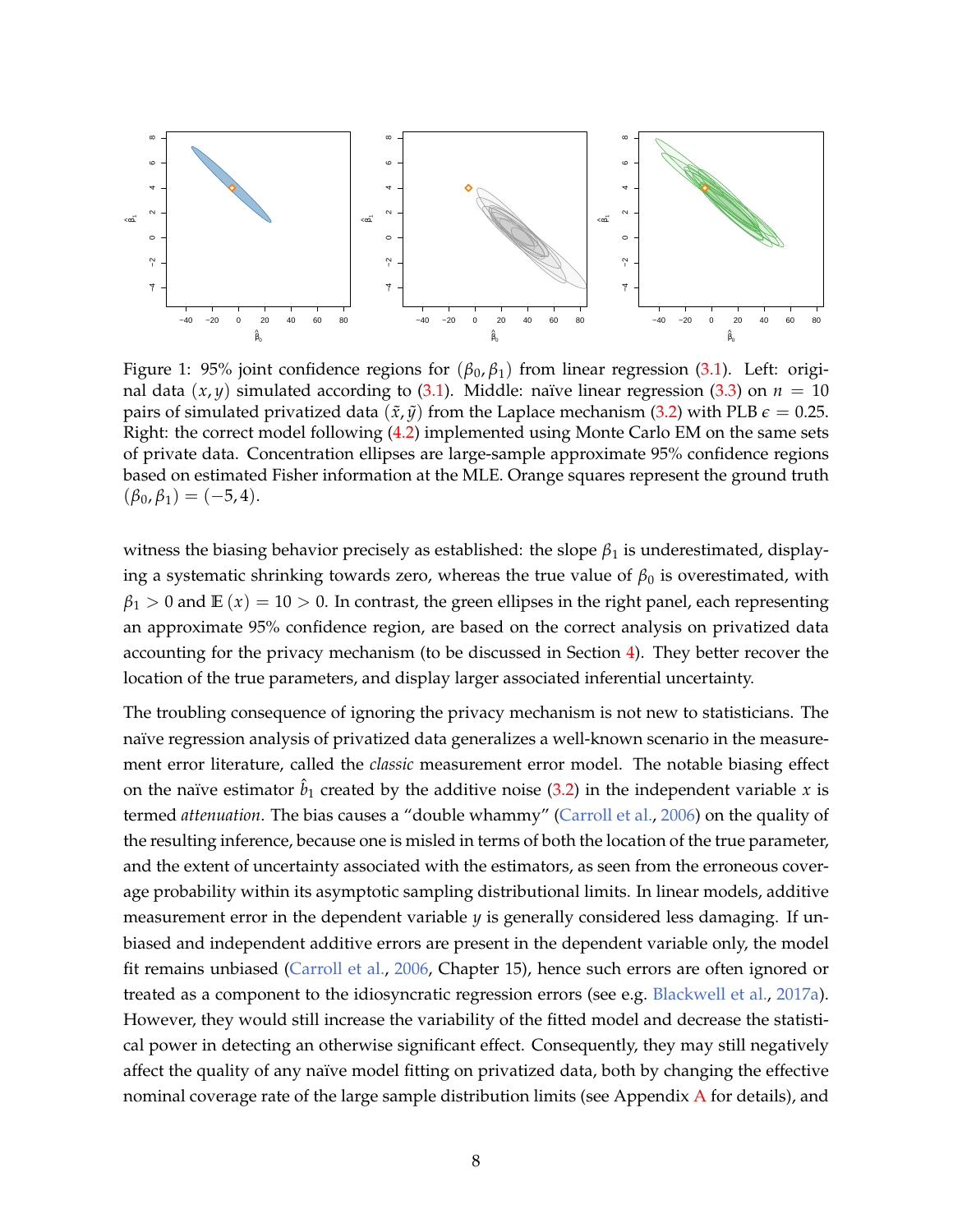<span id="page-7-0"></span>

Figure 1: 95% joint confidence regions for  $(\beta_0, \beta_1)$  from linear regression [\(3.1\)](#page-5-2). Left: original data  $(x, y)$  simulated according to [\(3.1\)](#page-5-2). Middle: naïve linear regression [\(3.3\)](#page-5-1) on  $n = 10$ pairs of simulated privatized data  $(\tilde{x}, \tilde{y})$  from the Laplace mechanism [\(3.2\)](#page-5-0) with PLB  $\epsilon = 0.25$ . Right: the correct model following [\(4.2\)](#page-10-0) implemented using Monte Carlo EM on the same sets of private data. Concentration ellipses are large-sample approximate 95% confidence regions based on estimated Fisher information at the MLE. Orange squares represent the ground truth  $(\beta_0, \beta_1) = (-5, 4).$ 

witness the biasing behavior precisely as established: the slope  $\beta_1$  is underestimated, displaying a systematic shrinking towards zero, whereas the true value of  $\beta_0$  is overestimated, with  $\beta_1 > 0$  and  $\mathbb{E}(x) = 10 > 0$ . In contrast, the green ellipses in the right panel, each representing an approximate 95% confidence region, are based on the correct analysis on privatized data accounting for the privacy mechanism (to be discussed in Section [4\)](#page-9-0). They better recover the location of the true parameters, and display larger associated inferential uncertainty.

The troubling consequence of ignoring the privacy mechanism is not new to statisticians. The naïve regression analysis of privatized data generalizes a well-known scenario in the measurement error literature, called the *classic* measurement error model. The notable biasing effect on the naïve estimator  $\hat{b}_1$  created by the additive noise [\(3.2\)](#page-5-0) in the independent variable *x* is termed *attenuation*. The bias causes a "double whammy" [\(Carroll et al.,](#page-21-6) [2006\)](#page-21-6) on the quality of the resulting inference, because one is misled in terms of both the location of the true parameter, and the extent of uncertainty associated with the estimators, as seen from the erroneous coverage probability within its asymptotic sampling distributional limits. In linear models, additive measurement error in the dependent variable *y* is generally considered less damaging. If unbiased and independent additive errors are present in the dependent variable only, the model fit remains unbiased [\(Carroll et al.,](#page-21-6) [2006,](#page-21-6) Chapter 15), hence such errors are often ignored or treated as a component to the idiosyncratic regression errors (see e.g. [Blackwell et al.,](#page-20-3) [2017a\)](#page-20-3). However, they would still increase the variability of the fitted model and decrease the statistical power in detecting an otherwise significant effect. Consequently, they may still negatively affect the quality of any naïve model fitting on privatized data, both by changing the effective nominal coverage rate of the large sample distribution limits (see [A](#page-26-0)ppendix  $\overline{A}$  for details), and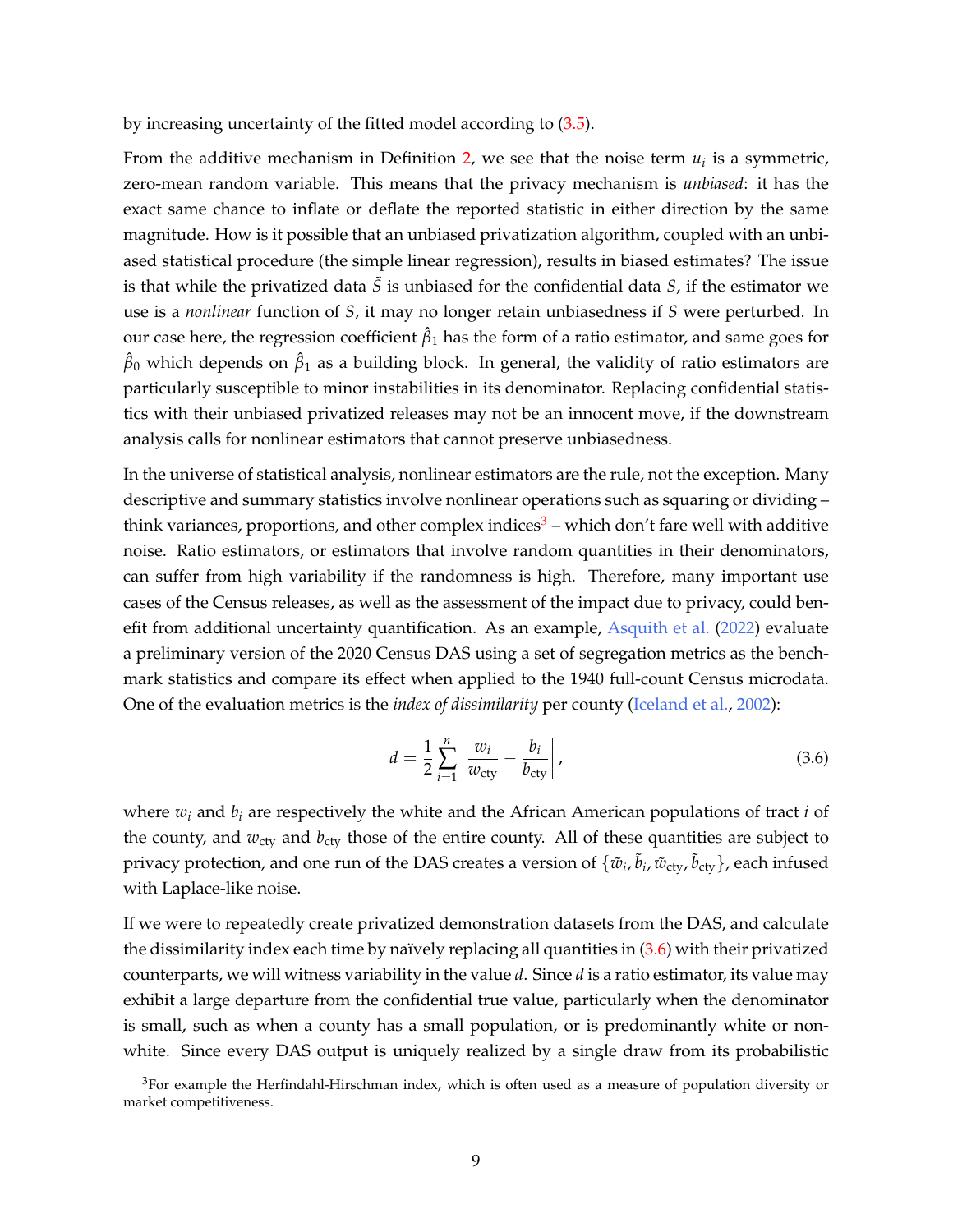by increasing uncertainty of the fitted model according to [\(3.5\)](#page-6-0).

From the additive mechanism in Definition [2,](#page-3-1) we see that the noise term  $u_i$  is a symmetric, zero-mean random variable. This means that the privacy mechanism is *unbiased*: it has the exact same chance to inflate or deflate the reported statistic in either direction by the same magnitude. How is it possible that an unbiased privatization algorithm, coupled with an unbiased statistical procedure (the simple linear regression), results in biased estimates? The issue is that while the privatized data  $\tilde{S}$  is unbiased for the confidential data  $S$ , if the estimator we use is a *nonlinear* function of *S*, it may no longer retain unbiasedness if *S* were perturbed. In  $\mathop{\rm our}$  case here, the regression coefficient  $\hat{\beta}_1$  has the form of a ratio estimator, and same goes for  $\hat\beta_0$  which depends on  $\hat\beta_1$  as a building block. In general, the validity of ratio estimators are particularly susceptible to minor instabilities in its denominator. Replacing confidential statistics with their unbiased privatized releases may not be an innocent move, if the downstream analysis calls for nonlinear estimators that cannot preserve unbiasedness.

In the universe of statistical analysis, nonlinear estimators are the rule, not the exception. Many descriptive and summary statistics involve nonlinear operations such as squaring or dividing – think variances, proportions, and other complex indices<sup>[3](#page-0-0)</sup> – which don't fare well with additive noise. Ratio estimators, or estimators that involve random quantities in their denominators, can suffer from high variability if the randomness is high. Therefore, many important use cases of the Census releases, as well as the assessment of the impact due to privacy, could benefit from additional uncertainty quantification. As an example, [Asquith et al.](#page-20-4) [\(2022\)](#page-20-4) evaluate a preliminary version of the 2020 Census DAS using a set of segregation metrics as the benchmark statistics and compare its effect when applied to the 1940 full-count Census microdata. One of the evaluation metrics is the *index of dissimilarity* per county [\(Iceland et al.,](#page-22-2) [2002\)](#page-22-2):

<span id="page-8-0"></span>
$$
d = \frac{1}{2} \sum_{i=1}^{n} \left| \frac{w_i}{w_{\text{cty}}} - \frac{b_i}{b_{\text{cty}}} \right|,
$$
\n(3.6)

where *w<sup>i</sup>* and *b<sup>i</sup>* are respectively the white and the African American populations of tract *i* of the county, and  $w_{\text{cty}}$  and  $b_{\text{cty}}$  those of the entire county. All of these quantities are subject to privacy protection, and one run of the DAS creates a version of  $\{\tilde w_i,\tilde b_i,\tilde w_{\rm cty},\tilde b_{\rm cty}\}$ , each infused with Laplace-like noise.

If we were to repeatedly create privatized demonstration datasets from the DAS, and calculate the dissimilarity index each time by naïvely replacing all quantities in  $(3.6)$  with their privatized counterparts, we will witness variability in the value *d*. Since *d* is a ratio estimator, its value may exhibit a large departure from the confidential true value, particularly when the denominator is small, such as when a county has a small population, or is predominantly white or nonwhite. Since every DAS output is uniquely realized by a single draw from its probabilistic

 $3$ For example the Herfindahl-Hirschman index, which is often used as a measure of population diversity or market competitiveness.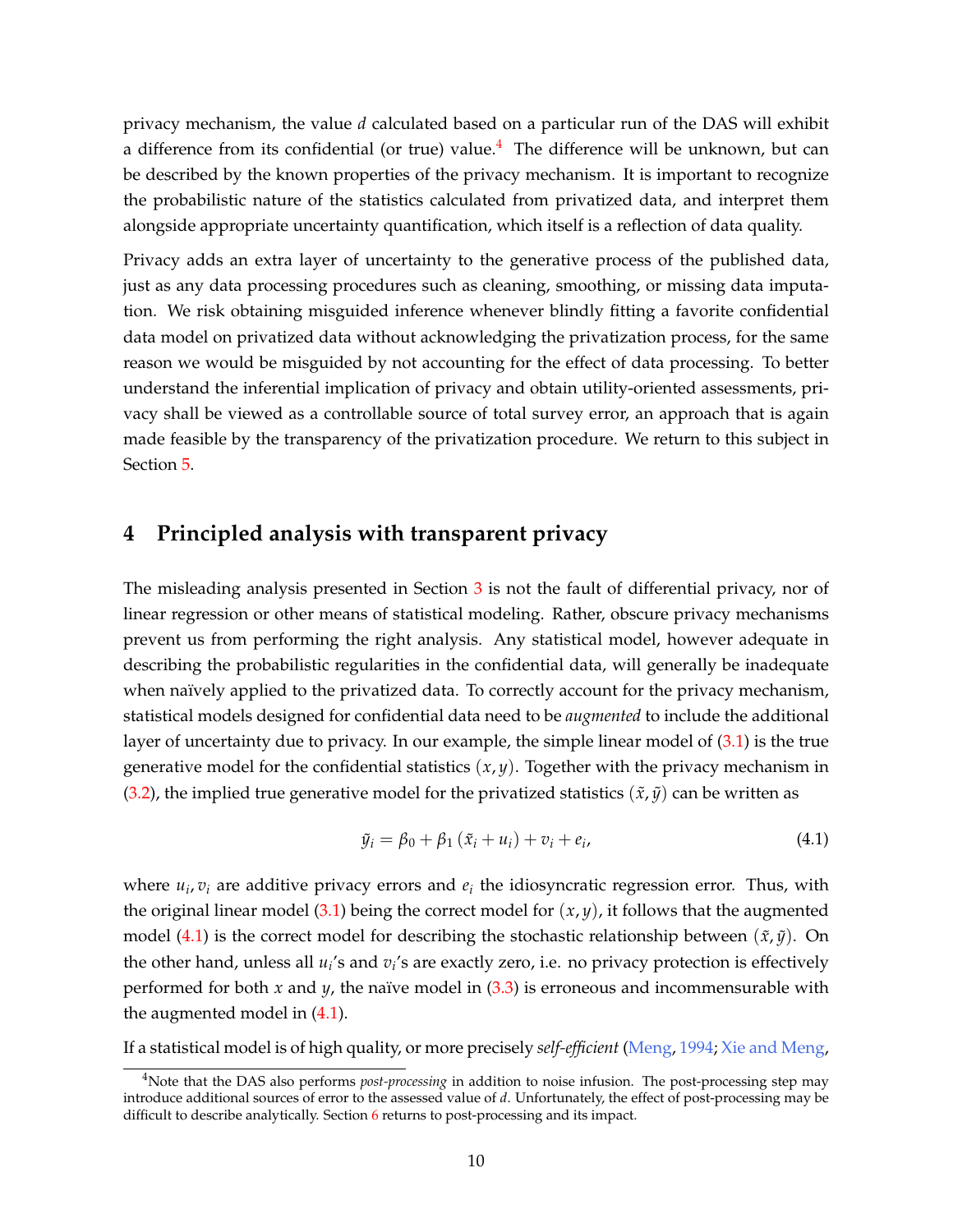privacy mechanism, the value *d* calculated based on a particular run of the DAS will exhibit a difference from its confidential (or true) value.<sup>[4](#page-0-0)</sup> The difference will be unknown, but can be described by the known properties of the privacy mechanism. It is important to recognize the probabilistic nature of the statistics calculated from privatized data, and interpret them alongside appropriate uncertainty quantification, which itself is a reflection of data quality.

Privacy adds an extra layer of uncertainty to the generative process of the published data, just as any data processing procedures such as cleaning, smoothing, or missing data imputation. We risk obtaining misguided inference whenever blindly fitting a favorite confidential data model on privatized data without acknowledging the privatization process, for the same reason we would be misguided by not accounting for the effect of data processing. To better understand the inferential implication of privacy and obtain utility-oriented assessments, privacy shall be viewed as a controllable source of total survey error, an approach that is again made feasible by the transparency of the privatization procedure. We return to this subject in Section [5.](#page-14-0)

# <span id="page-9-0"></span>**4 Principled analysis with transparent privacy**

The misleading analysis presented in Section  $3$  is not the fault of differential privacy, nor of linear regression or other means of statistical modeling. Rather, obscure privacy mechanisms prevent us from performing the right analysis. Any statistical model, however adequate in describing the probabilistic regularities in the confidential data, will generally be inadequate when naïvely applied to the privatized data. To correctly account for the privacy mechanism, statistical models designed for confidential data need to be *augmented* to include the additional layer of uncertainty due to privacy. In our example, the simple linear model of [\(3.1\)](#page-5-2) is the true generative model for the confidential statistics (*x*, *y*). Together with the privacy mechanism in [\(3.2\)](#page-5-0), the implied true generative model for the privatized statistics  $(\tilde{x}, \tilde{y})$  can be written as

<span id="page-9-1"></span>
$$
\tilde{y}_i = \beta_0 + \beta_1 \left( \tilde{x}_i + u_i \right) + v_i + e_i, \tag{4.1}
$$

where  $u_i$ ,  $v_i$  are additive privacy errors and  $e_i$  the idiosyncratic regression error. Thus, with the original linear model  $(3.1)$  being the correct model for  $(x, y)$ , it follows that the augmented model [\(4.1\)](#page-9-1) is the correct model for describing the stochastic relationship between  $(\tilde{x}, \tilde{y})$ . On the other hand, unless all *u<sup>i</sup>* 's and *v<sup>i</sup>* 's are exactly zero, i.e. no privacy protection is effectively performed for both  $x$  and  $y$ , the naïve model in  $(3.3)$  is erroneous and incommensurable with the augmented model in [\(4.1\)](#page-9-1).

If a statistical model is of high quality, or more precisely *self-efficient* [\(Meng,](#page-23-3) [1994;](#page-23-3) [Xie and Meng,](#page-25-2)

<sup>&</sup>lt;sup>4</sup>Note that the DAS also performs *post-processing* in addition to noise infusion. The post-processing step may introduce additional sources of error to the assessed value of *d*. Unfortunately, the effect of post-processing may be difficult to describe analytically. Section [6](#page-17-0) returns to post-processing and its impact.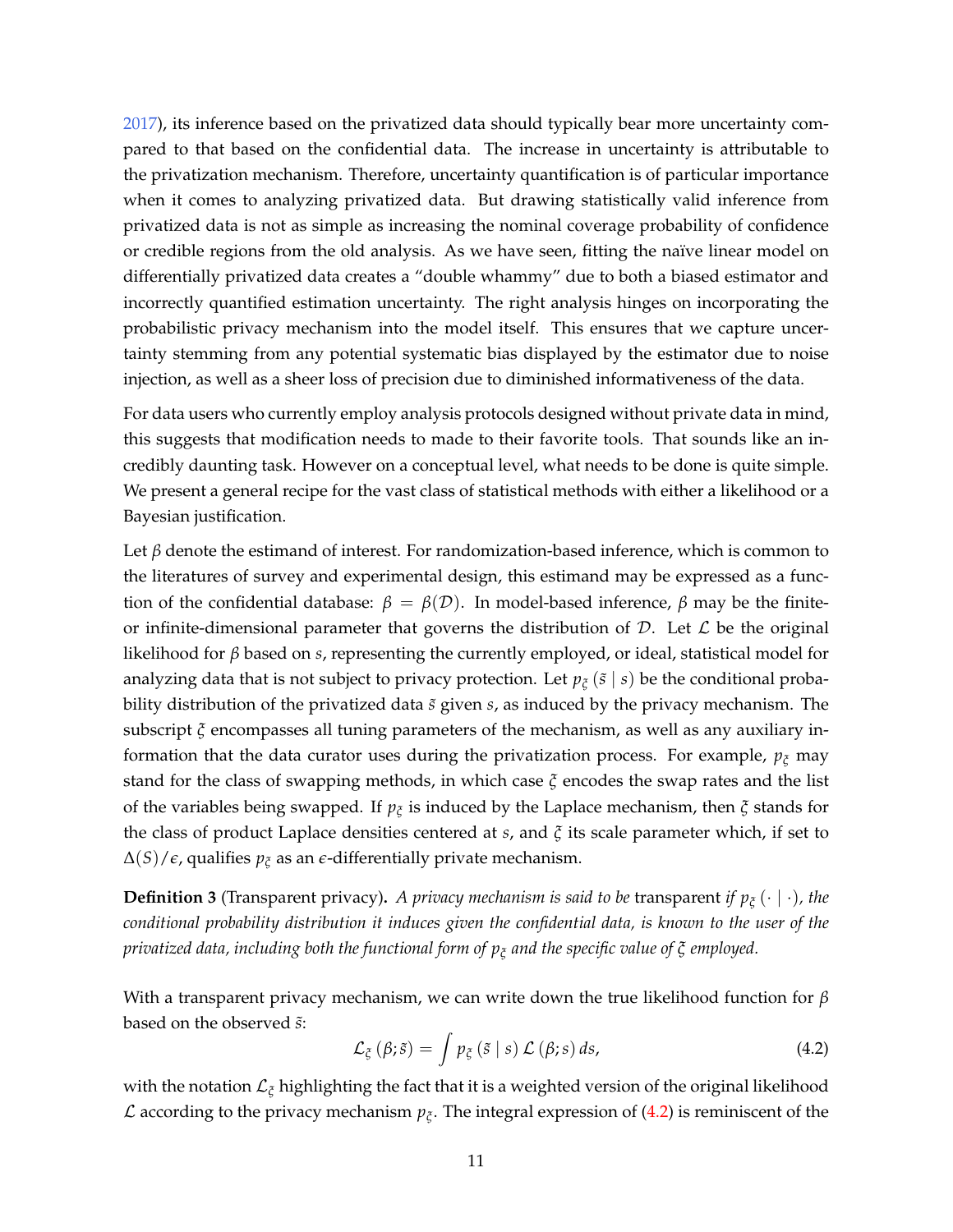[2017\)](#page-25-2), its inference based on the privatized data should typically bear more uncertainty compared to that based on the confidential data. The increase in uncertainty is attributable to the privatization mechanism. Therefore, uncertainty quantification is of particular importance when it comes to analyzing privatized data. But drawing statistically valid inference from privatized data is not as simple as increasing the nominal coverage probability of confidence or credible regions from the old analysis. As we have seen, fitting the naïve linear model on differentially privatized data creates a "double whammy" due to both a biased estimator and incorrectly quantified estimation uncertainty. The right analysis hinges on incorporating the probabilistic privacy mechanism into the model itself. This ensures that we capture uncertainty stemming from any potential systematic bias displayed by the estimator due to noise injection, as well as a sheer loss of precision due to diminished informativeness of the data.

For data users who currently employ analysis protocols designed without private data in mind, this suggests that modification needs to made to their favorite tools. That sounds like an incredibly daunting task. However on a conceptual level, what needs to be done is quite simple. We present a general recipe for the vast class of statistical methods with either a likelihood or a Bayesian justification.

Let *β* denote the estimand of interest. For randomization-based inference, which is common to the literatures of survey and experimental design, this estimand may be expressed as a function of the confidential database:  $β = β(Ω)$ . In model-based inference,  $β$  may be the finiteor infinite-dimensional parameter that governs the distribution of  $D$ . Let  $\mathcal L$  be the original likelihood for *β* based on *s*, representing the currently employed, or ideal, statistical model for analyzing data that is not subject to privacy protection. Let  $p_{\xi}$  ( $\tilde{s}$  | *s*) be the conditional probability distribution of the privatized data  $\tilde{s}$  given  $s$ , as induced by the privacy mechanism. The subscript *ξ* encompasses all tuning parameters of the mechanism, as well as any auxiliary information that the data curator uses during the privatization process. For example, *p<sup>ξ</sup>* may stand for the class of swapping methods, in which case *ξ* encodes the swap rates and the list of the variables being swapped. If *p<sup>ξ</sup>* is induced by the Laplace mechanism, then *ξ* stands for the class of product Laplace densities centered at *s*, and *ξ* its scale parameter which, if set to ∆(*S*)/*e*, qualifies *p<sup>ξ</sup>* as an *e*-differentially private mechanism.

**Definition 3** (Transparent privacy)**.** *A privacy mechanism is said to be* transparent *if p<sup>ξ</sup>* (· | ·)*, the conditional probability distribution it induces given the confidential data, is known to the user of the privatized data, including both the functional form of p<sup>ξ</sup> and the specific value of ξ employed.*

With a transparent privacy mechanism, we can write down the true likelihood function for *β* based on the observed  $\tilde{s}$ :

<span id="page-10-0"></span>
$$
\mathcal{L}_{\xi}\left(\beta;\tilde{s}\right)=\int p_{\xi}\left(\tilde{s}\mid s\right)\mathcal{L}\left(\beta;s\right)ds,\tag{4.2}
$$

with the notation L*<sup>ξ</sup>* highlighting the fact that it is a weighted version of the original likelihood  $\mathcal L$  according to the privacy mechanism  $p_{\xi}$ . The integral expression of [\(4.2\)](#page-10-0) is reminiscent of the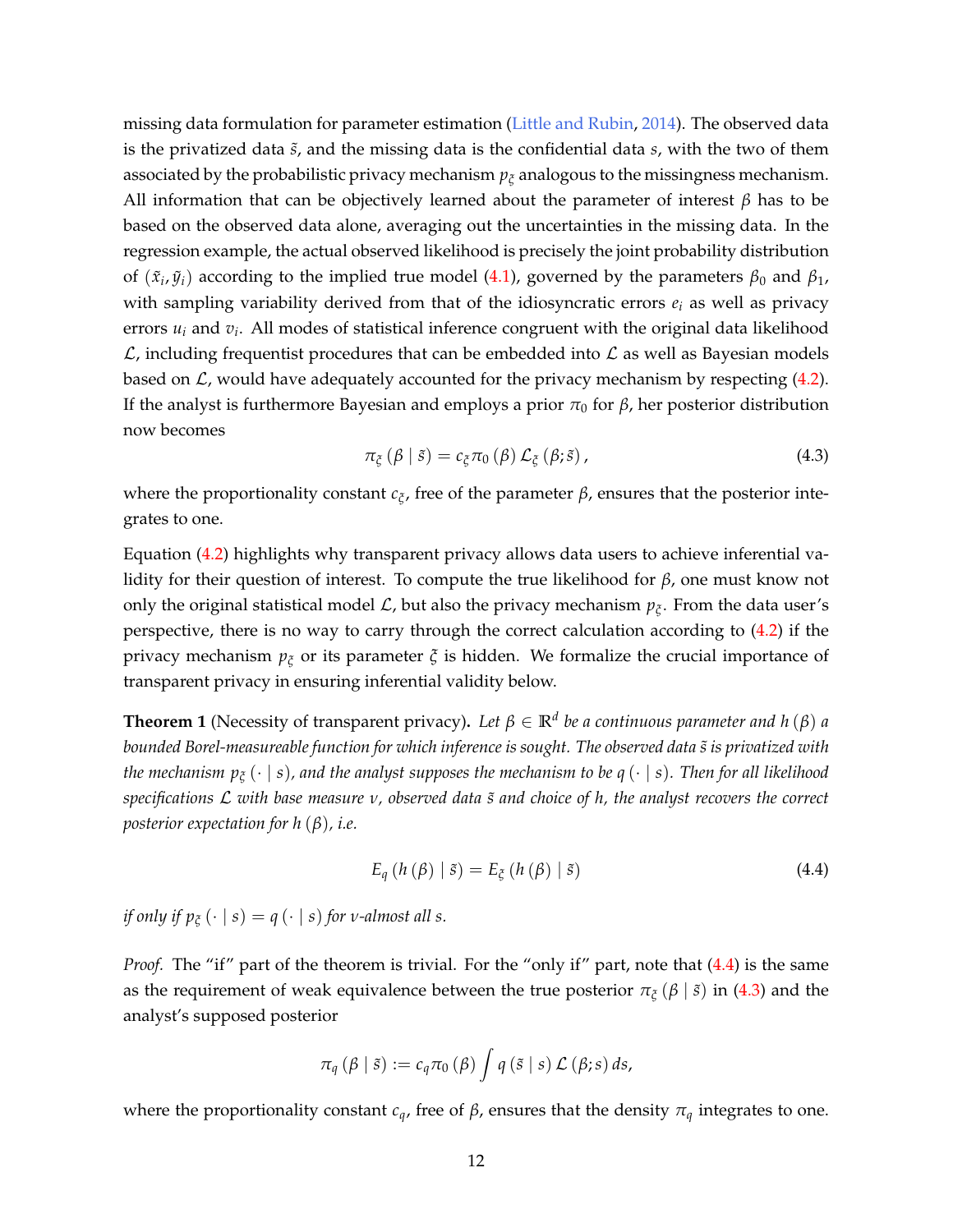missing data formulation for parameter estimation [\(Little and Rubin,](#page-23-4) [2014\)](#page-23-4). The observed data is the privatized data *s*˜, and the missing data is the confidential data *s*, with the two of them associated by the probabilistic privacy mechanism *p<sup>ξ</sup>* analogous to the missingness mechanism. All information that can be objectively learned about the parameter of interest *β* has to be based on the observed data alone, averaging out the uncertainties in the missing data. In the regression example, the actual observed likelihood is precisely the joint probability distribution of  $(\tilde{x}_i, \tilde{y}_i)$  according to the implied true model [\(4.1\)](#page-9-1), governed by the parameters  $\beta_0$  and  $\beta_1$ , with sampling variability derived from that of the idiosyncratic errors  $e_i$  as well as privacy errors *u<sup>i</sup>* and *v<sup>i</sup>* . All modes of statistical inference congruent with the original data likelihood  $\mathcal{L}$ , including frequentist procedures that can be embedded into  $\mathcal{L}$  as well as Bayesian models based on  $\mathcal{L}$ , would have adequately accounted for the privacy mechanism by respecting [\(4.2\)](#page-10-0). If the analyst is furthermore Bayesian and employs a prior  $\pi_0$  for  $\beta$ , her posterior distribution now becomes

<span id="page-11-1"></span>
$$
\pi_{\xi}(\beta \mid \tilde{s}) = c_{\xi}\pi_0(\beta) \mathcal{L}_{\xi}(\beta; \tilde{s}), \qquad (4.3)
$$

where the proportionality constant *c<sup>ξ</sup>* , free of the parameter *β*, ensures that the posterior integrates to one.

Equation [\(4.2\)](#page-10-0) highlights why transparent privacy allows data users to achieve inferential validity for their question of interest. To compute the true likelihood for *β*, one must know not only the original statistical model  $\mathcal{L}$ , but also the privacy mechanism  $p_{\xi}$ . From the data user's perspective, there is no way to carry through the correct calculation according to [\(4.2\)](#page-10-0) if the privacy mechanism *p<sup>ξ</sup>* or its parameter *ξ* is hidden. We formalize the crucial importance of transparent privacy in ensuring inferential validity below.

<span id="page-11-2"></span>**Theorem 1** (Necessity of transparent privacy). Let  $\beta \in \mathbb{R}^d$  be a continuous parameter and h ( $\beta$ ) a *bounded Borel-measureable function for which inference is sought. The observed data s is privatized with* ˜ *the mechanism p<sup>ξ</sup>* (· | *s*)*, and the analyst supposes the mechanism to be q* (· | *s*)*. Then for all likelihood specifications* L *with base measure ν, observed data s and choice of h, the analyst recovers the correct* ˜ *posterior expectation for h* (*β*)*, i.e.*

<span id="page-11-0"></span>
$$
E_{q} (h (\beta) | \tilde{s}) = E_{\tilde{\zeta}} (h (\beta) | \tilde{s}) \qquad (4.4)
$$

*if only if*  $p_{\xi}(\cdot | s) = q(\cdot | s)$  *for v*-almost all *s*.

*Proof.* The "if" part of the theorem is trivial. For the "only if" part, note that [\(4.4\)](#page-11-0) is the same as the requirement of weak equivalence between the true posterior  $\pi_{\xi}(\beta | \tilde{s})$  in [\(4.3\)](#page-11-1) and the analyst's supposed posterior

$$
\pi_{q}(\beta \mid \tilde{s}) := c_{q}\pi_{0}(\beta) \int q(\tilde{s} \mid s) \mathcal{L}(\beta; s) ds,
$$

where the proportionality constant  $c_q$ , free of  $\beta$ , ensures that the density  $\pi_q$  integrates to one.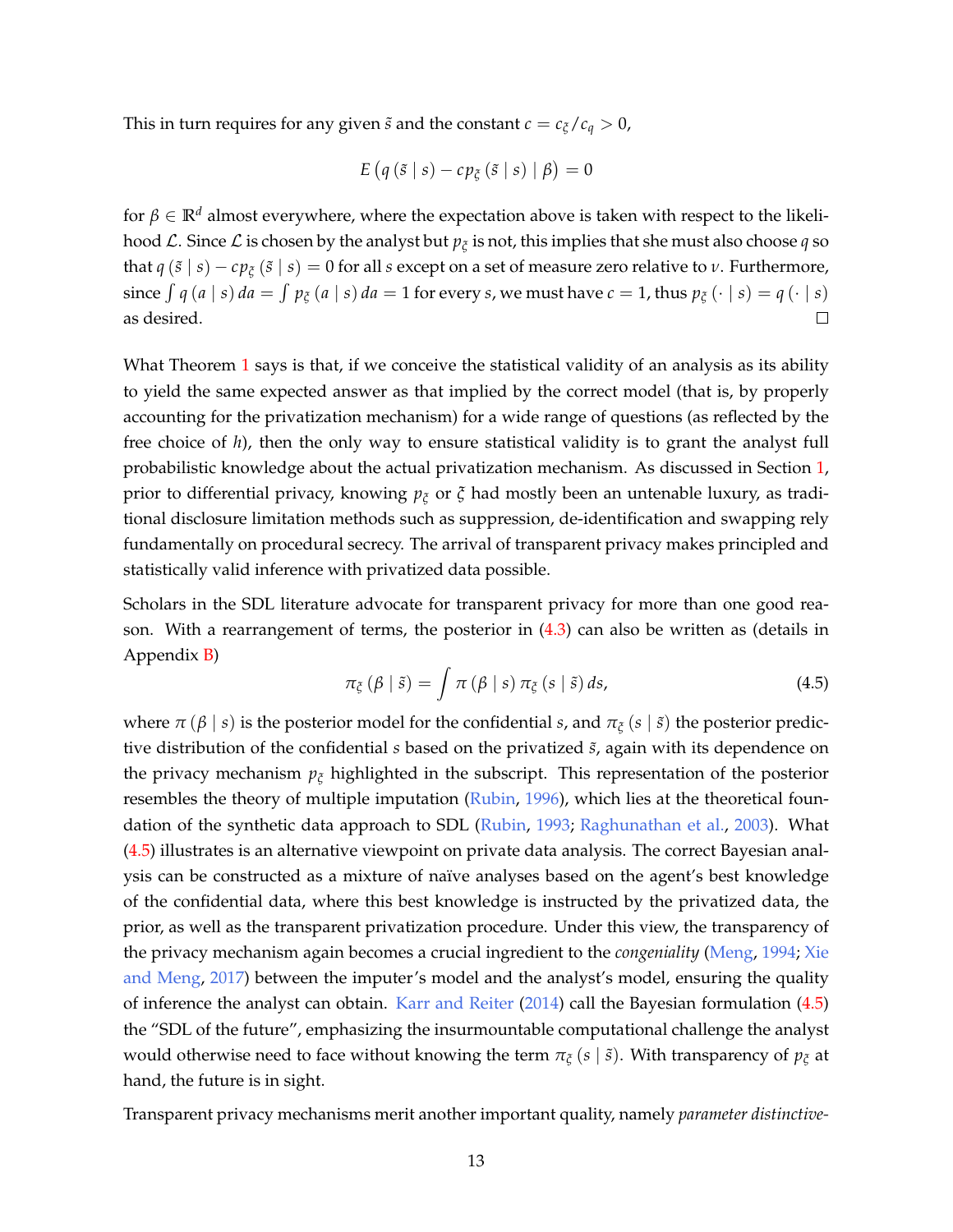This in turn requires for any given  $\tilde{s}$  and the constant  $c = c_{\xi}/c_q > 0$ ,

$$
E\left(q\left(\tilde{s} \mid s\right) - c p_{\tilde{\zeta}}\left(\tilde{s} \mid s\right) \mid \beta\right) = 0
$$

for  $\beta \in \mathbb{R}^d$  almost everywhere, where the expectation above is taken with respect to the likelihood  $\mathcal L.$  Since  $\mathcal L$  is chosen by the analyst but  $p_\xi$  is not, this implies that she must also choose  $q$  so that  $q(\tilde{s} | s) - cp_{\tilde{c}}(\tilde{s} | s) = 0$  for all *s* except on a set of measure zero relative to *ν*. Furthermore, since  $\int q(a | s) da = \int p_{\xi}(a | s) da = 1$  for every *s*, we must have  $c = 1$ , thus  $p_{\xi}(\cdot | s) = q(\cdot | s)$ as desired.  $\Box$ 

What Theorem [1](#page-11-2) says is that, if we conceive the statistical validity of an analysis as its ability to yield the same expected answer as that implied by the correct model (that is, by properly accounting for the privatization mechanism) for a wide range of questions (as reflected by the free choice of *h*), then the only way to ensure statistical validity is to grant the analyst full probabilistic knowledge about the actual privatization mechanism. As discussed in Section [1,](#page-0-1) prior to differential privacy, knowing *p<sup>ξ</sup>* or *ξ* had mostly been an untenable luxury, as traditional disclosure limitation methods such as suppression, de-identification and swapping rely fundamentally on procedural secrecy. The arrival of transparent privacy makes principled and statistically valid inference with privatized data possible.

Scholars in the SDL literature advocate for transparent privacy for more than one good reason. With a rearrangement of terms, the posterior in [\(4.3\)](#page-11-1) can also be written as (details in Appendix [B\)](#page-30-0)

<span id="page-12-0"></span>
$$
\pi_{\xi}(\beta \mid \tilde{s}) = \int \pi(\beta \mid s) \, \pi_{\xi}(s \mid \tilde{s}) \, ds,\tag{4.5}
$$

where  $\pi(\beta | s)$  is the posterior model for the confidential *s*, and  $\pi_{\xi}(s | \tilde{s})$  the posterior predictive distribution of the confidential *s* based on the privatized  $\tilde{s}$ , again with its dependence on the privacy mechanism *p<sup>ξ</sup>* highlighted in the subscript. This representation of the posterior resembles the theory of multiple imputation [\(Rubin,](#page-23-5) [1996\)](#page-23-5), which lies at the theoretical foundation of the synthetic data approach to SDL [\(Rubin,](#page-23-6) [1993;](#page-23-6) [Raghunathan et al.,](#page-23-7) [2003\)](#page-23-7). What [\(4.5\)](#page-12-0) illustrates is an alternative viewpoint on private data analysis. The correct Bayesian analysis can be constructed as a mixture of naïve analyses based on the agent's best knowledge of the confidential data, where this best knowledge is instructed by the privatized data, the prior, as well as the transparent privatization procedure. Under this view, the transparency of the privacy mechanism again becomes a crucial ingredient to the *congeniality* [\(Meng,](#page-23-3) [1994;](#page-23-3) [Xie](#page-25-2) [and Meng,](#page-25-2) [2017\)](#page-25-2) between the imputer's model and the analyst's model, ensuring the quality of inference the analyst can obtain. [Karr and Reiter](#page-22-3) [\(2014\)](#page-22-3) call the Bayesian formulation [\(4.5\)](#page-12-0) the "SDL of the future", emphasizing the insurmountable computational challenge the analyst would otherwise need to face without knowing the term  $\pi$ <sup>*ζ*</sup> (*s* | *s*̃). With transparency of  $p$ *ζ* at hand, the future is in sight.

Transparent privacy mechanisms merit another important quality, namely *parameter distinctive-*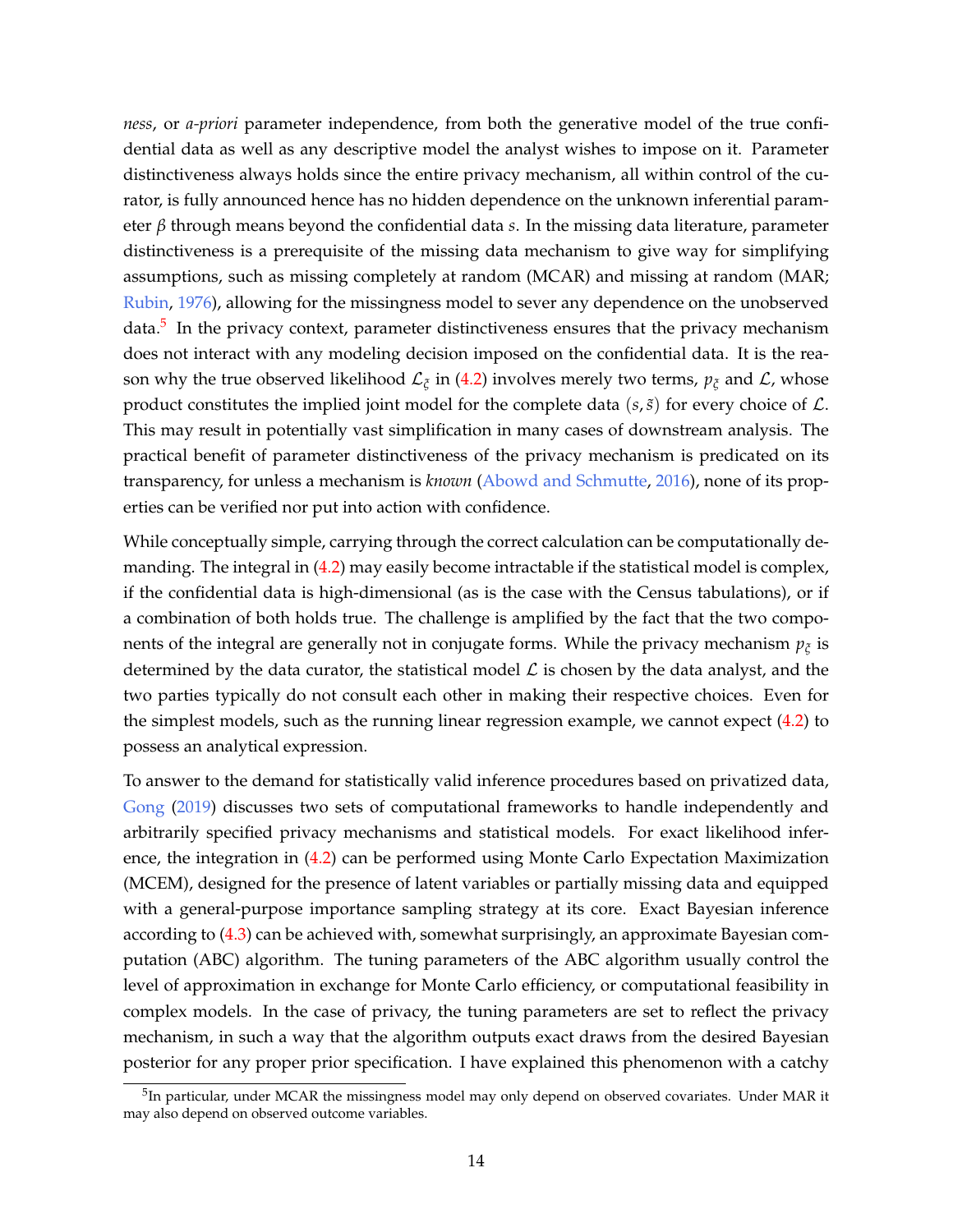*ness*, or *a-priori* parameter independence, from both the generative model of the true confidential data as well as any descriptive model the analyst wishes to impose on it. Parameter distinctiveness always holds since the entire privacy mechanism, all within control of the curator, is fully announced hence has no hidden dependence on the unknown inferential parameter *β* through means beyond the confidential data *s*. In the missing data literature, parameter distinctiveness is a prerequisite of the missing data mechanism to give way for simplifying assumptions, such as missing completely at random (MCAR) and missing at random (MAR; [Rubin,](#page-23-8) [1976\)](#page-23-8), allowing for the missingness model to sever any dependence on the unobserved data.<sup>[5](#page-0-0)</sup> In the privacy context, parameter distinctiveness ensures that the privacy mechanism does not interact with any modeling decision imposed on the confidential data. It is the reason why the true observed likelihood  $\mathcal{L}_\zeta$  in [\(4.2\)](#page-10-0) involves merely two terms,  $p_\zeta$  and  $\mathcal{L}$ , whose product constitutes the implied joint model for the complete data  $(s, \tilde{s})$  for every choice of  $\mathcal{L}$ . This may result in potentially vast simplification in many cases of downstream analysis. The practical benefit of parameter distinctiveness of the privacy mechanism is predicated on its transparency, for unless a mechanism is *known* [\(Abowd and Schmutte,](#page-20-5) [2016\)](#page-20-5), none of its properties can be verified nor put into action with confidence.

While conceptually simple, carrying through the correct calculation can be computationally demanding. The integral in [\(4.2\)](#page-10-0) may easily become intractable if the statistical model is complex, if the confidential data is high-dimensional (as is the case with the Census tabulations), or if a combination of both holds true. The challenge is amplified by the fact that the two components of the integral are generally not in conjugate forms. While the privacy mechanism  $p_{\xi}$  is determined by the data curator, the statistical model  $\mathcal L$  is chosen by the data analyst, and the two parties typically do not consult each other in making their respective choices. Even for the simplest models, such as the running linear regression example, we cannot expect [\(4.2\)](#page-10-0) to possess an analytical expression.

To answer to the demand for statistically valid inference procedures based on privatized data, [Gong](#page-22-4) [\(2019\)](#page-22-4) discusses two sets of computational frameworks to handle independently and arbitrarily specified privacy mechanisms and statistical models. For exact likelihood inference, the integration in [\(4.2\)](#page-10-0) can be performed using Monte Carlo Expectation Maximization (MCEM), designed for the presence of latent variables or partially missing data and equipped with a general-purpose importance sampling strategy at its core. Exact Bayesian inference according to [\(4.3\)](#page-11-1) can be achieved with, somewhat surprisingly, an approximate Bayesian computation (ABC) algorithm. The tuning parameters of the ABC algorithm usually control the level of approximation in exchange for Monte Carlo efficiency, or computational feasibility in complex models. In the case of privacy, the tuning parameters are set to reflect the privacy mechanism, in such a way that the algorithm outputs exact draws from the desired Bayesian posterior for any proper prior specification. I have explained this phenomenon with a catchy

<sup>&</sup>lt;sup>5</sup>In particular, under MCAR the missingness model may only depend on observed covariates. Under MAR it may also depend on observed outcome variables.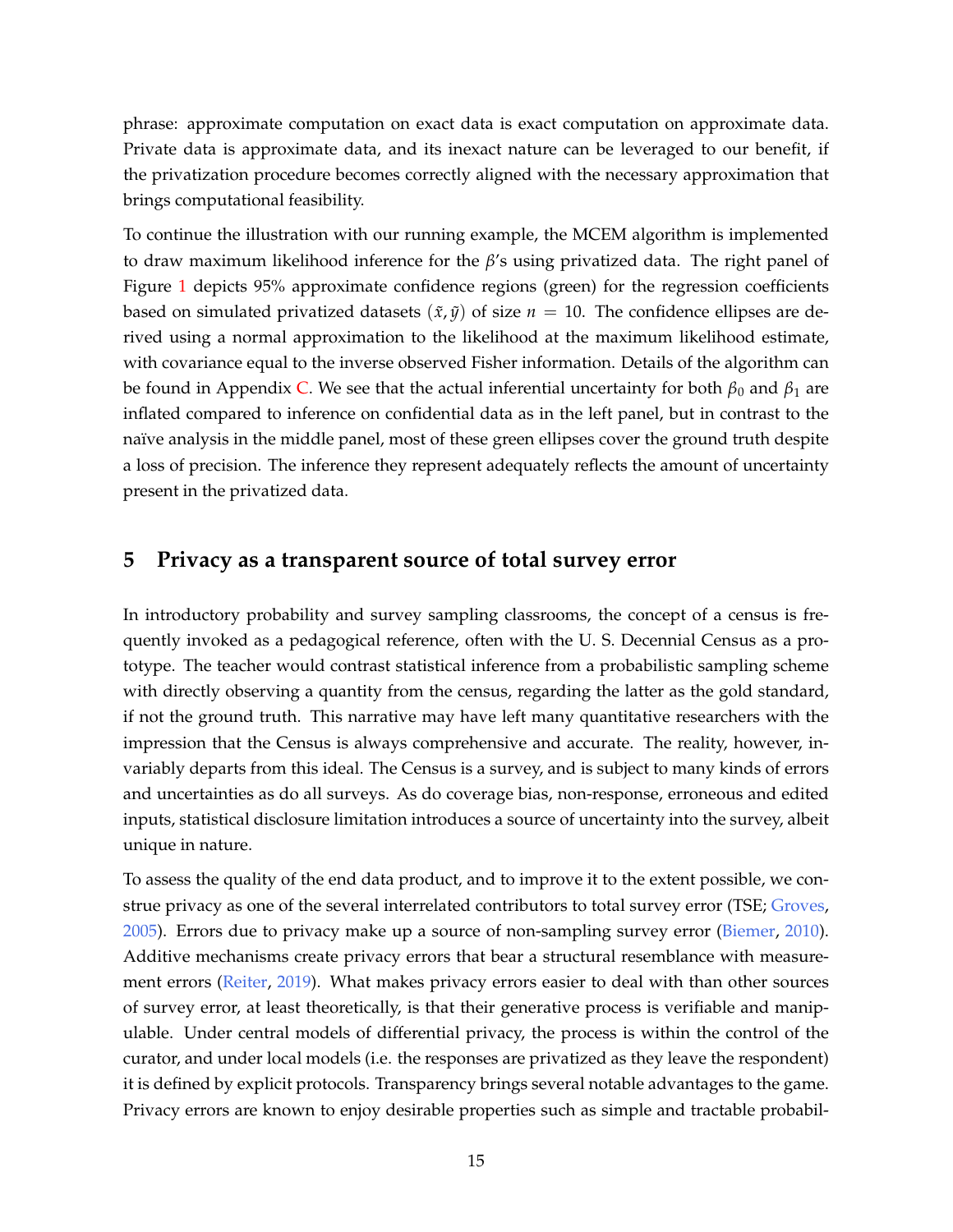phrase: approximate computation on exact data is exact computation on approximate data. Private data is approximate data, and its inexact nature can be leveraged to our benefit, if the privatization procedure becomes correctly aligned with the necessary approximation that brings computational feasibility.

To continue the illustration with our running example, the MCEM algorithm is implemented to draw maximum likelihood inference for the *β*'s using privatized data. The right panel of Figure [1](#page-7-0) depicts 95% approximate confidence regions (green) for the regression coefficients based on simulated privatized datasets  $(\tilde{x}, \tilde{y})$  of size  $n = 10$ . The confidence ellipses are derived using a normal approximation to the likelihood at the maximum likelihood estimate, with covariance equal to the inverse observed Fisher information. Details of the algorithm can be found in Appendix [C.](#page-30-1) We see that the actual inferential uncertainty for both  $\beta_0$  and  $\beta_1$  are inflated compared to inference on confidential data as in the left panel, but in contrast to the naïve analysis in the middle panel, most of these green ellipses cover the ground truth despite a loss of precision. The inference they represent adequately reflects the amount of uncertainty present in the privatized data.

#### <span id="page-14-0"></span>**5 Privacy as a transparent source of total survey error**

In introductory probability and survey sampling classrooms, the concept of a census is frequently invoked as a pedagogical reference, often with the U. S. Decennial Census as a prototype. The teacher would contrast statistical inference from a probabilistic sampling scheme with directly observing a quantity from the census, regarding the latter as the gold standard, if not the ground truth. This narrative may have left many quantitative researchers with the impression that the Census is always comprehensive and accurate. The reality, however, invariably departs from this ideal. The Census is a survey, and is subject to many kinds of errors and uncertainties as do all surveys. As do coverage bias, non-response, erroneous and edited inputs, statistical disclosure limitation introduces a source of uncertainty into the survey, albeit unique in nature.

To assess the quality of the end data product, and to improve it to the extent possible, we construe privacy as one of the several interrelated contributors to total survey error (TSE; [Groves,](#page-22-5) [2005\)](#page-22-5). Errors due to privacy make up a source of non-sampling survey error [\(Biemer,](#page-20-6) [2010\)](#page-20-6). Additive mechanisms create privacy errors that bear a structural resemblance with measurement errors [\(Reiter,](#page-23-9) [2019\)](#page-23-9). What makes privacy errors easier to deal with than other sources of survey error, at least theoretically, is that their generative process is verifiable and manipulable. Under central models of differential privacy, the process is within the control of the curator, and under local models (i.e. the responses are privatized as they leave the respondent) it is defined by explicit protocols. Transparency brings several notable advantages to the game. Privacy errors are known to enjoy desirable properties such as simple and tractable probabil-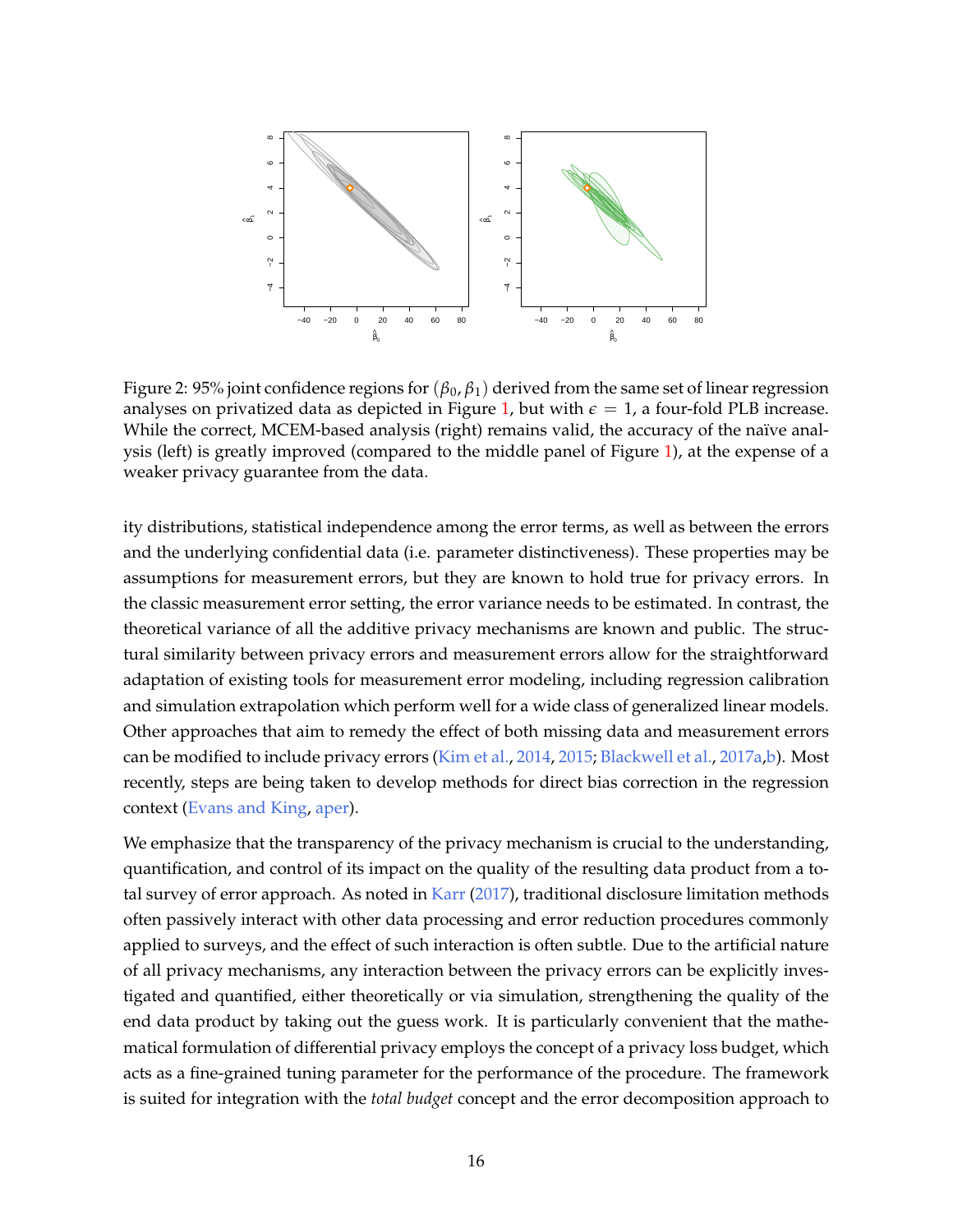<span id="page-15-0"></span>

Figure 2: 95% joint confidence regions for (*β*0, *β*1) derived from the same set of linear regression analyses on privatized data as depicted in Figure [1,](#page-7-0) but with  $\epsilon = 1$ , a four-fold PLB increase. While the correct, MCEM-based analysis (right) remains valid, the accuracy of the naïve analysis (left) is greatly improved (compared to the middle panel of Figure [1\)](#page-7-0), at the expense of a weaker privacy guarantee from the data.

ity distributions, statistical independence among the error terms, as well as between the errors and the underlying confidential data (i.e. parameter distinctiveness). These properties may be assumptions for measurement errors, but they are known to hold true for privacy errors. In the classic measurement error setting, the error variance needs to be estimated. In contrast, the theoretical variance of all the additive privacy mechanisms are known and public. The structural similarity between privacy errors and measurement errors allow for the straightforward adaptation of existing tools for measurement error modeling, including regression calibration and simulation extrapolation which perform well for a wide class of generalized linear models. Other approaches that aim to remedy the effect of both missing data and measurement errors can be modified to include privacy errors [\(Kim et al.,](#page-22-6) [2014,](#page-22-6) [2015;](#page-22-7) [Blackwell et al.,](#page-20-3) [2017a,](#page-20-3)[b\)](#page-20-7). Most recently, steps are being taken to develop methods for direct bias correction in the regression context [\(Evans and King,](#page-21-7) [aper\)](#page-21-7).

We emphasize that the transparency of the privacy mechanism is crucial to the understanding, quantification, and control of its impact on the quality of the resulting data product from a total survey of error approach. As noted in [Karr](#page-22-8) [\(2017\)](#page-22-8), traditional disclosure limitation methods often passively interact with other data processing and error reduction procedures commonly applied to surveys, and the effect of such interaction is often subtle. Due to the artificial nature of all privacy mechanisms, any interaction between the privacy errors can be explicitly investigated and quantified, either theoretically or via simulation, strengthening the quality of the end data product by taking out the guess work. It is particularly convenient that the mathematical formulation of differential privacy employs the concept of a privacy loss budget, which acts as a fine-grained tuning parameter for the performance of the procedure. The framework is suited for integration with the *total budget* concept and the error decomposition approach to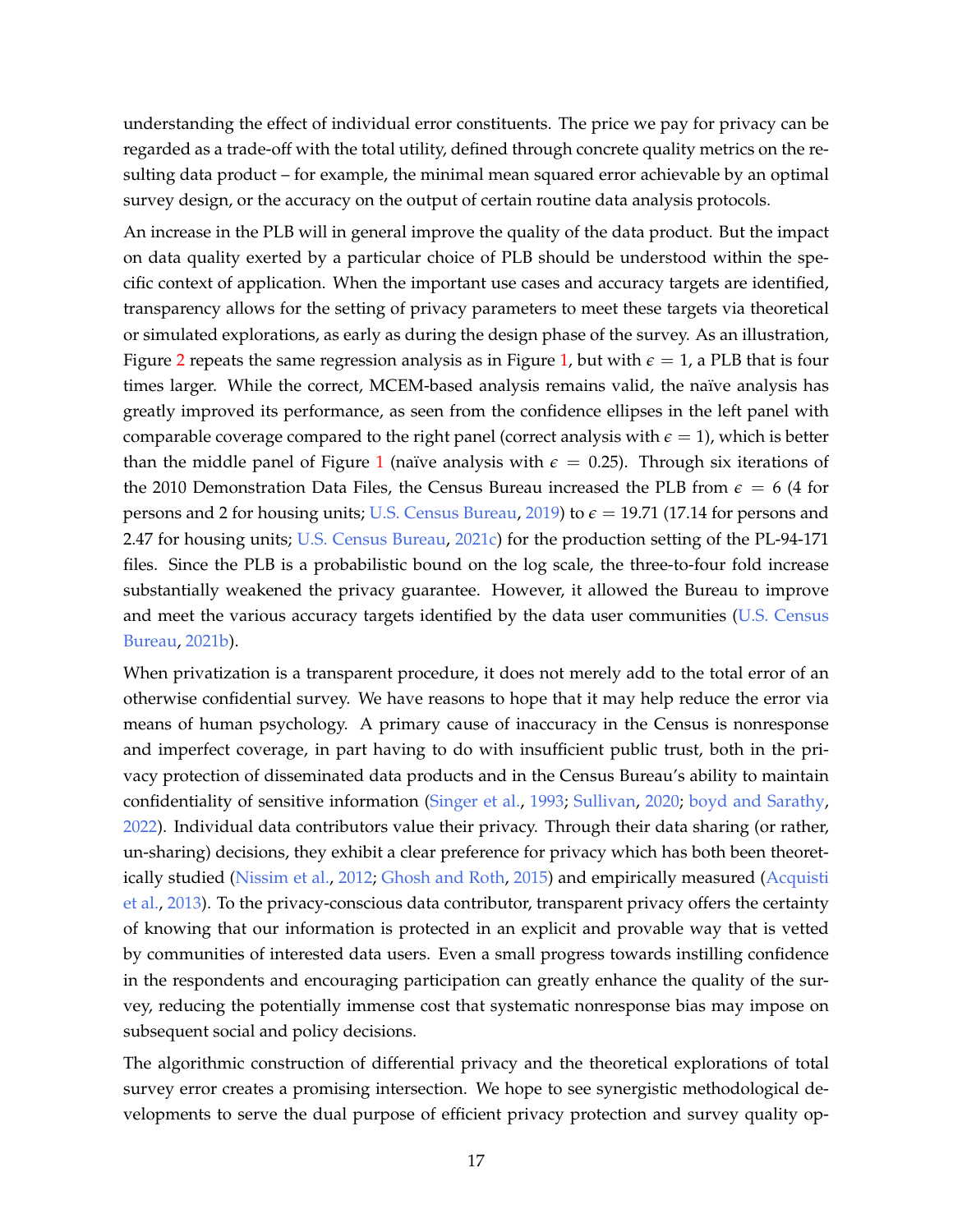understanding the effect of individual error constituents. The price we pay for privacy can be regarded as a trade-off with the total utility, defined through concrete quality metrics on the resulting data product – for example, the minimal mean squared error achievable by an optimal survey design, or the accuracy on the output of certain routine data analysis protocols.

An increase in the PLB will in general improve the quality of the data product. But the impact on data quality exerted by a particular choice of PLB should be understood within the specific context of application. When the important use cases and accuracy targets are identified, transparency allows for the setting of privacy parameters to meet these targets via theoretical or simulated explorations, as early as during the design phase of the survey. As an illustration, Figure [2](#page-15-0) repeats the same regression analysis as in Figure [1,](#page-7-0) but with  $\epsilon = 1$ , a PLB that is four times larger. While the correct, MCEM-based analysis remains valid, the naïve analysis has greatly improved its performance, as seen from the confidence ellipses in the left panel with comparable coverage compared to the right panel (correct analysis with  $\epsilon = 1$ ), which is better than the middle panel of Figure [1](#page-7-0) (naïve analysis with  $\epsilon = 0.25$ ). Through six iterations of the 2010 Demonstration Data Files, the Census Bureau increased the PLB from  $\epsilon = 6/4$  for persons and 2 for housing units; [U.S. Census Bureau,](#page-24-5) [2019\)](#page-24-5) to  $\epsilon = 19.71$  (17.14 for persons and 2.47 for housing units; [U.S. Census Bureau,](#page-24-4) [2021c\)](#page-24-4) for the production setting of the PL-94-171 files. Since the PLB is a probabilistic bound on the log scale, the three-to-four fold increase substantially weakened the privacy guarantee. However, it allowed the Bureau to improve and meet the various accuracy targets identified by the data user communities [\(U.S. Census](#page-24-6) [Bureau,](#page-24-6) [2021b\)](#page-24-6).

When privatization is a transparent procedure, it does not merely add to the total error of an otherwise confidential survey. We have reasons to hope that it may help reduce the error via means of human psychology. A primary cause of inaccuracy in the Census is nonresponse and imperfect coverage, in part having to do with insufficient public trust, both in the privacy protection of disseminated data products and in the Census Bureau's ability to maintain confidentiality of sensitive information [\(Singer et al.,](#page-23-10) [1993;](#page-23-10) [Sullivan,](#page-24-7) [2020;](#page-24-7) [boyd and Sarathy,](#page-21-8) [2022\)](#page-21-8). Individual data contributors value their privacy. Through their data sharing (or rather, un-sharing) decisions, they exhibit a clear preference for privacy which has both been theoretically studied [\(Nissim et al.,](#page-23-11) [2012;](#page-23-11) [Ghosh and Roth,](#page-21-9) [2015\)](#page-21-9) and empirically measured [\(Acquisti](#page-20-8) [et al.,](#page-20-8) [2013\)](#page-20-8). To the privacy-conscious data contributor, transparent privacy offers the certainty of knowing that our information is protected in an explicit and provable way that is vetted by communities of interested data users. Even a small progress towards instilling confidence in the respondents and encouraging participation can greatly enhance the quality of the survey, reducing the potentially immense cost that systematic nonresponse bias may impose on subsequent social and policy decisions.

The algorithmic construction of differential privacy and the theoretical explorations of total survey error creates a promising intersection. We hope to see synergistic methodological developments to serve the dual purpose of efficient privacy protection and survey quality op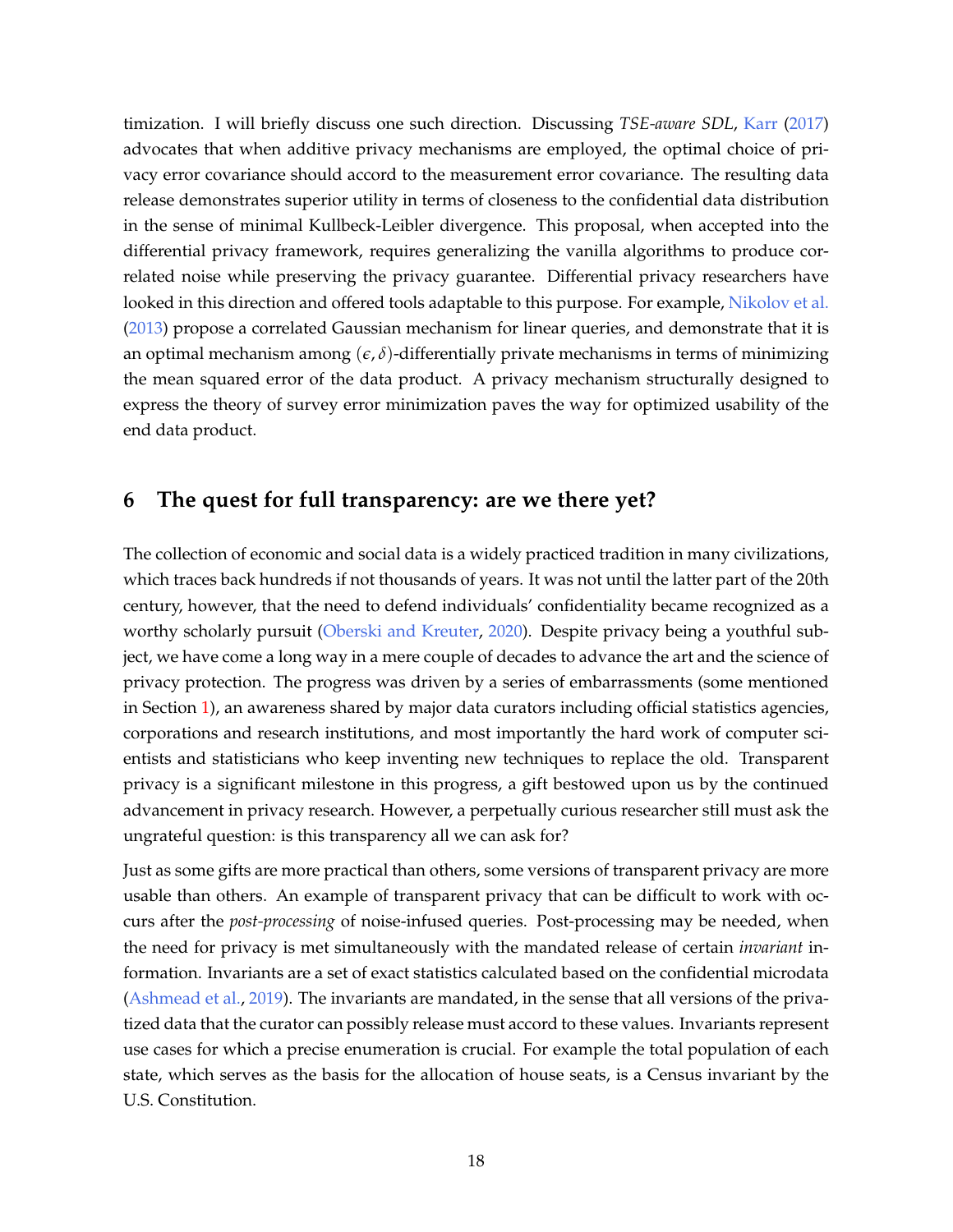timization. I will briefly discuss one such direction. Discussing *TSE-aware SDL*, [Karr](#page-22-8) [\(2017\)](#page-22-8) advocates that when additive privacy mechanisms are employed, the optimal choice of privacy error covariance should accord to the measurement error covariance. The resulting data release demonstrates superior utility in terms of closeness to the confidential data distribution in the sense of minimal Kullbeck-Leibler divergence. This proposal, when accepted into the differential privacy framework, requires generalizing the vanilla algorithms to produce correlated noise while preserving the privacy guarantee. Differential privacy researchers have looked in this direction and offered tools adaptable to this purpose. For example, [Nikolov et al.](#page-23-12) [\(2013\)](#page-23-12) propose a correlated Gaussian mechanism for linear queries, and demonstrate that it is an optimal mechanism among  $(\epsilon, \delta)$ -differentially private mechanisms in terms of minimizing the mean squared error of the data product. A privacy mechanism structurally designed to express the theory of survey error minimization paves the way for optimized usability of the end data product.

# <span id="page-17-0"></span>**6 The quest for full transparency: are we there yet?**

The collection of economic and social data is a widely practiced tradition in many civilizations, which traces back hundreds if not thousands of years. It was not until the latter part of the 20th century, however, that the need to defend individuals' confidentiality became recognized as a worthy scholarly pursuit [\(Oberski and Kreuter,](#page-23-13) [2020\)](#page-23-13). Despite privacy being a youthful subject, we have come a long way in a mere couple of decades to advance the art and the science of privacy protection. The progress was driven by a series of embarrassments (some mentioned in Section [1\)](#page-0-1), an awareness shared by major data curators including official statistics agencies, corporations and research institutions, and most importantly the hard work of computer scientists and statisticians who keep inventing new techniques to replace the old. Transparent privacy is a significant milestone in this progress, a gift bestowed upon us by the continued advancement in privacy research. However, a perpetually curious researcher still must ask the ungrateful question: is this transparency all we can ask for?

Just as some gifts are more practical than others, some versions of transparent privacy are more usable than others. An example of transparent privacy that can be difficult to work with occurs after the *post-processing* of noise-infused queries. Post-processing may be needed, when the need for privacy is met simultaneously with the mandated release of certain *invariant* information. Invariants are a set of exact statistics calculated based on the confidential microdata [\(Ashmead et al.,](#page-20-9) [2019\)](#page-20-9). The invariants are mandated, in the sense that all versions of the privatized data that the curator can possibly release must accord to these values. Invariants represent use cases for which a precise enumeration is crucial. For example the total population of each state, which serves as the basis for the allocation of house seats, is a Census invariant by the U.S. Constitution.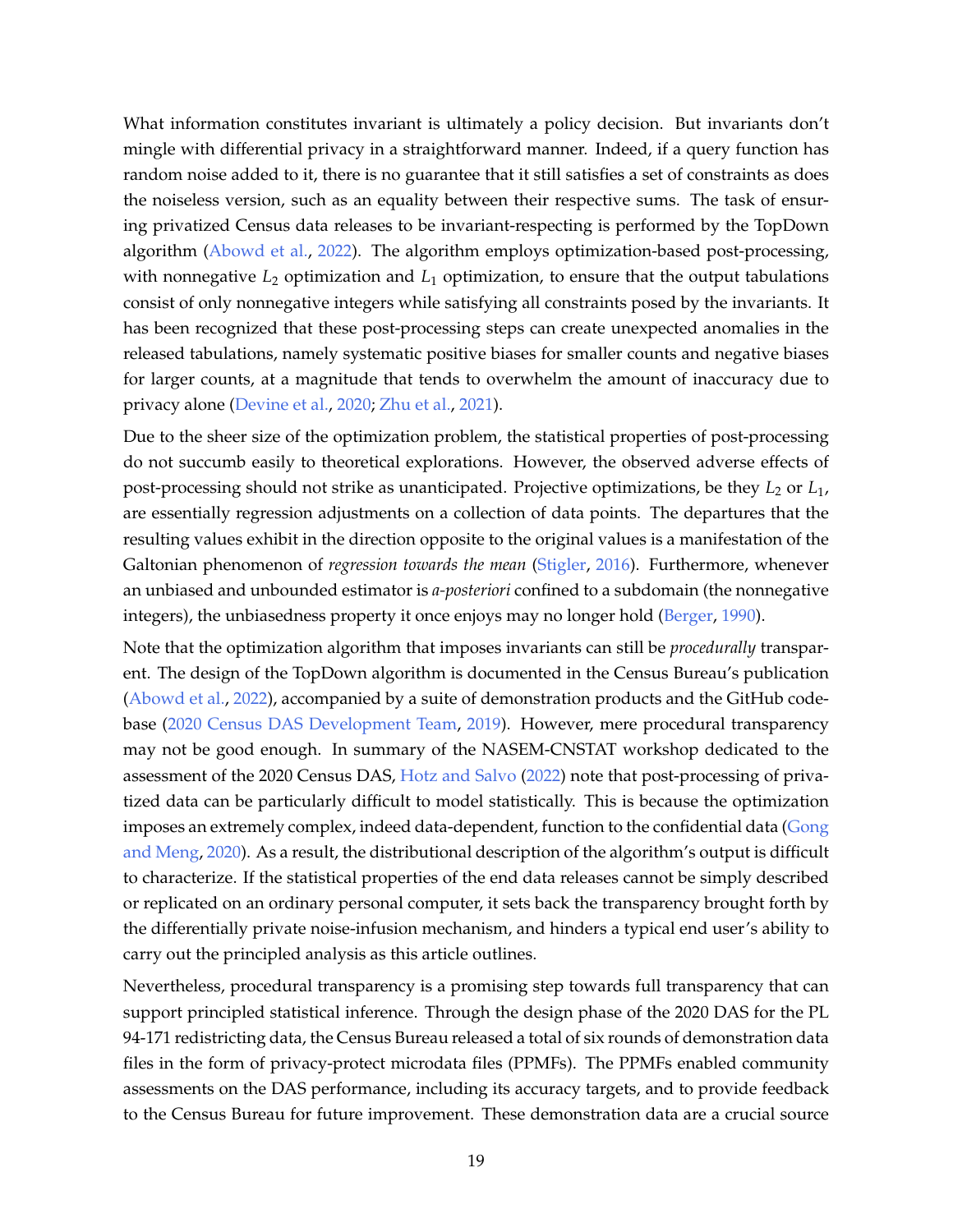What information constitutes invariant is ultimately a policy decision. But invariants don't mingle with differential privacy in a straightforward manner. Indeed, if a query function has random noise added to it, there is no guarantee that it still satisfies a set of constraints as does the noiseless version, such as an equality between their respective sums. The task of ensuring privatized Census data releases to be invariant-respecting is performed by the TopDown algorithm [\(Abowd et al.,](#page-20-1) [2022\)](#page-20-1). The algorithm employs optimization-based post-processing, with nonnegative  $L_2$  optimization and  $L_1$  optimization, to ensure that the output tabulations consist of only nonnegative integers while satisfying all constraints posed by the invariants. It has been recognized that these post-processing steps can create unexpected anomalies in the released tabulations, namely systematic positive biases for smaller counts and negative biases for larger counts, at a magnitude that tends to overwhelm the amount of inaccuracy due to privacy alone [\(Devine et al.,](#page-21-10) [2020;](#page-21-10) [Zhu et al.,](#page-25-3) [2021\)](#page-25-3).

Due to the sheer size of the optimization problem, the statistical properties of post-processing do not succumb easily to theoretical explorations. However, the observed adverse effects of post-processing should not strike as unanticipated. Projective optimizations, be they *L*<sup>2</sup> or *L*1, are essentially regression adjustments on a collection of data points. The departures that the resulting values exhibit in the direction opposite to the original values is a manifestation of the Galtonian phenomenon of *regression towards the mean* [\(Stigler,](#page-23-14) [2016\)](#page-23-14). Furthermore, whenever an unbiased and unbounded estimator is *a-posteriori* confined to a subdomain (the nonnegative integers), the unbiasedness property it once enjoys may no longer hold [\(Berger,](#page-20-10) [1990\)](#page-20-10).

Note that the optimization algorithm that imposes invariants can still be *procedurally* transparent. The design of the TopDown algorithm is documented in the Census Bureau's publication [\(Abowd et al.,](#page-20-1) [2022\)](#page-20-1), accompanied by a suite of demonstration products and the GitHub codebase [\(2020 Census DAS Development Team,](#page-20-2) [2019\)](#page-20-2). However, mere procedural transparency may not be good enough. In summary of the NASEM-CNSTAT workshop dedicated to the assessment of the 2020 Census DAS, [Hotz and Salvo](#page-22-9) [\(2022\)](#page-22-9) note that post-processing of privatized data can be particularly difficult to model statistically. This is because the optimization imposes an extremely complex, indeed data-dependent, function to the confidential data [\(Gong](#page-22-10) [and Meng,](#page-22-10) [2020\)](#page-22-10). As a result, the distributional description of the algorithm's output is difficult to characterize. If the statistical properties of the end data releases cannot be simply described or replicated on an ordinary personal computer, it sets back the transparency brought forth by the differentially private noise-infusion mechanism, and hinders a typical end user's ability to carry out the principled analysis as this article outlines.

Nevertheless, procedural transparency is a promising step towards full transparency that can support principled statistical inference. Through the design phase of the 2020 DAS for the PL 94-171 redistricting data, the Census Bureau released a total of six rounds of demonstration data files in the form of privacy-protect microdata files (PPMFs). The PPMFs enabled community assessments on the DAS performance, including its accuracy targets, and to provide feedback to the Census Bureau for future improvement. These demonstration data are a crucial source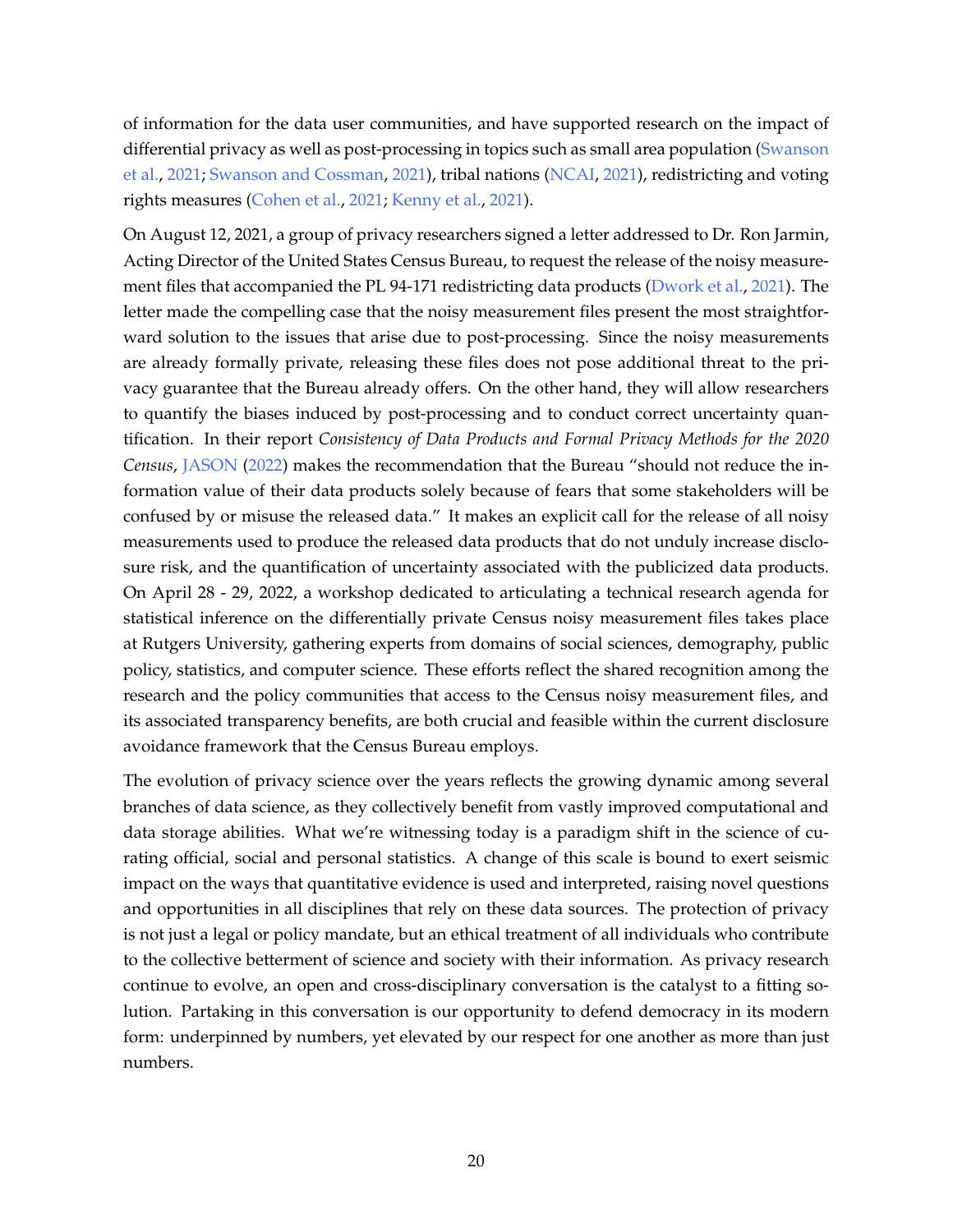of information for the data user communities, and have supported research on the impact of differential privacy as well as post-processing in topics such as small area population [\(Swanson](#page-24-8) [et al.,](#page-24-8) [2021;](#page-24-8) [Swanson and Cossman,](#page-24-9) [2021\)](#page-24-9), tribal nations [\(NCAI,](#page-23-15) [2021\)](#page-23-15), redistricting and voting rights measures [\(Cohen et al.,](#page-21-11) [2021;](#page-21-11) [Kenny et al.,](#page-22-11) [2021\)](#page-22-11).

On August 12, 2021, a group of privacy researchers signed a letter addressed to Dr. Ron Jarmin, Acting Director of the United States Census Bureau, to request the release of the noisy measurement files that accompanied the PL 94-171 redistricting data products [\(Dwork et al.,](#page-21-12) [2021\)](#page-21-12). The letter made the compelling case that the noisy measurement files present the most straightforward solution to the issues that arise due to post-processing. Since the noisy measurements are already formally private, releasing these files does not pose additional threat to the privacy guarantee that the Bureau already offers. On the other hand, they will allow researchers to quantify the biases induced by post-processing and to conduct correct uncertainty quantification. In their report *Consistency of Data Products and Formal Privacy Methods for the 2020 Census*, [JASON](#page-22-12) [\(2022\)](#page-22-12) makes the recommendation that the Bureau "should not reduce the information value of their data products solely because of fears that some stakeholders will be confused by or misuse the released data." It makes an explicit call for the release of all noisy measurements used to produce the released data products that do not unduly increase disclosure risk, and the quantification of uncertainty associated with the publicized data products. On April 28 - 29, 2022, a workshop dedicated to articulating a technical research agenda for statistical inference on the differentially private Census noisy measurement files takes place at Rutgers University, gathering experts from domains of social sciences, demography, public policy, statistics, and computer science. These efforts reflect the shared recognition among the research and the policy communities that access to the Census noisy measurement files, and its associated transparency benefits, are both crucial and feasible within the current disclosure avoidance framework that the Census Bureau employs.

The evolution of privacy science over the years reflects the growing dynamic among several branches of data science, as they collectively benefit from vastly improved computational and data storage abilities. What we're witnessing today is a paradigm shift in the science of curating official, social and personal statistics. A change of this scale is bound to exert seismic impact on the ways that quantitative evidence is used and interpreted, raising novel questions and opportunities in all disciplines that rely on these data sources. The protection of privacy is not just a legal or policy mandate, but an ethical treatment of all individuals who contribute to the collective betterment of science and society with their information. As privacy research continue to evolve, an open and cross-disciplinary conversation is the catalyst to a fitting solution. Partaking in this conversation is our opportunity to defend democracy in its modern form: underpinned by numbers, yet elevated by our respect for one another as more than just numbers.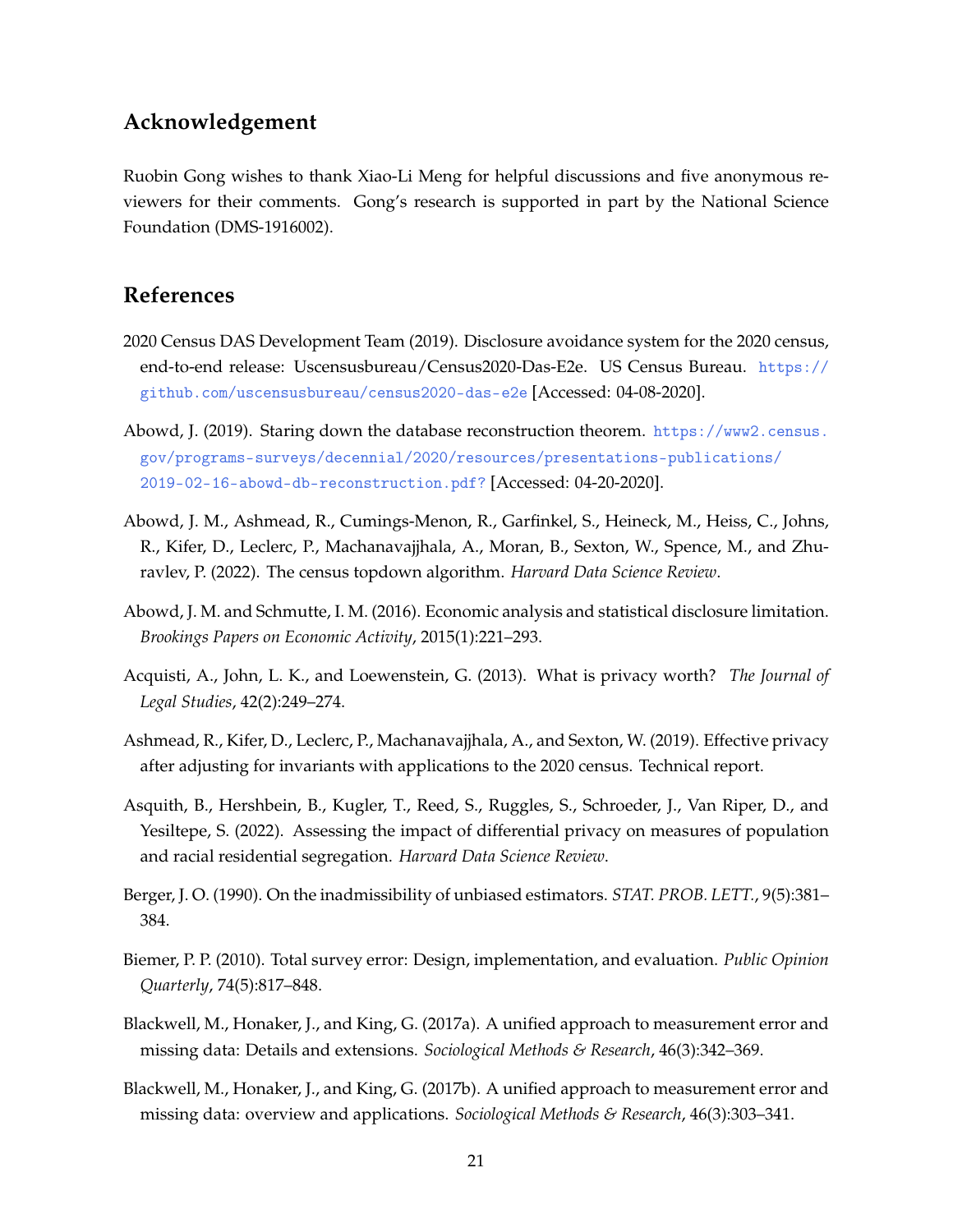# **Acknowledgement**

Ruobin Gong wishes to thank Xiao-Li Meng for helpful discussions and five anonymous reviewers for their comments. Gong's research is supported in part by the National Science Foundation (DMS-1916002).

### **References**

- <span id="page-20-2"></span>2020 Census DAS Development Team (2019). Disclosure avoidance system for the 2020 census, end-to-end release: Uscensusbureau/Census2020-Das-E2e. US Census Bureau. [https://](https://github.com/uscensusbureau/census2020-das-e2e) [github.com/uscensusbureau/census2020-das-e2e](https://github.com/uscensusbureau/census2020-das-e2e) [Accessed: 04-08-2020].
- <span id="page-20-0"></span>Abowd, J. (2019). Staring down the database reconstruction theorem. [https://www2.census.](https://www2.census.gov/programs-surveys/decennial/2020/resources/presentations-publications/2019-02-16-abowd-db-reconstruction.pdf?) [gov/programs-surveys/decennial/2020/resources/presentations-publications/](https://www2.census.gov/programs-surveys/decennial/2020/resources/presentations-publications/2019-02-16-abowd-db-reconstruction.pdf?) [2019-02-16-abowd-db-reconstruction.pdf?](https://www2.census.gov/programs-surveys/decennial/2020/resources/presentations-publications/2019-02-16-abowd-db-reconstruction.pdf?) [Accessed: 04-20-2020].
- <span id="page-20-1"></span>Abowd, J. M., Ashmead, R., Cumings-Menon, R., Garfinkel, S., Heineck, M., Heiss, C., Johns, R., Kifer, D., Leclerc, P., Machanavajjhala, A., Moran, B., Sexton, W., Spence, M., and Zhuravlev, P. (2022). The census topdown algorithm. *Harvard Data Science Review*.
- <span id="page-20-5"></span>Abowd, J. M. and Schmutte, I. M. (2016). Economic analysis and statistical disclosure limitation. *Brookings Papers on Economic Activity*, 2015(1):221–293.
- <span id="page-20-8"></span>Acquisti, A., John, L. K., and Loewenstein, G. (2013). What is privacy worth? *The Journal of Legal Studies*, 42(2):249–274.
- <span id="page-20-9"></span>Ashmead, R., Kifer, D., Leclerc, P., Machanavajjhala, A., and Sexton, W. (2019). Effective privacy after adjusting for invariants with applications to the 2020 census. Technical report.
- <span id="page-20-4"></span>Asquith, B., Hershbein, B., Kugler, T., Reed, S., Ruggles, S., Schroeder, J., Van Riper, D., and Yesiltepe, S. (2022). Assessing the impact of differential privacy on measures of population and racial residential segregation. *Harvard Data Science Review*.
- <span id="page-20-10"></span>Berger, J. O. (1990). On the inadmissibility of unbiased estimators. *STAT. PROB. LETT.*, 9(5):381– 384.
- <span id="page-20-6"></span>Biemer, P. P. (2010). Total survey error: Design, implementation, and evaluation. *Public Opinion Quarterly*, 74(5):817–848.
- <span id="page-20-3"></span>Blackwell, M., Honaker, J., and King, G. (2017a). A unified approach to measurement error and missing data: Details and extensions. *Sociological Methods & Research*, 46(3):342–369.
- <span id="page-20-7"></span>Blackwell, M., Honaker, J., and King, G. (2017b). A unified approach to measurement error and missing data: overview and applications. *Sociological Methods & Research*, 46(3):303–341.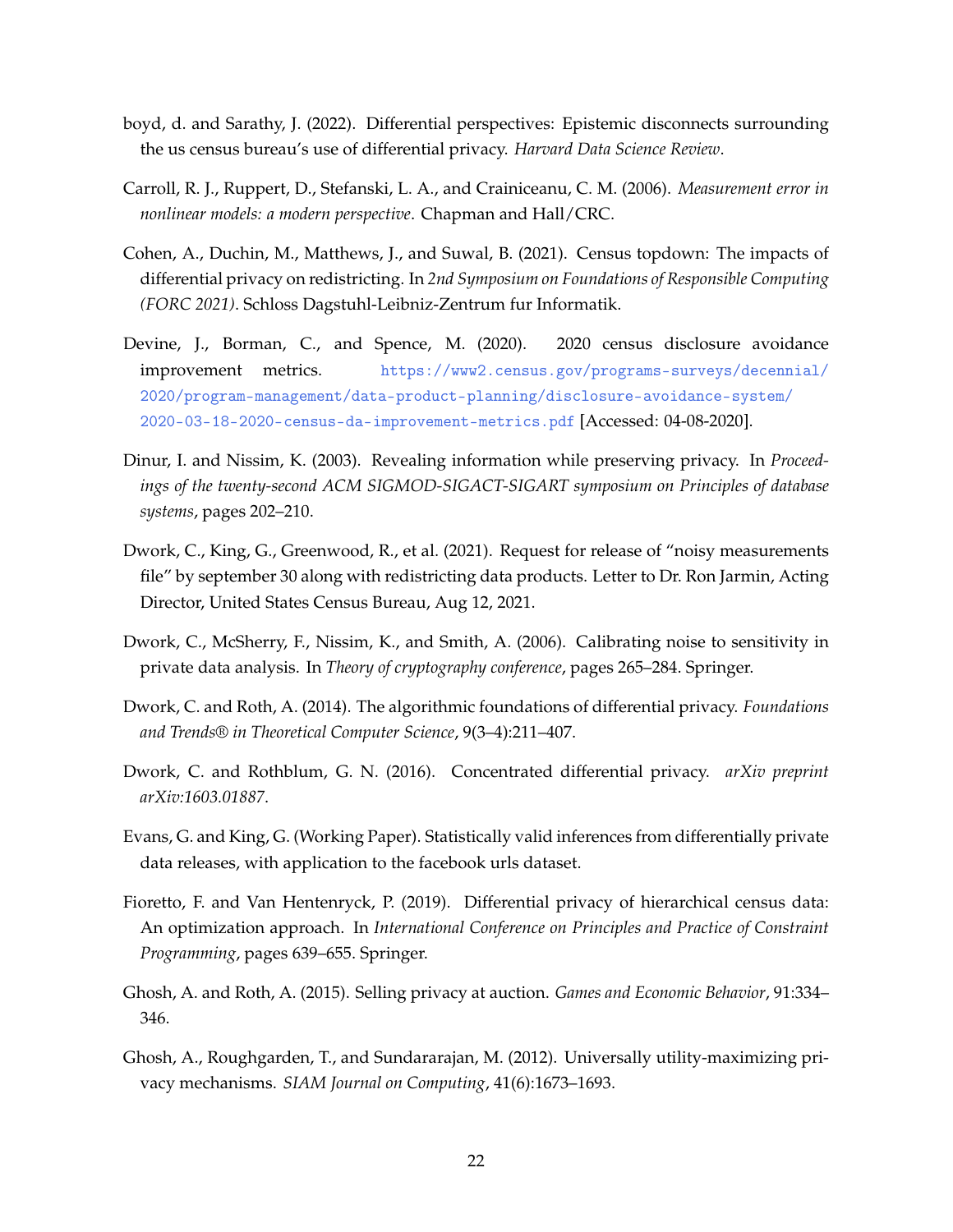- <span id="page-21-8"></span>boyd, d. and Sarathy, J. (2022). Differential perspectives: Epistemic disconnects surrounding the us census bureau's use of differential privacy. *Harvard Data Science Review*.
- <span id="page-21-6"></span>Carroll, R. J., Ruppert, D., Stefanski, L. A., and Crainiceanu, C. M. (2006). *Measurement error in nonlinear models: a modern perspective*. Chapman and Hall/CRC.
- <span id="page-21-11"></span>Cohen, A., Duchin, M., Matthews, J., and Suwal, B. (2021). Census topdown: The impacts of differential privacy on redistricting. In *2nd Symposium on Foundations of Responsible Computing (FORC 2021)*. Schloss Dagstuhl-Leibniz-Zentrum fur Informatik.
- <span id="page-21-10"></span>Devine, J., Borman, C., and Spence, M. (2020). 2020 census disclosure avoidance improvement metrics. [https://www2.census.gov/programs-surveys/decennial/](https://www2.census.gov/programs-surveys/decennial/2020/program-management/data-product-planning/disclosure-avoidance-system/2020-03-18-2020-census-da-improvement-metrics.pdf) [2020/program-management/data-product-planning/disclosure-avoidance-system/](https://www2.census.gov/programs-surveys/decennial/2020/program-management/data-product-planning/disclosure-avoidance-system/2020-03-18-2020-census-da-improvement-metrics.pdf) [2020-03-18-2020-census-da-improvement-metrics.pdf](https://www2.census.gov/programs-surveys/decennial/2020/program-management/data-product-planning/disclosure-avoidance-system/2020-03-18-2020-census-da-improvement-metrics.pdf) [Accessed: 04-08-2020].
- <span id="page-21-0"></span>Dinur, I. and Nissim, K. (2003). Revealing information while preserving privacy. In *Proceedings of the twenty-second ACM SIGMOD-SIGACT-SIGART symposium on Principles of database systems*, pages 202–210.
- <span id="page-21-12"></span>Dwork, C., King, G., Greenwood, R., et al. (2021). Request for release of "noisy measurements file" by september 30 along with redistricting data products. Letter to Dr. Ron Jarmin, Acting Director, United States Census Bureau, Aug 12, 2021.
- <span id="page-21-1"></span>Dwork, C., McSherry, F., Nissim, K., and Smith, A. (2006). Calibrating noise to sensitivity in private data analysis. In *Theory of cryptography conference*, pages 265–284. Springer.
- <span id="page-21-2"></span>Dwork, C. and Roth, A. (2014). The algorithmic foundations of differential privacy. *Foundations and Trends® in Theoretical Computer Science*, 9(3–4):211–407.
- <span id="page-21-5"></span>Dwork, C. and Rothblum, G. N. (2016). Concentrated differential privacy. *arXiv preprint arXiv:1603.01887*.
- <span id="page-21-7"></span>Evans, G. and King, G. (Working Paper). Statistically valid inferences from differentially private data releases, with application to the facebook urls dataset.
- <span id="page-21-4"></span>Fioretto, F. and Van Hentenryck, P. (2019). Differential privacy of hierarchical census data: An optimization approach. In *International Conference on Principles and Practice of Constraint Programming*, pages 639–655. Springer.
- <span id="page-21-9"></span>Ghosh, A. and Roth, A. (2015). Selling privacy at auction. *Games and Economic Behavior*, 91:334– 346.
- <span id="page-21-3"></span>Ghosh, A., Roughgarden, T., and Sundararajan, M. (2012). Universally utility-maximizing privacy mechanisms. *SIAM Journal on Computing*, 41(6):1673–1693.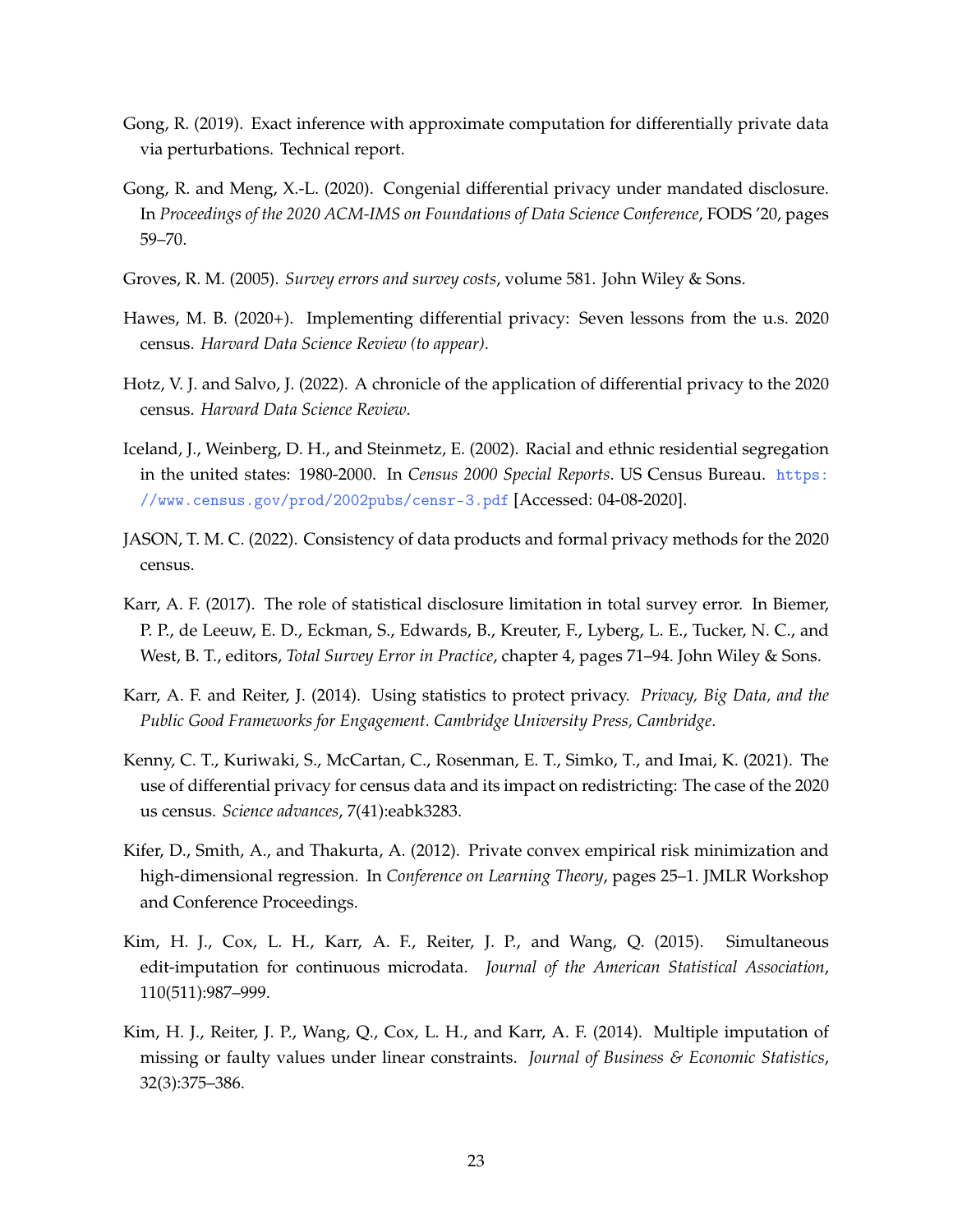- <span id="page-22-4"></span>Gong, R. (2019). Exact inference with approximate computation for differentially private data via perturbations. Technical report.
- <span id="page-22-10"></span>Gong, R. and Meng, X.-L. (2020). Congenial differential privacy under mandated disclosure. In *Proceedings of the 2020 ACM-IMS on Foundations of Data Science Conference*, FODS '20, pages 59–70.
- <span id="page-22-5"></span>Groves, R. M. (2005). *Survey errors and survey costs*, volume 581. John Wiley & Sons.
- <span id="page-22-0"></span>Hawes, M. B. (2020+). Implementing differential privacy: Seven lessons from the u.s. 2020 census. *Harvard Data Science Review (to appear)*.
- <span id="page-22-9"></span>Hotz, V. J. and Salvo, J. (2022). A chronicle of the application of differential privacy to the 2020 census. *Harvard Data Science Review*.
- <span id="page-22-2"></span>Iceland, J., Weinberg, D. H., and Steinmetz, E. (2002). Racial and ethnic residential segregation in the united states: 1980-2000. In *Census 2000 Special Reports*. US Census Bureau. [https:](https://www.census.gov/prod/2002pubs/censr-3.pdf) [//www.census.gov/prod/2002pubs/censr-3.pdf](https://www.census.gov/prod/2002pubs/censr-3.pdf) [Accessed: 04-08-2020].
- <span id="page-22-12"></span>JASON, T. M. C. (2022). Consistency of data products and formal privacy methods for the 2020 census.
- <span id="page-22-8"></span>Karr, A. F. (2017). The role of statistical disclosure limitation in total survey error. In Biemer, P. P., de Leeuw, E. D., Eckman, S., Edwards, B., Kreuter, F., Lyberg, L. E., Tucker, N. C., and West, B. T., editors, *Total Survey Error in Practice*, chapter 4, pages 71–94. John Wiley & Sons.
- <span id="page-22-3"></span>Karr, A. F. and Reiter, J. (2014). Using statistics to protect privacy. *Privacy, Big Data, and the Public Good Frameworks for Engagement. Cambridge University Press, Cambridge*.
- <span id="page-22-11"></span>Kenny, C. T., Kuriwaki, S., McCartan, C., Rosenman, E. T., Simko, T., and Imai, K. (2021). The use of differential privacy for census data and its impact on redistricting: The case of the 2020 us census. *Science advances*, 7(41):eabk3283.
- <span id="page-22-1"></span>Kifer, D., Smith, A., and Thakurta, A. (2012). Private convex empirical risk minimization and high-dimensional regression. In *Conference on Learning Theory*, pages 25–1. JMLR Workshop and Conference Proceedings.
- <span id="page-22-7"></span>Kim, H. J., Cox, L. H., Karr, A. F., Reiter, J. P., and Wang, Q. (2015). Simultaneous edit-imputation for continuous microdata. *Journal of the American Statistical Association*, 110(511):987–999.
- <span id="page-22-6"></span>Kim, H. J., Reiter, J. P., Wang, Q., Cox, L. H., and Karr, A. F. (2014). Multiple imputation of missing or faulty values under linear constraints. *Journal of Business & Economic Statistics*, 32(3):375–386.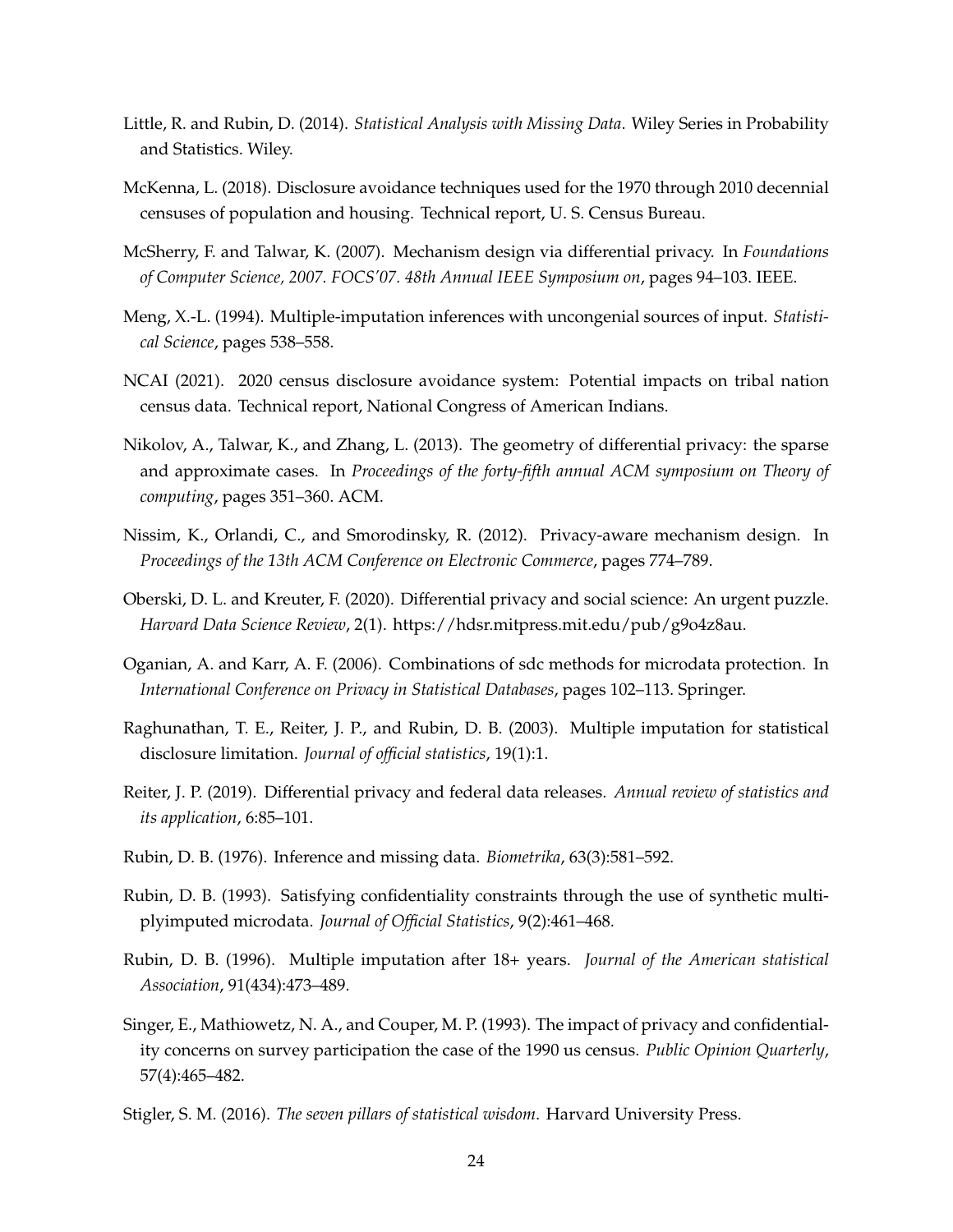- <span id="page-23-4"></span>Little, R. and Rubin, D. (2014). *Statistical Analysis with Missing Data*. Wiley Series in Probability and Statistics. Wiley.
- <span id="page-23-0"></span>McKenna, L. (2018). Disclosure avoidance techniques used for the 1970 through 2010 decennial censuses of population and housing. Technical report, U. S. Census Bureau.
- <span id="page-23-2"></span>McSherry, F. and Talwar, K. (2007). Mechanism design via differential privacy. In *Foundations of Computer Science, 2007. FOCS'07. 48th Annual IEEE Symposium on*, pages 94–103. IEEE.
- <span id="page-23-3"></span>Meng, X.-L. (1994). Multiple-imputation inferences with uncongenial sources of input. *Statistical Science*, pages 538–558.
- <span id="page-23-15"></span>NCAI (2021). 2020 census disclosure avoidance system: Potential impacts on tribal nation census data. Technical report, National Congress of American Indians.
- <span id="page-23-12"></span>Nikolov, A., Talwar, K., and Zhang, L. (2013). The geometry of differential privacy: the sparse and approximate cases. In *Proceedings of the forty-fifth annual ACM symposium on Theory of computing*, pages 351–360. ACM.
- <span id="page-23-11"></span>Nissim, K., Orlandi, C., and Smorodinsky, R. (2012). Privacy-aware mechanism design. In *Proceedings of the 13th ACM Conference on Electronic Commerce*, pages 774–789.
- <span id="page-23-13"></span>Oberski, D. L. and Kreuter, F. (2020). Differential privacy and social science: An urgent puzzle. *Harvard Data Science Review*, 2(1). https://hdsr.mitpress.mit.edu/pub/g9o4z8au.
- <span id="page-23-1"></span>Oganian, A. and Karr, A. F. (2006). Combinations of sdc methods for microdata protection. In *International Conference on Privacy in Statistical Databases*, pages 102–113. Springer.
- <span id="page-23-7"></span>Raghunathan, T. E., Reiter, J. P., and Rubin, D. B. (2003). Multiple imputation for statistical disclosure limitation. *Journal of official statistics*, 19(1):1.
- <span id="page-23-9"></span>Reiter, J. P. (2019). Differential privacy and federal data releases. *Annual review of statistics and its application*, 6:85–101.
- <span id="page-23-8"></span>Rubin, D. B. (1976). Inference and missing data. *Biometrika*, 63(3):581–592.
- <span id="page-23-6"></span>Rubin, D. B. (1993). Satisfying confidentiality constraints through the use of synthetic multiplyimputed microdata. *Journal of Official Statistics*, 9(2):461–468.
- <span id="page-23-5"></span>Rubin, D. B. (1996). Multiple imputation after 18+ years. *Journal of the American statistical Association*, 91(434):473–489.
- <span id="page-23-10"></span>Singer, E., Mathiowetz, N. A., and Couper, M. P. (1993). The impact of privacy and confidentiality concerns on survey participation the case of the 1990 us census. *Public Opinion Quarterly*, 57(4):465–482.
- <span id="page-23-14"></span>Stigler, S. M. (2016). *The seven pillars of statistical wisdom*. Harvard University Press.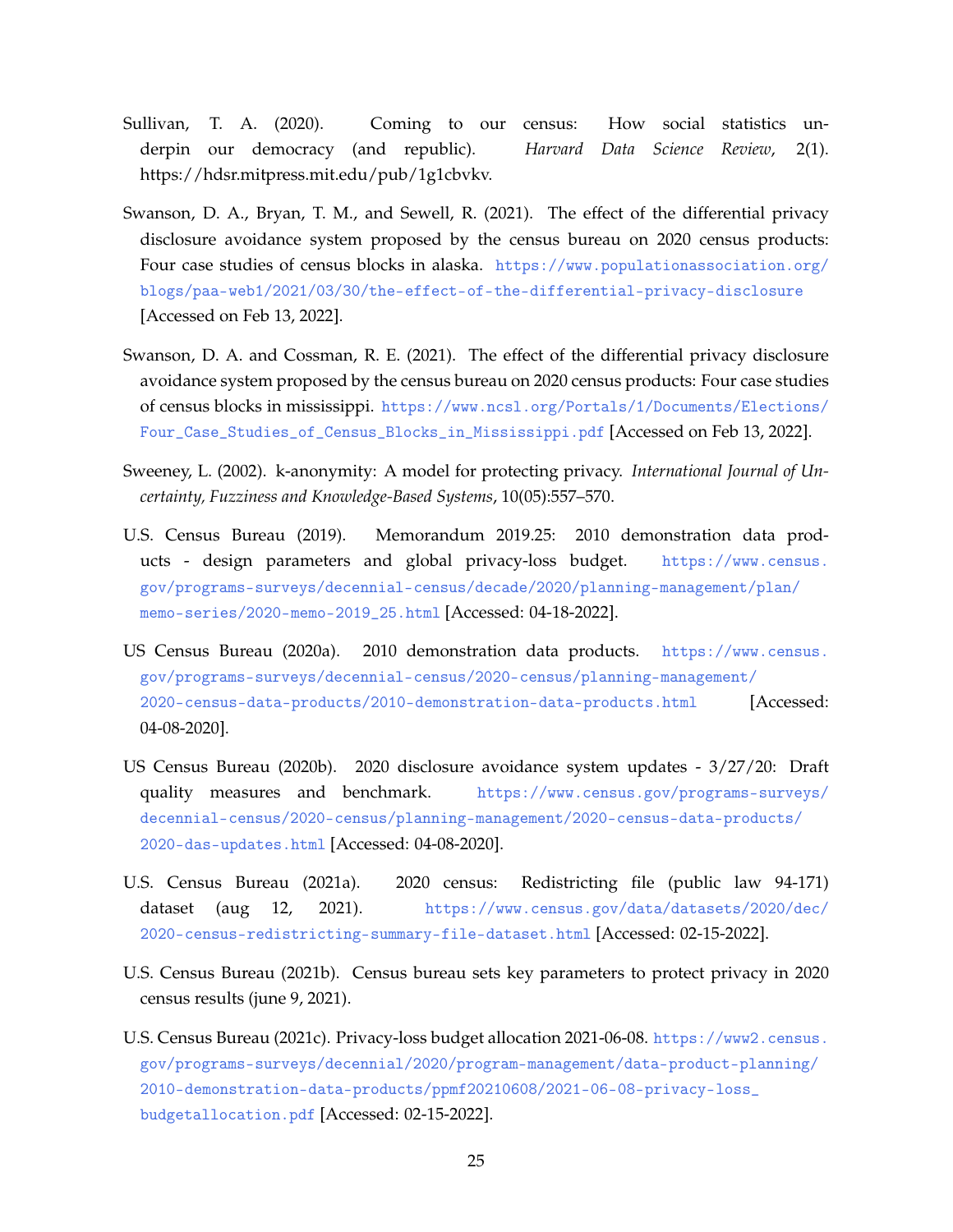- <span id="page-24-7"></span>Sullivan, T. A. (2020). Coming to our census: How social statistics underpin our democracy (and republic). *Harvard Data Science Review*, 2(1). https://hdsr.mitpress.mit.edu/pub/1g1cbvkv.
- <span id="page-24-8"></span>Swanson, D. A., Bryan, T. M., and Sewell, R. (2021). The effect of the differential privacy disclosure avoidance system proposed by the census bureau on 2020 census products: Four case studies of census blocks in alaska. [https://www.populationassociation.org/](https://www.populationassociation.org/blogs/paa-web1/2021/03/30/the-effect-of-the-differential-privacy-disclosure) [blogs/paa-web1/2021/03/30/the-effect-of-the-differential-privacy-disclosure](https://www.populationassociation.org/blogs/paa-web1/2021/03/30/the-effect-of-the-differential-privacy-disclosure) [Accessed on Feb 13, 2022].
- <span id="page-24-9"></span>Swanson, D. A. and Cossman, R. E. (2021). The effect of the differential privacy disclosure avoidance system proposed by the census bureau on 2020 census products: Four case studies of census blocks in mississippi. [https://www.ncsl.org/Portals/1/Documents/Elections/](https://www.ncsl.org/Portals/1/Documents/Elections/Four_Case_Studies_of_Census_Blocks_in_Mississippi.pdf) [Four\\_Case\\_Studies\\_of\\_Census\\_Blocks\\_in\\_Mississippi.pdf](https://www.ncsl.org/Portals/1/Documents/Elections/Four_Case_Studies_of_Census_Blocks_in_Mississippi.pdf) [Accessed on Feb 13, 2022].
- <span id="page-24-0"></span>Sweeney, L. (2002). k-anonymity: A model for protecting privacy. *International Journal of Uncertainty, Fuzziness and Knowledge-Based Systems*, 10(05):557–570.
- <span id="page-24-5"></span>U.S. Census Bureau (2019). Memorandum 2019.25: 2010 demonstration data products - design parameters and global privacy-loss budget. [https://www.census.](https://www.census.gov/programs-surveys/decennial-census/decade/2020/planning-management/plan/memo-series/2020-memo-2019_25.html) [gov/programs-surveys/decennial-census/decade/2020/planning-management/plan/](https://www.census.gov/programs-surveys/decennial-census/decade/2020/planning-management/plan/memo-series/2020-memo-2019_25.html) [memo-series/2020-memo-2019\\_25.html](https://www.census.gov/programs-surveys/decennial-census/decade/2020/planning-management/plan/memo-series/2020-memo-2019_25.html) [Accessed: 04-18-2022].
- <span id="page-24-1"></span>US Census Bureau (2020a). 2010 demonstration data products. [https://www.census.](https://www.census.gov/programs-surveys/decennial-census/2020-census/planning-management/2020-census-data-products/2010-demonstration-data-products.html) [gov/programs-surveys/decennial-census/2020-census/planning-management/](https://www.census.gov/programs-surveys/decennial-census/2020-census/planning-management/2020-census-data-products/2010-demonstration-data-products.html) [2020-census-data-products/2010-demonstration-data-products.html](https://www.census.gov/programs-surveys/decennial-census/2020-census/planning-management/2020-census-data-products/2010-demonstration-data-products.html) [Accessed: 04-08-2020].
- <span id="page-24-2"></span>US Census Bureau (2020b). 2020 disclosure avoidance system updates - 3/27/20: Draft quality measures and benchmark. [https://www.census.gov/programs-surveys/](https://www.census.gov/programs-surveys/decennial-census/2020-census/planning-management/2020-census-data-products/2020-das-updates.html) [decennial-census/2020-census/planning-management/2020-census-data-products/](https://www.census.gov/programs-surveys/decennial-census/2020-census/planning-management/2020-census-data-products/2020-das-updates.html) [2020-das-updates.html](https://www.census.gov/programs-surveys/decennial-census/2020-census/planning-management/2020-census-data-products/2020-das-updates.html) [Accessed: 04-08-2020].
- <span id="page-24-3"></span>U.S. Census Bureau (2021a). 2020 census: Redistricting file (public law 94-171) dataset (aug 12, 2021). [https://www.census.gov/data/datasets/2020/dec/](https://www.census.gov/data/datasets/2020/dec/2020-census-redistricting-summary-file-dataset.html) [2020-census-redistricting-summary-file-dataset.html](https://www.census.gov/data/datasets/2020/dec/2020-census-redistricting-summary-file-dataset.html) [Accessed: 02-15-2022].
- <span id="page-24-6"></span>U.S. Census Bureau (2021b). Census bureau sets key parameters to protect privacy in 2020 census results (june 9, 2021).
- <span id="page-24-4"></span>U.S. Census Bureau (2021c). Privacy-loss budget allocation 2021-06-08. [https://www2.census.](https://www2.census.gov/programs-surveys/decennial/2020/program-management/data-product-planning/2010-demonstration-data-products/ppmf20210608/2021-06-08-privacy-loss_budgetallocation.pdf) [gov/programs-surveys/decennial/2020/program-management/data-product-planning/](https://www2.census.gov/programs-surveys/decennial/2020/program-management/data-product-planning/2010-demonstration-data-products/ppmf20210608/2021-06-08-privacy-loss_budgetallocation.pdf) [2010-demonstration-data-products/ppmf20210608/2021-06-08-privacy-loss\\_](https://www2.census.gov/programs-surveys/decennial/2020/program-management/data-product-planning/2010-demonstration-data-products/ppmf20210608/2021-06-08-privacy-loss_budgetallocation.pdf) [budgetallocation.pdf](https://www2.census.gov/programs-surveys/decennial/2020/program-management/data-product-planning/2010-demonstration-data-products/ppmf20210608/2021-06-08-privacy-loss_budgetallocation.pdf) [Accessed: 02-15-2022].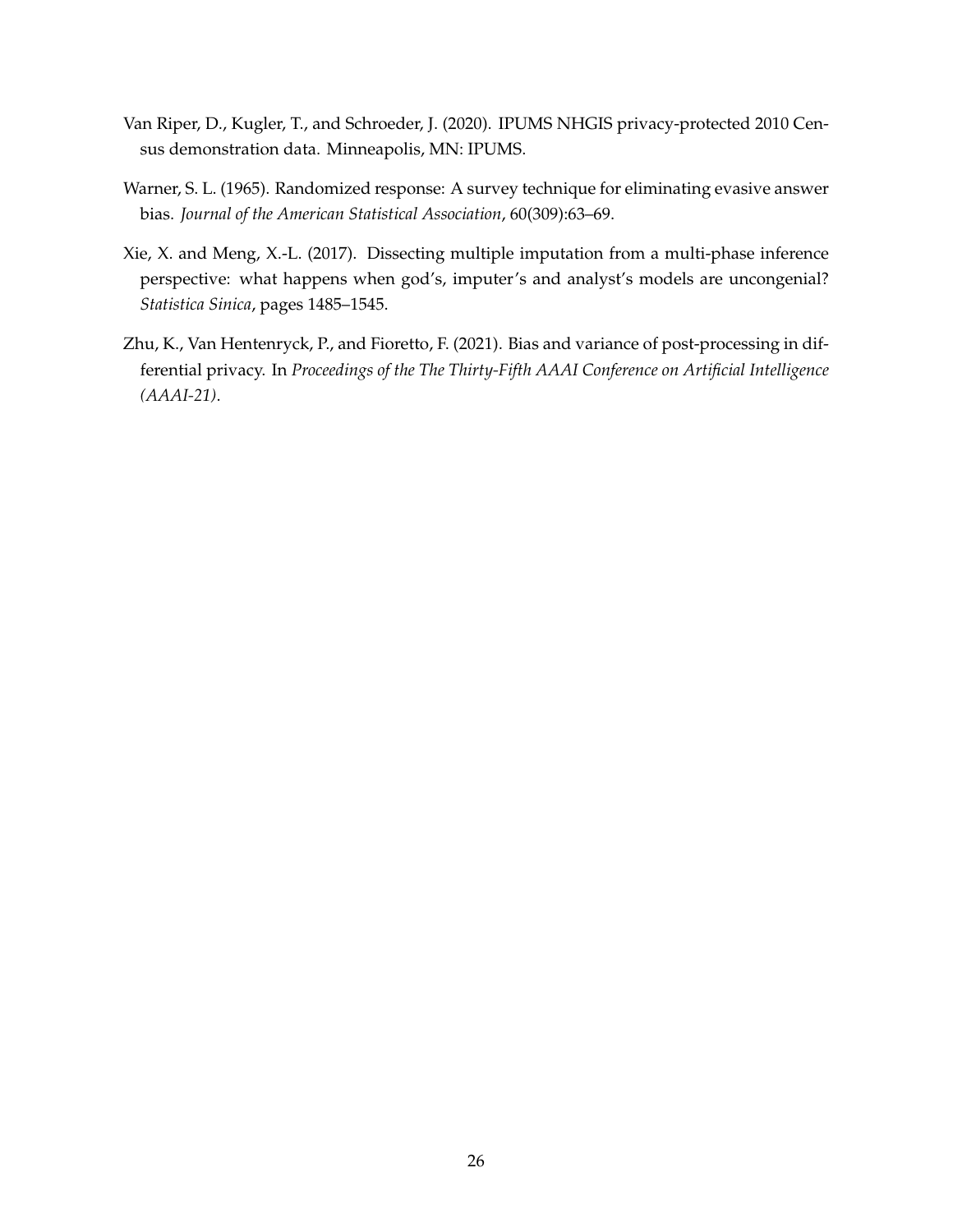- <span id="page-25-1"></span>Van Riper, D., Kugler, T., and Schroeder, J. (2020). IPUMS NHGIS privacy-protected 2010 Census demonstration data. Minneapolis, MN: IPUMS.
- <span id="page-25-0"></span>Warner, S. L. (1965). Randomized response: A survey technique for eliminating evasive answer bias. *Journal of the American Statistical Association*, 60(309):63–69.
- <span id="page-25-2"></span>Xie, X. and Meng, X.-L. (2017). Dissecting multiple imputation from a multi-phase inference perspective: what happens when god's, imputer's and analyst's models are uncongenial? *Statistica Sinica*, pages 1485–1545.
- <span id="page-25-3"></span>Zhu, K., Van Hentenryck, P., and Fioretto, F. (2021). Bias and variance of post-processing in differential privacy. In *Proceedings of the The Thirty-Fifth AAAI Conference on Artificial Intelligence (AAAI-21)*.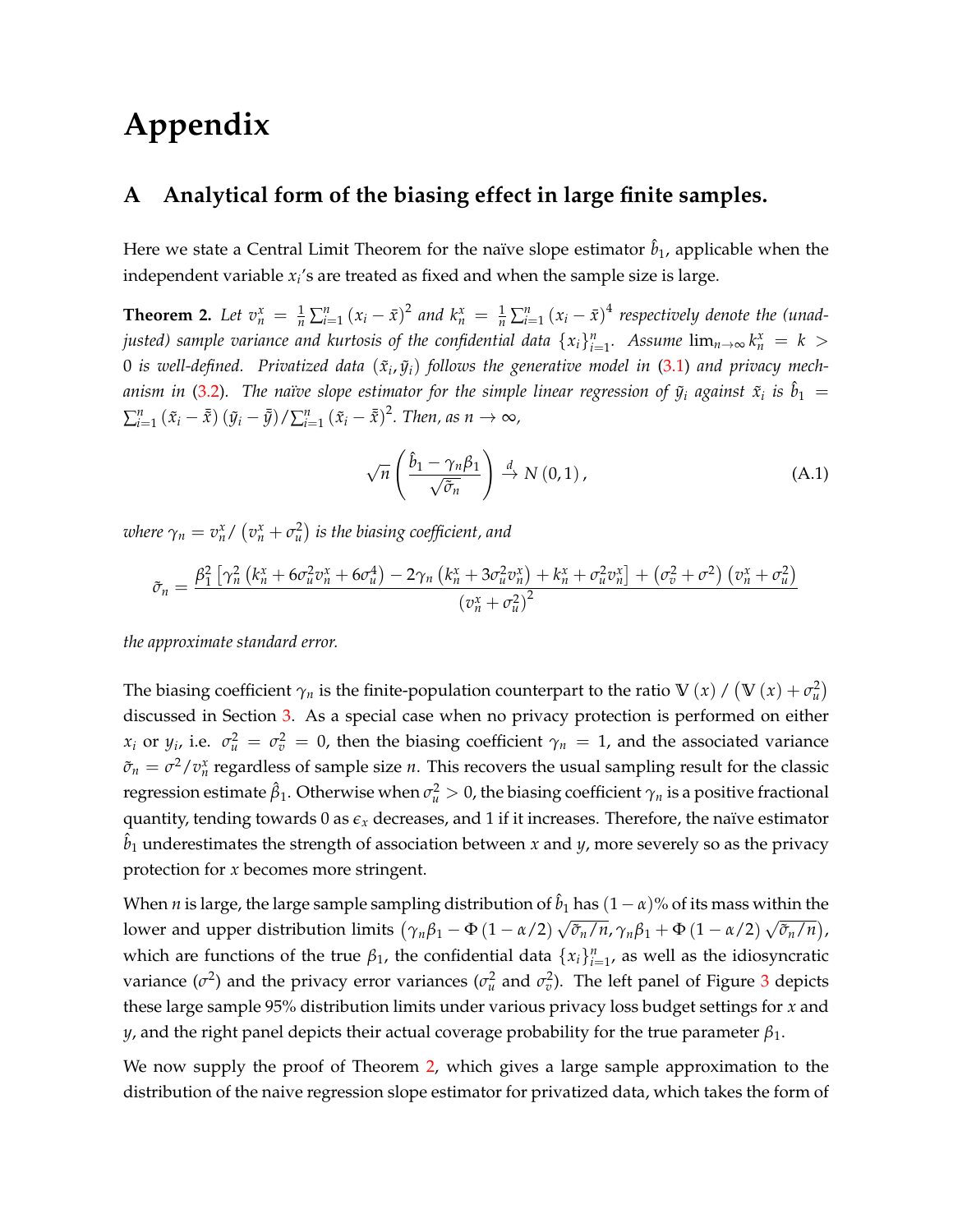# **Appendix**

# <span id="page-26-0"></span>**A Analytical form of the biasing effect in large finite samples.**

Here we state a Central Limit Theorem for the naïve slope estimator  $\hat{b}_1$ , applicable when the independent variable *x<sup>i</sup>* 's are treated as fixed and when the sample size is large.

<span id="page-26-1"></span>**Theorem 2.** Let  $v_n^x = \frac{1}{n} \sum_{i=1}^n (x_i - \bar{x})^2$  and  $k_n^x = \frac{1}{n} \sum_{i=1}^n (x_i - \bar{x})^4$  respectively denote the (unad*justed) sample variance and kurtosis of the confidential data*  $\{x_i\}_{i=1}^n$ *. Assume*  $\lim_{n\to\infty} k_n^x = k > 0$  $0$  is well-defined. Privatized data  $(\tilde{x}_i,\tilde{y}_i)$  follows the generative model in [\(3.1\)](#page-5-2) and privacy mech-anism in [\(3.2\)](#page-5-0). The naïve slope estimator for the simple linear regression of  $\tilde{y}_i$  against  $\tilde{x}_i$  is  $\hat{b}_1$   $=$  $\sum_{i=1}^n (\tilde{x}_i - \bar{\tilde{x}}) (\tilde{y}_i - \bar{\tilde{y}}) / \sum_{i=1}^n (\tilde{x}_i - \bar{\tilde{x}})^2$ . Then, as  $n \to \infty$ ,

$$
\sqrt{n}\left(\frac{\hat{b}_1 - \gamma_n \beta_1}{\sqrt{\tilde{\sigma}_n}}\right) \stackrel{d}{\to} N(0,1),\tag{A.1}
$$

*where*  $\gamma_n = v_n^{\text{x}} / \left( v_n^{\text{x}} + \sigma_u^2 \right)$  *is the biasing coefficient, and* 

$$
\tilde{\sigma}_n = \frac{\beta_1^2 \left[ \gamma_n^2 \left( k_n^x + 6 \sigma_u^2 v_n^x + 6 \sigma_u^4 \right) - 2 \gamma_n \left( k_n^x + 3 \sigma_u^2 v_n^x \right) + k_n^x + \sigma_u^2 v_n^x \right] + \left( \sigma_v^2 + \sigma^2 \right) \left( v_n^x + \sigma_u^2 \right)}{\left( v_n^x + \sigma_u^2 \right)^2}
$$

*the approximate standard error.*

The biasing coefficient  $\gamma_n$  is the finite-population counterpart to the ratio  $\mathbb{V}(x) / (\mathbb{V}(x) + \sigma_u^2)$ discussed in Section [3.](#page-4-0) As a special case when no privacy protection is performed on either *x*<sub>*i*</sub> or *y*<sub>*i*</sub>, i.e.  $\sigma_u^2 = \sigma_v^2 = 0$ , then the biasing coefficient  $\gamma_n = 1$ , and the associated variance  $\tilde{\sigma}_n = \sigma^2/v_n^x$  regardless of sample size *n*. This recovers the usual sampling result for the classic regression estimate  $\hat{\beta}_1$ . Otherwise when  $\sigma_u^2>0$ , the biasing coefficient  $\gamma_n$  is a positive fractional quantity, tending towards 0 as  $\epsilon_x$  decreases, and 1 if it increases. Therefore, the naïve estimator  $\hat{b}_1$  underestimates the strength of association between *x* and *y*, more severely so as the privacy protection for *x* becomes more stringent.

When *n* is large, the large sample sampling distribution of  $\hat{b}_1$  has  $(1 - \alpha)$ % of its mass within the lower and upper distribution limits  $(\gamma_n\beta_1 - \Phi(1-\alpha/2))$ √  $\overline{\tilde{\sigma}_n}/\overline{n}$ ,  $\gamma_n\beta_1 + \Phi(1 - \alpha/2)$ √ *σ*˜*n*/*n* , which are functions of the true  $\beta_1$ , the confidential data  $\{x_i\}_{i=1}^n$ , as well as the idiosyncratic variance  $(\sigma^2)$  and the privacy error variances  $(\sigma_u^2$  and  $\sigma_v^2$ ). The left panel of Figure [3](#page-27-0) depicts these large sample 95% distribution limits under various privacy loss budget settings for *x* and *y*, and the right panel depicts their actual coverage probability for the true parameter *β*1.

We now supply the proof of Theorem [2,](#page-26-1) which gives a large sample approximation to the distribution of the naive regression slope estimator for privatized data, which takes the form of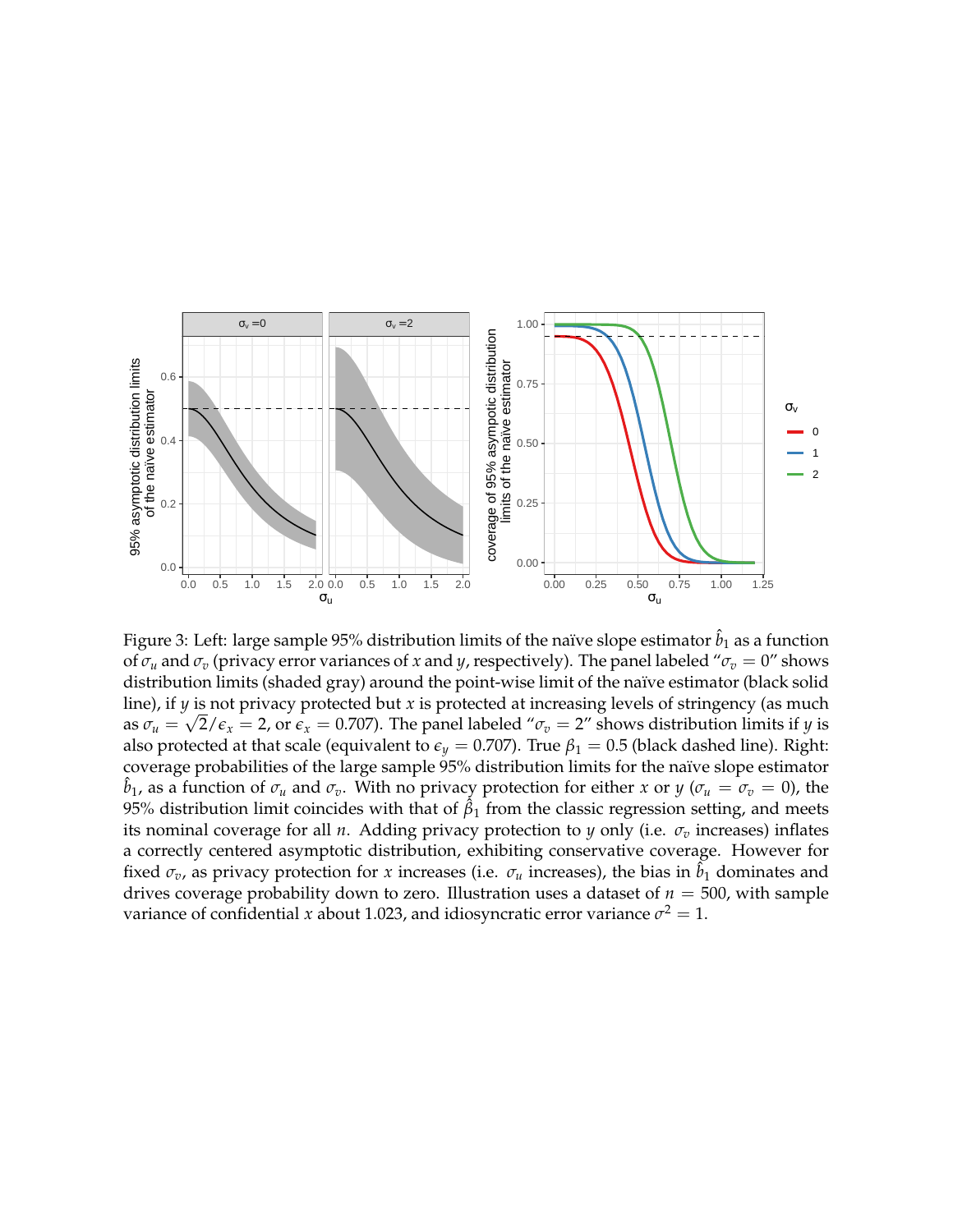<span id="page-27-0"></span>

Figure 3: Left: large sample 95% distribution limits of the naïve slope estimator  $\hat{b}_1$  as a function of  $\sigma_u$  and  $\sigma_v$  (privacy error variances of *x* and *y*, respectively). The panel labeled " $\sigma_v = 0$ " shows distribution limits (shaded gray) around the point-wise limit of the naïve estimator (black solid line), if *y* is not privacy protected but *x* is protected at increasing levels of stringency (as much as  $\sigma_u=\sqrt{2/\epsilon_x}=$  2, or  $\epsilon_x=$  0.707). The panel labeled " $\sigma_v=$  2″ shows distribution limits if  $y$  is also protected at that scale (equivalent to  $\epsilon_y = 0.707$ ). True  $\beta_1 = 0.5$  (black dashed line). Right: coverage probabilities of the large sample 95% distribution limits for the naïve slope estimator  $\hat{b}_1$ , as a function of  $\sigma_u$  and  $\sigma_v$ . With no privacy protection for either *x* or *y* ( $\sigma_u = \sigma_v = 0$ ), the 95% distribution limit coincides with that of  $\hat{\beta}_1$  from the classic regression setting, and meets its nominal coverage for all *n*. Adding privacy protection to *y* only (i.e.  $\sigma_v$  increases) inflates a correctly centered asymptotic distribution, exhibiting conservative coverage. However for fixed  $\sigma_v$ , as privacy protection for *x* increases (i.e.  $\sigma_u$  increases), the bias in  $\hat{b}_1$  dominates and drives coverage probability down to zero. Illustration uses a dataset of  $n = 500$ , with sample variance of confidential *x* about 1.023, and idiosyncratic error variance  $\sigma^2 = 1$ .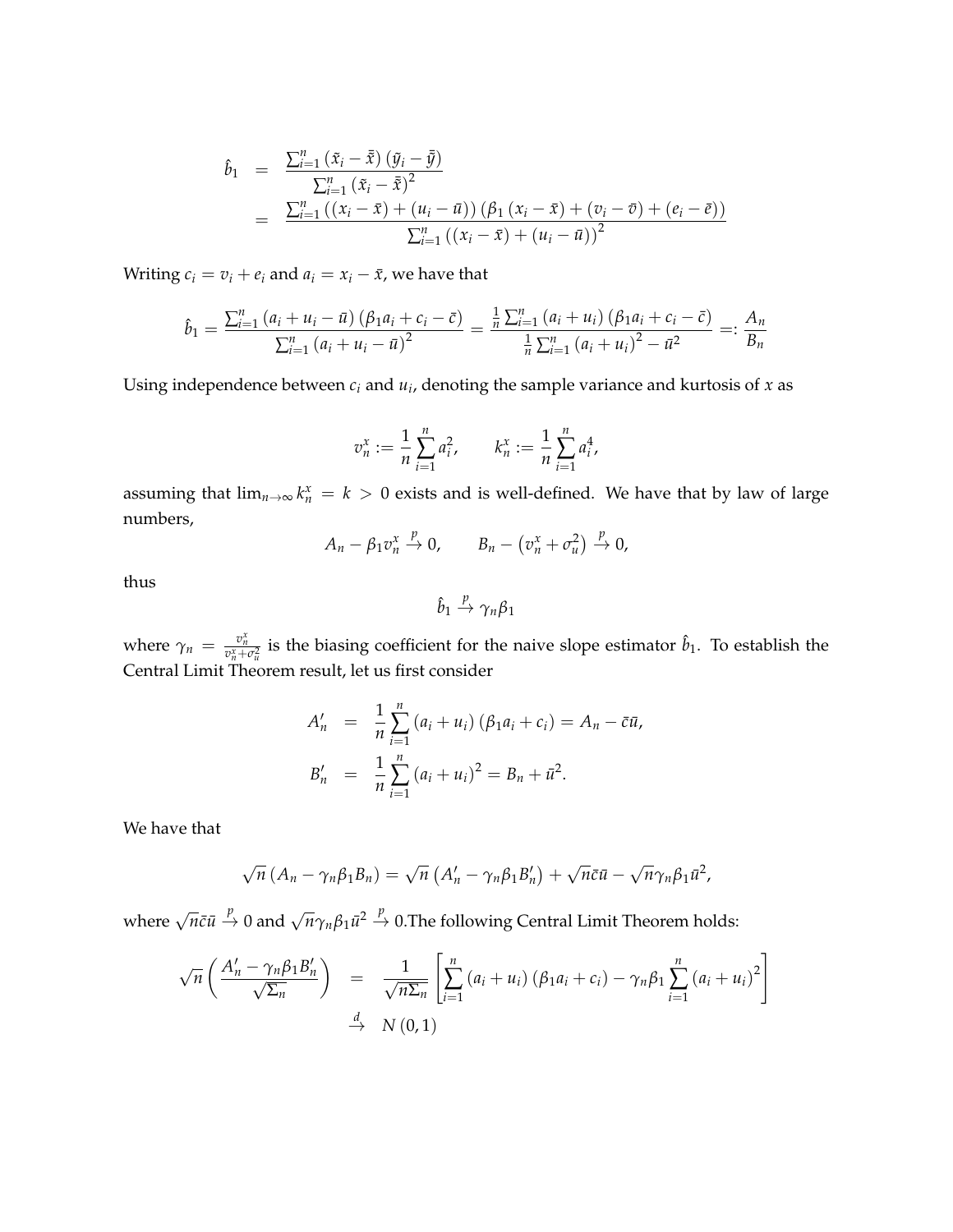$$
\hat{b}_1 = \frac{\sum_{i=1}^n (\tilde{x}_i - \bar{\tilde{x}}) (\tilde{y}_i - \bar{\tilde{y}})}{\sum_{i=1}^n (\tilde{x}_i - \bar{\tilde{x}})^2}
$$
\n
$$
= \frac{\sum_{i=1}^n ((x_i - \bar{x}) + (u_i - \bar{u})) (\beta_1 (x_i - \bar{x}) + (v_i - \bar{v}) + (e_i - \bar{e}))}{\sum_{i=1}^n ((x_i - \bar{x}) + (u_i - \bar{u}))^2}
$$

Writing  $c_i = v_i + e_i$  and  $a_i = x_i - \bar{x}$ , we have that

$$
\hat{b}_1 = \frac{\sum_{i=1}^{n} (a_i + u_i - \bar{u}) (\beta_1 a_i + c_i - \bar{c})}{\sum_{i=1}^{n} (a_i + u_i - \bar{u})^2} = \frac{\frac{1}{n} \sum_{i=1}^{n} (a_i + u_i) (\beta_1 a_i + c_i - \bar{c})}{\frac{1}{n} \sum_{i=1}^{n} (a_i + u_i)^2 - \bar{u}^2} =: \frac{A_n}{B_n}
$$

Using independence between *c<sup>i</sup>* and *u<sup>i</sup>* , denoting the sample variance and kurtosis of *x* as

$$
v_n^x := \frac{1}{n} \sum_{i=1}^n a_i^2, \qquad k_n^x := \frac{1}{n} \sum_{i=1}^n a_i^4,
$$

assuming that  $\lim_{n\to\infty} k_n^x = k > 0$  exists and is well-defined. We have that by law of large numbers,

$$
A_n - \beta_1 v_n^x \xrightarrow{p} 0, \qquad B_n - (v_n^x + \sigma_u^2) \xrightarrow{p} 0,
$$

thus

$$
\hat{b}_1 \stackrel{p}{\rightarrow} \gamma_n \beta_1
$$

where  $\gamma_n = \frac{v_n^x}{v_n^x + \sigma_u^2}$  is the biasing coefficient for the naive slope estimator  $\hat{b}_1$ . To establish the Central Limit Theorem result, let us first consider

$$
A'_{n} = \frac{1}{n} \sum_{i=1}^{n} (a_{i} + u_{i}) (\beta_{1} a_{i} + c_{i}) = A_{n} - \bar{c} \bar{u},
$$
  

$$
B'_{n} = \frac{1}{n} \sum_{i=1}^{n} (a_{i} + u_{i})^{2} = B_{n} + \bar{u}^{2}.
$$

We have that

$$
\sqrt{n} (A_n - \gamma_n \beta_1 B_n) = \sqrt{n} (A'_n - \gamma_n \beta_1 B'_n) + \sqrt{n} \bar{c} \bar{u} - \sqrt{n} \gamma_n \beta_1 \bar{u}^2,
$$

where  $\sqrt{n}\bar{c}\bar{u} \stackrel{p}{\rightarrow} 0$  and  $\sqrt{n}\gamma_n\beta_1\bar{u}^2 \stackrel{p}{\rightarrow} 0$ . The following Central Limit Theorem holds:

$$
\sqrt{n}\left(\frac{A'_{n}-\gamma_{n}\beta_{1}B'_{n}}{\sqrt{\Sigma_{n}}}\right) = \frac{1}{\sqrt{n\Sigma_{n}}}\left[\sum_{i=1}^{n}\left(a_{i}+u_{i}\right)\left(\beta_{1}a_{i}+c_{i}\right)-\gamma_{n}\beta_{1}\sum_{i=1}^{n}\left(a_{i}+u_{i}\right)^{2}\right]
$$
  

$$
\xrightarrow{d} N(0,1)
$$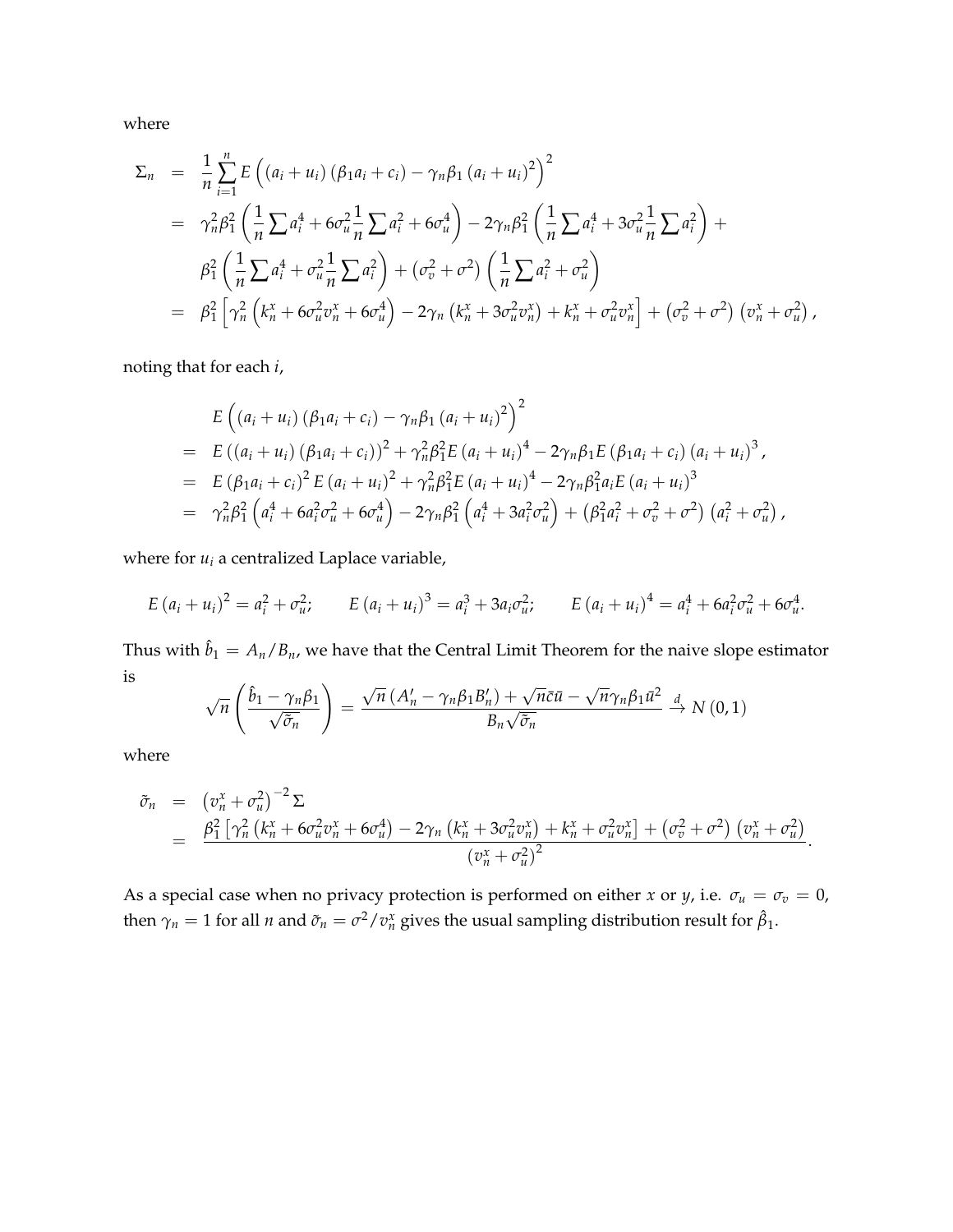where

$$
\Sigma_{n} = \frac{1}{n} \sum_{i=1}^{n} E \left( (a_{i} + u_{i}) \left( \beta_{1} a_{i} + c_{i} \right) - \gamma_{n} \beta_{1} \left( a_{i} + u_{i} \right)^{2} \right)^{2}
$$
\n
$$
= \gamma_{n}^{2} \beta_{1}^{2} \left( \frac{1}{n} \sum a_{i}^{4} + 6 \sigma_{u}^{2} \frac{1}{n} \sum a_{i}^{2} + 6 \sigma_{u}^{4} \right) - 2 \gamma_{n} \beta_{1}^{2} \left( \frac{1}{n} \sum a_{i}^{4} + 3 \sigma_{u}^{2} \frac{1}{n} \sum a_{i}^{2} \right) +
$$
\n
$$
\beta_{1}^{2} \left( \frac{1}{n} \sum a_{i}^{4} + \sigma_{u}^{2} \frac{1}{n} \sum a_{i}^{2} \right) + \left( \sigma_{v}^{2} + \sigma_{v}^{2} \right) \left( \frac{1}{n} \sum a_{i}^{2} + \sigma_{u}^{2} \right)
$$
\n
$$
= \beta_{1}^{2} \left[ \gamma_{n}^{2} \left( k_{n}^{x} + 6 \sigma_{u}^{2} \sigma_{n}^{x} + 6 \sigma_{u}^{4} \right) - 2 \gamma_{n} \left( k_{n}^{x} + 3 \sigma_{u}^{2} \sigma_{n}^{x} \right) + k_{n}^{x} + \sigma_{u}^{2} \sigma_{n}^{x} \right] + \left( \sigma_{v}^{2} + \sigma_{v}^{2} \right) \left( \sigma_{n}^{x} + \sigma_{u}^{2} \right),
$$

noting that for each *i*,

$$
E\left((a_i + u_i) (\beta_1 a_i + c_i) - \gamma_n \beta_1 (a_i + u_i)^2\right)^2
$$
  
=  $E((a_i + u_i) (\beta_1 a_i + c_i))^2 + \gamma_n^2 \beta_1^2 E(a_i + u_i)^4 - 2\gamma_n \beta_1 E(\beta_1 a_i + c_i) (a_i + u_i)^3,$   
=  $E(\beta_1 a_i + c_i)^2 E(a_i + u_i)^2 + \gamma_n^2 \beta_1^2 E(a_i + u_i)^4 - 2\gamma_n \beta_1^2 a_i E(a_i + u_i)^3$   
=  $\gamma_n^2 \beta_1^2 \left(a_i^4 + 6a_i^2 \sigma_u^2 + 6\sigma_u^4\right) - 2\gamma_n \beta_1^2 \left(a_i^4 + 3a_i^2 \sigma_u^2\right) + (\beta_1^2 a_i^2 + \sigma_v^2 + \sigma^2) (a_i^2 + \sigma_u^2),$ 

where for  $u_i$  a centralized Laplace variable,

$$
E (a_i + u_i)^2 = a_i^2 + \sigma_u^2; \qquad E (a_i + u_i)^3 = a_i^3 + 3a_i \sigma_u^2; \qquad E (a_i + u_i)^4 = a_i^4 + 6a_i^2 \sigma_u^2 + 6\sigma_u^4.
$$

Thus with  $\hat{b}_1 = A_n/B_n$ , we have that the Central Limit Theorem for the naive slope estimator is √ √ √

$$
\sqrt{n}\left(\frac{\hat{b}_1-\gamma_n\beta_1}{\sqrt{\tilde{\sigma}_n}}\right)=\frac{\sqrt{n}\left(A'_n-\gamma_n\beta_1B'_n\right)+\sqrt{n}\tilde{c}\bar{u}-\sqrt{n}\gamma_n\beta_1\bar{u}^2}{B_n\sqrt{\tilde{\sigma}_n}}\stackrel{d}{\to}N\left(0,1\right)
$$

where

$$
\tilde{\sigma}_n = \left( v_n^x + \sigma_u^2 \right)^{-2} \Sigma
$$
\n
$$
= \frac{\beta_1^2 \left[ \gamma_n^2 \left( k_n^x + 6 \sigma_u^2 v_n^x + 6 \sigma_u^4 \right) - 2 \gamma_n \left( k_n^x + 3 \sigma_u^2 v_n^x \right) + k_n^x + \sigma_u^2 v_n^x \right] + \left( \sigma_v^2 + \sigma^2 \right) \left( v_n^x + \sigma_u^2 \right)}{\left( v_n^x + \sigma_u^2 \right)^2}.
$$

As a special case when no privacy protection is performed on either *x* or *y*, i.e.  $\sigma_u = \sigma_v = 0$ , then  $\gamma_n = 1$  for all *n* and  $\tilde{\sigma}_n = \sigma^2/v_n^x$  gives the usual sampling distribution result for  $\hat{\beta}_1$ .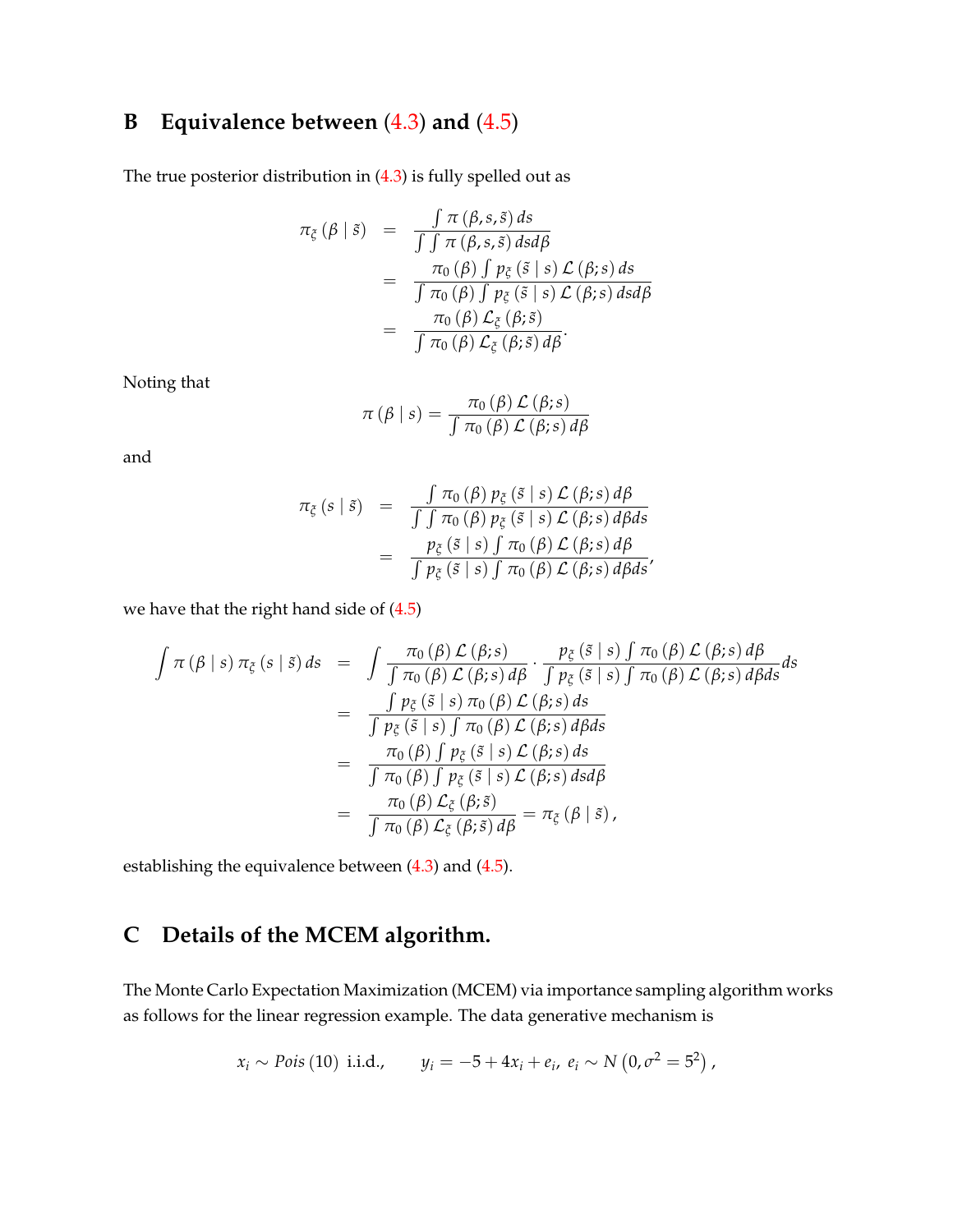# <span id="page-30-0"></span>**B Equivalence between** [\(4.3\)](#page-11-1) **and** [\(4.5\)](#page-12-0)

The true posterior distribution in [\(4.3\)](#page-11-1) is fully spelled out as

$$
\pi_{\xi}(\beta \mid \tilde{s}) = \frac{\int \pi(\beta, s, \tilde{s}) ds}{\int \int \pi(\beta, s, \tilde{s}) ds d\beta}
$$
  
= 
$$
\frac{\pi_{0}(\beta) \int p_{\xi}(\tilde{s} \mid s) \mathcal{L}(\beta; s) ds}{\int \pi_{0}(\beta) \int p_{\xi}(\tilde{s} \mid s) \mathcal{L}(\beta; s) ds d\beta}
$$
  
= 
$$
\frac{\pi_{0}(\beta) \mathcal{L}_{\xi}(\beta; \tilde{s})}{\int \pi_{0}(\beta) \mathcal{L}_{\xi}(\beta; \tilde{s}) d\beta}.
$$

Noting that

$$
\pi(\beta \mid s) = \frac{\pi_0(\beta) \mathcal{L}(\beta; s)}{\int \pi_0(\beta) \mathcal{L}(\beta; s) d\beta}
$$

and

$$
\pi_{\xi}(s \mid \tilde{s}) = \frac{\int \pi_{0}(\beta) p_{\xi}(\tilde{s} \mid s) \mathcal{L}(\beta; s) d\beta}{\int \int \pi_{0}(\beta) p_{\xi}(\tilde{s} \mid s) \mathcal{L}(\beta; s) d\beta ds}
$$

$$
= \frac{p_{\xi}(\tilde{s} \mid s) \int \pi_{0}(\beta) \mathcal{L}(\beta; s) d\beta}{\int p_{\xi}(\tilde{s} \mid s) \int \pi_{0}(\beta) \mathcal{L}(\beta; s) d\beta ds'}
$$

we have that the right hand side of [\(4.5\)](#page-12-0)

$$
\int \pi (\beta | s) \pi_{\xi} (s | \tilde{s}) ds = \int \frac{\pi_{0} (\beta) \mathcal{L} (\beta; s)}{\int \pi_{0} (\beta) \mathcal{L} (\beta; s) d\beta} \cdot \frac{p_{\xi} (\tilde{s} | s) \int \pi_{0} (\beta) \mathcal{L} (\beta; s) d\beta}{\int p_{\xi} (\tilde{s} | s) \int \pi_{0} (\beta) \mathcal{L} (\beta; s) d\beta ds} ds
$$
  

$$
= \frac{\int p_{\xi} (\tilde{s} | s) \pi_{0} (\beta) \mathcal{L} (\beta; s) ds}{\int p_{\xi} (\tilde{s} | s) \int \pi_{0} (\beta) \mathcal{L} (\beta; s) d\beta ds}
$$
  

$$
= \frac{\pi_{0} (\beta) \int p_{\xi} (\tilde{s} | s) \mathcal{L} (\beta; s) ds}{\int \pi_{0} (\beta) \int p_{\xi} (\tilde{s} | s) \mathcal{L} (\beta; s) ds}
$$
  

$$
= \frac{\pi_{0} (\beta) \mathcal{L}_{\xi} (\beta; \tilde{s})}{\int \pi_{0} (\beta) \mathcal{L}_{\xi} (\beta; \tilde{s}) d\beta} = \pi_{\xi} (\beta | \tilde{s}),
$$

establishing the equivalence between [\(4.3\)](#page-11-1) and [\(4.5\)](#page-12-0).

# <span id="page-30-1"></span>**C Details of the MCEM algorithm.**

The Monte Carlo Expectation Maximization (MCEM) via importance sampling algorithm works as follows for the linear regression example. The data generative mechanism is

$$
x_i \sim \text{Pois}(10) \text{ i.i.d.,}
$$
  $y_i = -5 + 4x_i + e_i, e_i \sim N(0, \sigma^2 = 5^2),$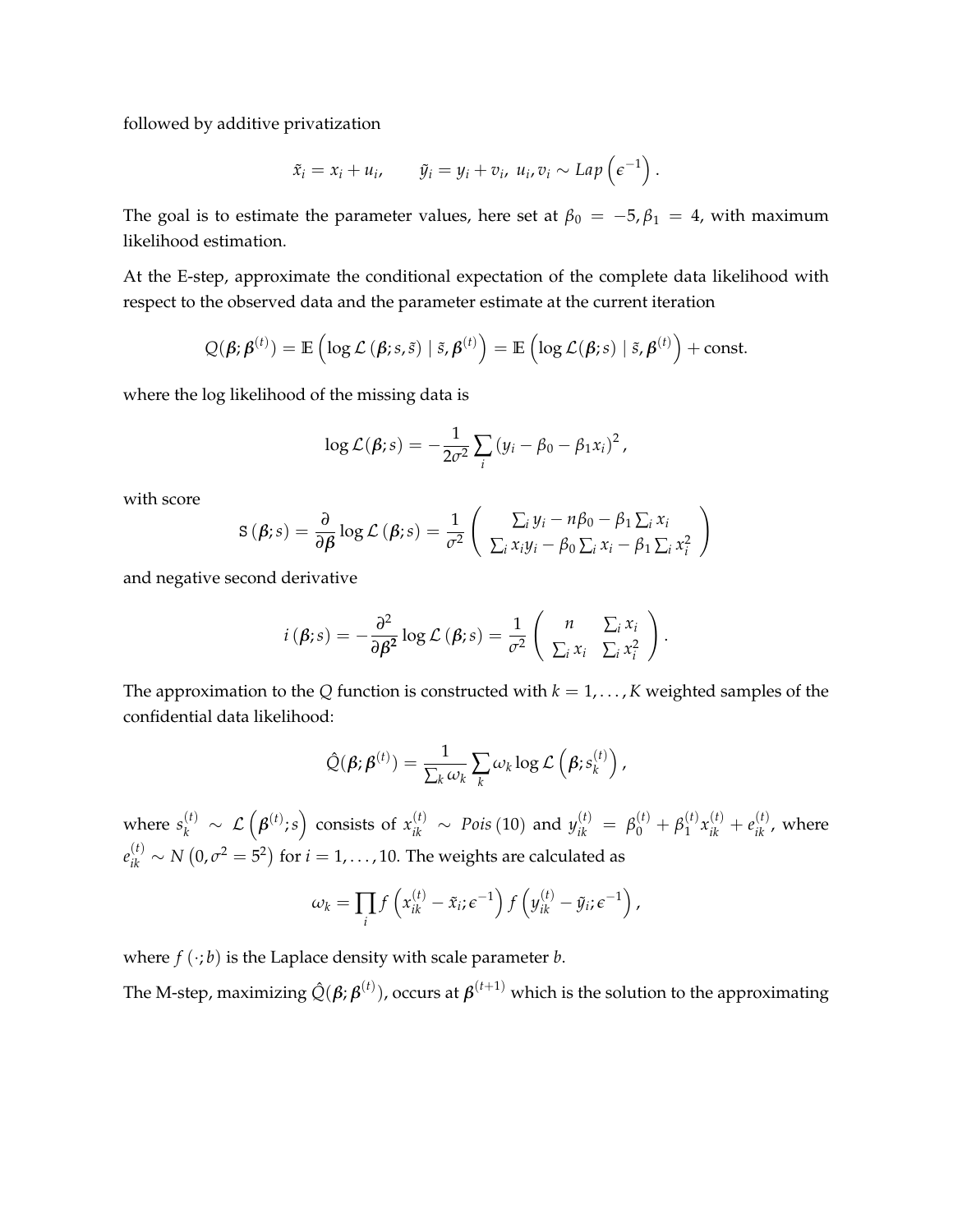followed by additive privatization

$$
\tilde{x}_i = x_i + u_i, \qquad \tilde{y}_i = y_i + v_i, \ u_i, v_i \sim Lap\left(\epsilon^{-1}\right).
$$

The goal is to estimate the parameter values, here set at  $\beta_0 = -5$ ,  $\beta_1 = 4$ , with maximum likelihood estimation.

At the E-step, approximate the conditional expectation of the complete data likelihood with respect to the observed data and the parameter estimate at the current iteration

$$
Q(\boldsymbol{\beta};\boldsymbol{\beta}^{(t)}) = \mathbb{E}\left(\log \mathcal{L}\left(\boldsymbol{\beta};s,\tilde{s}\right) \mid \tilde{s},\boldsymbol{\beta}^{(t)}\right) = \mathbb{E}\left(\log \mathcal{L}(\boldsymbol{\beta};s) \mid \tilde{s},\boldsymbol{\beta}^{(t)}\right) + \text{const.}
$$

where the log likelihood of the missing data is

$$
\log \mathcal{L}(\beta; s) = -\frac{1}{2\sigma^2} \sum_i (y_i - \beta_0 - \beta_1 x_i)^2,
$$

with score

$$
\mathbf{S}(\boldsymbol{\beta};s) = \frac{\partial}{\partial \boldsymbol{\beta}} \log \mathcal{L}(\boldsymbol{\beta};s) = \frac{1}{\sigma^2} \left( \begin{array}{c} \sum_i y_i - n\beta_0 - \beta_1 \sum_i x_i \\ \sum_i x_i y_i - \beta_0 \sum_i x_i - \beta_1 \sum_i x_i^2 \end{array} \right)
$$

and negative second derivative

$$
i(\boldsymbol{\beta};s) = -\frac{\partial^2}{\partial \boldsymbol{\beta}^2} \log \mathcal{L}(\boldsymbol{\beta};s) = \frac{1}{\sigma^2} \begin{pmatrix} n & \sum_i x_i \\ \sum_i x_i & \sum_i x_i^2 \end{pmatrix}.
$$

The approximation to the *Q* function is constructed with  $k = 1, \ldots, K$  weighted samples of the confidential data likelihood:

$$
\hat{Q}(\boldsymbol{\beta};\boldsymbol{\beta}^{(t)}) = \frac{1}{\sum_{k} \omega_k} \sum_{k} \omega_k \log \mathcal{L}\left(\boldsymbol{\beta}; s_k^{(t)}\right),
$$

where  $s_k^{(t)} \sim \mathcal{L}\left(\pmb{\beta}^{(t)};s\right)$  consists of  $x_{ik}^{(t)} \sim Pois\left(10\right)$  and  $y_{ik}^{(t)} = \beta_0^{(t)} + \beta_1^{(t)}$  $x_{ik}^{(t)} + e_{ik}^{(t)}$ , where  $e^{(t)}_{ik} \sim N\left(0, \sigma^2 = 5^2 \right)$  for  $i = 1, \ldots, 10.$  The weights are calculated as

$$
\omega_k = \prod_i f\left(x_{ik}^{(t)} - \tilde{x}_i; \epsilon^{-1}\right) f\left(y_{ik}^{(t)} - \tilde{y}_i; \epsilon^{-1}\right),
$$

where  $f(\cdot; b)$  is the Laplace density with scale parameter *b*.

The M-step, maximizing  $\hat{Q}(\bm{\beta};\bm{\beta}^{(t)})$ , occurs at  $\bm{\beta}^{(t+1)}$  which is the solution to the approximating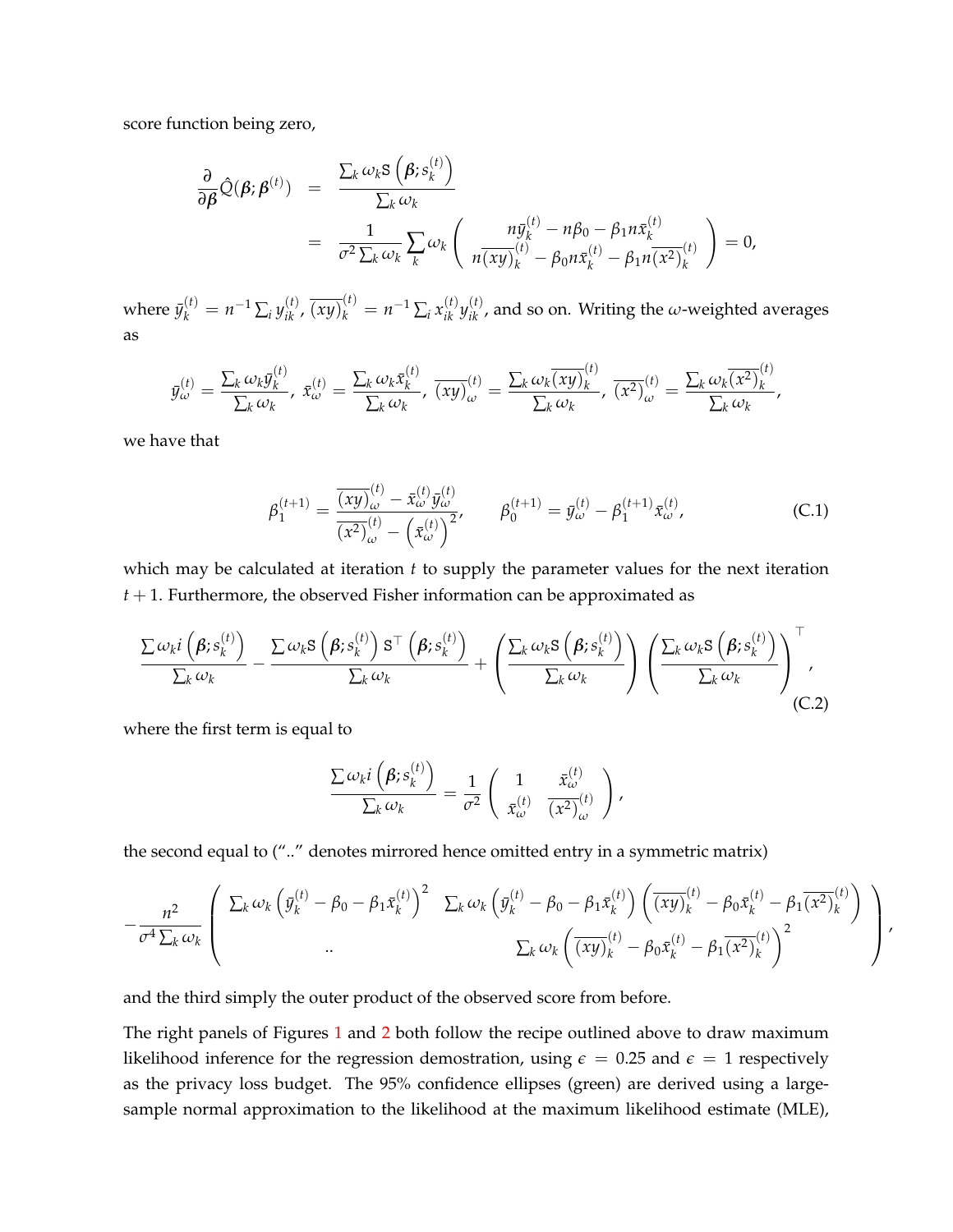score function being zero,

$$
\frac{\partial}{\partial \beta} \hat{Q}(\beta; \beta^{(t)}) = \frac{\sum_{k} \omega_{k} S(\beta; s_{k}^{(t)})}{\sum_{k} \omega_{k}}
$$
\n
$$
= \frac{1}{\sigma^{2} \sum_{k} \omega_{k}} \sum_{k} \omega_{k} (\frac{n \bar{y}_{k}^{(t)} - n \beta_{0} - \beta_{1} n \bar{x}_{k}^{(t)}}{n(\overline{x}y)_{k}^{(t)} - \beta_{0} n \bar{x}_{k}^{(t)} - \beta_{1} n (\overline{x^{2}})_{k}^{(t)}}) = 0,
$$

where  $\bar{y}^{(t)}_k=n^{-1}\sum_i y^{(t)}_{ik}$  ,  $\overline{(xy)}^{(t)}_k=n^{-1}\sum_i x^{(t)}_{ik}y^{(t)}_{ik}$  , and so on. Writing the  $\omega$ -weighted averages as

$$
\bar{y}_{\omega}^{(t)} = \frac{\sum_k \omega_k \bar{y}_k^{(t)}}{\sum_k \omega_k}, \ \bar{x}_{\omega}^{(t)} = \frac{\sum_k \omega_k \bar{x}_k^{(t)}}{\sum_k \omega_k}, \ \overline{(xy)}_{\omega}^{(t)} = \frac{\sum_k \omega_k \overline{(xy)}_k^{(t)}}{\sum_k \omega_k}, \ \overline{(x^2)}_{\omega}^{(t)} = \frac{\sum_k \omega_k \overline{(x^2)}_k^{(t)}}{\sum_k \omega_k},
$$

we have that

<span id="page-32-0"></span>
$$
\beta_1^{(t+1)} = \frac{\overline{(xy)}_{\omega}^{(t)} - \bar{x}_{\omega}^{(t)} \bar{y}_{\omega}^{(t)}}{\overline{(x^2)}_{\omega}^{(t)} - (\bar{x}_{\omega}^{(t)})^2}, \qquad \beta_0^{(t+1)} = \bar{y}_{\omega}^{(t)} - \beta_1^{(t+1)} \bar{x}_{\omega}^{(t)},
$$
\n(C.1)

which may be calculated at iteration *t* to supply the parameter values for the next iteration *t* + 1. Furthermore, the observed Fisher information can be approximated as

<span id="page-32-1"></span>
$$
\frac{\sum \omega_{k}i\left(\beta;s_{k}^{(t)}\right)}{\sum_{k}\omega_{k}} - \frac{\sum \omega_{k}\mathbf{S}\left(\beta;s_{k}^{(t)}\right)\mathbf{S}^{\top}\left(\beta;s_{k}^{(t)}\right)}{\sum_{k}\omega_{k}} + \left(\frac{\sum_{k}\omega_{k}\mathbf{S}\left(\beta;s_{k}^{(t)}\right)}{\sum_{k}\omega_{k}}\right)\left(\frac{\sum_{k}\omega_{k}\mathbf{S}\left(\beta;s_{k}^{(t)}\right)}{\sum_{k}\omega_{k}}\right)^{\top}, \tag{C.2}
$$

where the first term is equal to

$$
\frac{\sum \omega_{k}i\left(\beta;s_{k}^{(t)}\right)}{\sum_{k}\omega_{k}}=\frac{1}{\sigma^{2}}\left(\begin{array}{cc}1 & \bar{x}_{\omega}^{(t)} \\ \bar{x}_{\omega}^{(t)} & \bar{x}_{\omega}^{(t)}\end{array}\right),
$$

the second equal to (".." denotes mirrored hence omitted entry in a symmetric matrix)

$$
-\frac{n^2}{\sigma^4 \sum_k \omega_k} \left( \begin{array}{cc} \sum_k \omega_k \left( \bar{y}_k^{(t)} - \beta_0 - \beta_1 \bar{x}_k^{(t)} \right)^2 & \sum_k \omega_k \left( \bar{y}_k^{(t)} - \beta_0 - \beta_1 \bar{x}_k^{(t)} \right) \left( \overline{(xy)_k^{(t)}} - \beta_0 \bar{x}_k^{(t)} - \beta_1 \overline{(x^2)_k^{(t)}} \right) \\ \vdots & \vdots & \vdots \\ \sum_k \omega_k \left( \overline{(xy)_k^{(t)}} - \beta_0 \bar{x}_k^{(t)} - \beta_1 \overline{(x^2)_k^{(t)}} \right)^2 \end{array} \right),
$$

and the third simply the outer product of the observed score from before.

The right panels of Figures [1](#page-7-0) and [2](#page-15-0) both follow the recipe outlined above to draw maximum likelihood inference for the regression demostration, using  $\epsilon = 0.25$  and  $\epsilon = 1$  respectively as the privacy loss budget. The 95% confidence ellipses (green) are derived using a largesample normal approximation to the likelihood at the maximum likelihood estimate (MLE),